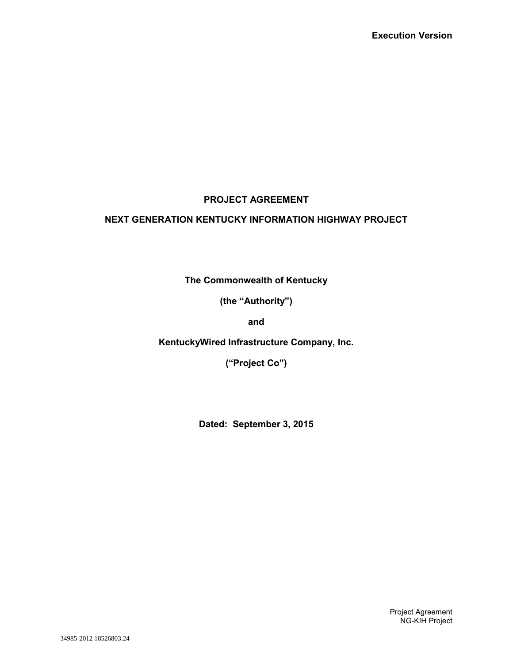# **PROJECT AGREEMENT**

# **NEXT GENERATION KENTUCKY INFORMATION HIGHWAY PROJECT**

**The Commonwealth of Kentucky**

**(the "Authority")**

**and**

**KentuckyWired Infrastructure Company, Inc.**

**("Project Co")**

**Dated: September 3, 2015**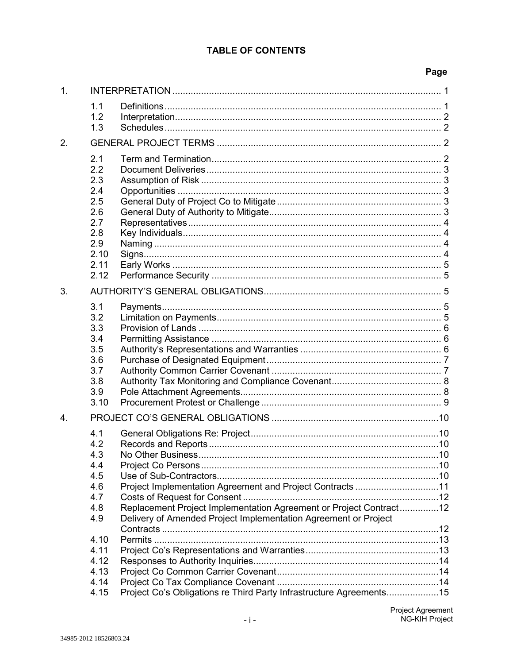| 1. |                                                                                             |                                                                                                                                                                                                    |  |
|----|---------------------------------------------------------------------------------------------|----------------------------------------------------------------------------------------------------------------------------------------------------------------------------------------------------|--|
|    | 1.1<br>1.2                                                                                  |                                                                                                                                                                                                    |  |
|    | 1.3                                                                                         |                                                                                                                                                                                                    |  |
| 2. |                                                                                             |                                                                                                                                                                                                    |  |
|    | 2.1<br>2.2<br>2.3<br>2.4<br>2.5<br>2.6<br>2.7<br>2.8<br>2.9<br>2.10<br>2.11<br>2.12         |                                                                                                                                                                                                    |  |
| 3. |                                                                                             |                                                                                                                                                                                                    |  |
|    | 3.1<br>3.2<br>3.3<br>3.4<br>3.5<br>3.6<br>3.7<br>3.8<br>3.9<br>3.10                         |                                                                                                                                                                                                    |  |
| 4. |                                                                                             |                                                                                                                                                                                                    |  |
|    | 4.1<br>4.2<br>4.3<br>4.4<br>4.5<br>4.6<br>4.7<br>4.8<br>4.9<br>4.10<br>4.11<br>4.12<br>4.13 | Project Implementation Agreement and Project Contracts 11<br>Replacement Project Implementation Agreement or Project Contract12<br>Delivery of Amended Project Implementation Agreement or Project |  |
|    | 4.14<br>4.15                                                                                | Project Co's Obligations re Third Party Infrastructure Agreements15                                                                                                                                |  |
|    |                                                                                             |                                                                                                                                                                                                    |  |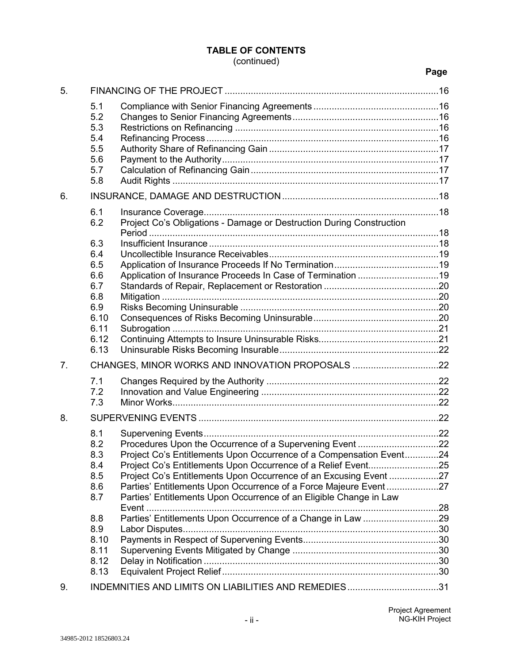# (continued)

| 5.             |                          |                                                                                                                                        |  |
|----------------|--------------------------|----------------------------------------------------------------------------------------------------------------------------------------|--|
|                | 5.1<br>5.2<br>5.3<br>5.4 |                                                                                                                                        |  |
|                | 5.5<br>5.6               |                                                                                                                                        |  |
|                | 5.7                      |                                                                                                                                        |  |
|                | 5.8                      |                                                                                                                                        |  |
| 6.             |                          |                                                                                                                                        |  |
|                | 6.1<br>6.2               | Project Co's Obligations - Damage or Destruction During Construction                                                                   |  |
|                | 6.3                      |                                                                                                                                        |  |
|                | 6.4<br>6.5               |                                                                                                                                        |  |
|                | 6.6                      |                                                                                                                                        |  |
|                | 6.7                      |                                                                                                                                        |  |
|                | 6.8                      |                                                                                                                                        |  |
|                | 6.9<br>6.10              |                                                                                                                                        |  |
|                | 6.11                     |                                                                                                                                        |  |
|                | 6.12                     |                                                                                                                                        |  |
|                | 6.13                     |                                                                                                                                        |  |
| 7 <sub>1</sub> |                          |                                                                                                                                        |  |
|                | 7.1                      |                                                                                                                                        |  |
|                | 7.2<br>7.3               |                                                                                                                                        |  |
| 8.             |                          |                                                                                                                                        |  |
|                |                          |                                                                                                                                        |  |
|                | 8.1<br>8.2               |                                                                                                                                        |  |
|                | 8.3                      | Project Co's Entitlements Upon Occurrence of a Compensation Event24                                                                    |  |
|                | 8.4                      | Project Co's Entitlements Upon Occurrence of a Relief Event25                                                                          |  |
|                | 8.5                      |                                                                                                                                        |  |
|                | 8.6<br>8.7               | Parties' Entitlements Upon Occurrence of a Force Majeure Event27<br>Parties' Entitlements Upon Occurrence of an Eligible Change in Law |  |
|                |                          |                                                                                                                                        |  |
|                | 8.8<br>8.9               | Parties' Entitlements Upon Occurrence of a Change in Law 29                                                                            |  |
|                | 8.10                     |                                                                                                                                        |  |
|                | 8.11                     |                                                                                                                                        |  |
|                | 8.12                     |                                                                                                                                        |  |
|                | 8.13                     |                                                                                                                                        |  |
| 9.             |                          | INDEMNITIES AND LIMITS ON LIABILITIES AND REMEDIES31                                                                                   |  |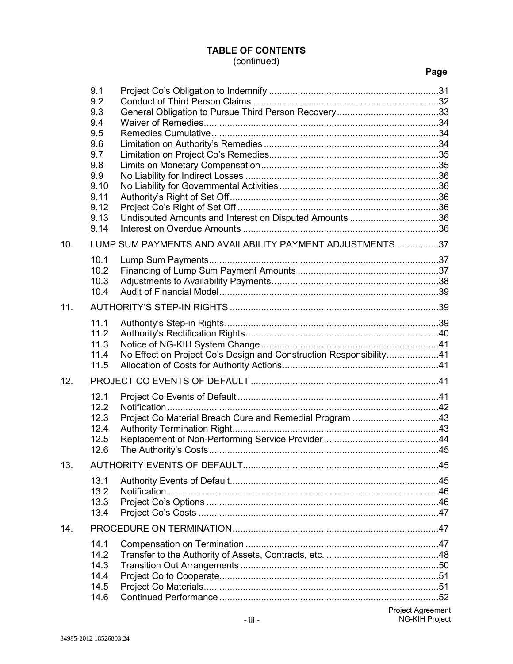# (continued)

|     | 9.1<br>9.2<br>9.3<br>9.4<br>9.5<br>9.6<br>9.7<br>9.8<br>9.9<br>9.10<br>9.11<br>9.12<br>9.13<br>9.14 | Undisputed Amounts and Interest on Disputed Amounts 36             |  |
|-----|-----------------------------------------------------------------------------------------------------|--------------------------------------------------------------------|--|
| 10. |                                                                                                     | LUMP SUM PAYMENTS AND AVAILABILITY PAYMENT ADJUSTMENTS 37          |  |
|     | 10.1<br>10.2                                                                                        |                                                                    |  |
|     | 10.3                                                                                                |                                                                    |  |
|     | 10.4                                                                                                |                                                                    |  |
| 11. |                                                                                                     |                                                                    |  |
|     | 11.1                                                                                                |                                                                    |  |
|     | 11.2<br>11.3                                                                                        |                                                                    |  |
|     | 11.4                                                                                                | No Effect on Project Co's Design and Construction Responsibility41 |  |
|     | 11.5                                                                                                |                                                                    |  |
| 12. |                                                                                                     |                                                                    |  |
|     | 12.1                                                                                                |                                                                    |  |
|     | 12.2                                                                                                |                                                                    |  |
|     | 12.3<br>12.4                                                                                        | Project Co Material Breach Cure and Remedial Program 43            |  |
|     | 12.5                                                                                                |                                                                    |  |
|     | 12.6                                                                                                |                                                                    |  |
| 13. |                                                                                                     |                                                                    |  |
|     | 13.1                                                                                                |                                                                    |  |
|     | 13.2<br>13.3                                                                                        |                                                                    |  |
|     | 13.4                                                                                                |                                                                    |  |
| 14. |                                                                                                     |                                                                    |  |
|     | 14.1                                                                                                |                                                                    |  |
|     | 14.2                                                                                                |                                                                    |  |
|     | 14.3<br>14.4                                                                                        |                                                                    |  |
|     | 14.5                                                                                                |                                                                    |  |
|     | 14.6                                                                                                |                                                                    |  |
|     |                                                                                                     | $\mathbf{r}$ and $\mathbf{r}$ and $\mathbf{r}$ and $\mathbf{r}$    |  |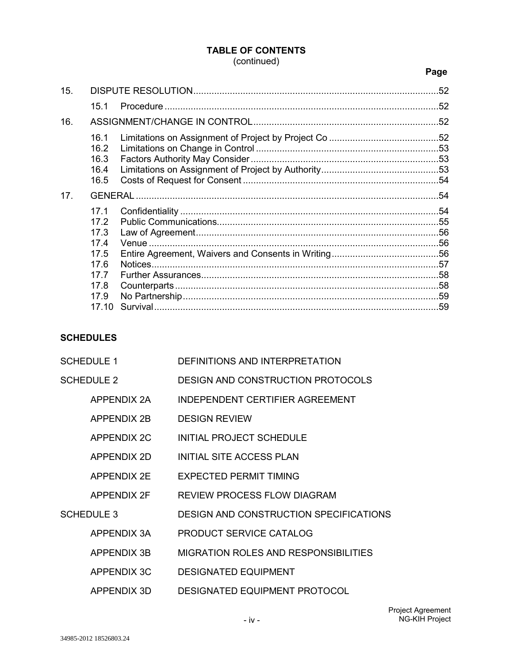# (continued)

# **Page**

| 15.             |                                                      |         | .52 |
|-----------------|------------------------------------------------------|---------|-----|
|                 | 15.1                                                 |         |     |
| 16.             |                                                      |         |     |
|                 | 16.1<br>16.2<br>16.3<br>16.4<br>16.5                 |         |     |
| 17 <sub>1</sub> |                                                      |         |     |
|                 | 17.1<br>17.2<br>17.3<br>17.4<br>17.5<br>17.6<br>17.7 | Notices |     |
|                 | 17.8<br>17.9<br>17.10                                |         |     |

# **SCHEDULES**

| <b>SCHEDULE 1</b> |                    | DEFINITIONS AND INTERPRETATION              |
|-------------------|--------------------|---------------------------------------------|
| <b>SCHEDULE 2</b> |                    | <b>DESIGN AND CONSTRUCTION PROTOCOLS</b>    |
|                   | APPENDIX 2A        | INDEPENDENT CERTIFIER AGREEMENT             |
|                   | APPENDIX 2B        | <b>DESIGN REVIEW</b>                        |
|                   | APPENDIX 2C        | INITIAL PROJECT SCHEDULE                    |
|                   | APPENDIX 2D        | INITIAL SITE ACCESS PLAN                    |
|                   | APPENDIX 2E        | EXPECTED PERMIT TIMING                      |
|                   | APPENDIX 2F        | REVIEW PROCESS FLOW DIAGRAM                 |
| <b>SCHEDULE 3</b> |                    | DESIGN AND CONSTRUCTION SPECIFICATIONS      |
|                   | APPENDIX 3A        | <b>PRODUCT SERVICE CATALOG</b>              |
|                   | <b>APPENDIX 3B</b> | <b>MIGRATION ROLES AND RESPONSIBILITIES</b> |
|                   | <b>APPENDIX 3C</b> | <b>DESIGNATED EQUIPMENT</b>                 |
|                   | APPENDIX 3D        | <b>DESIGNATED EQUIPMENT PROTOCOL</b>        |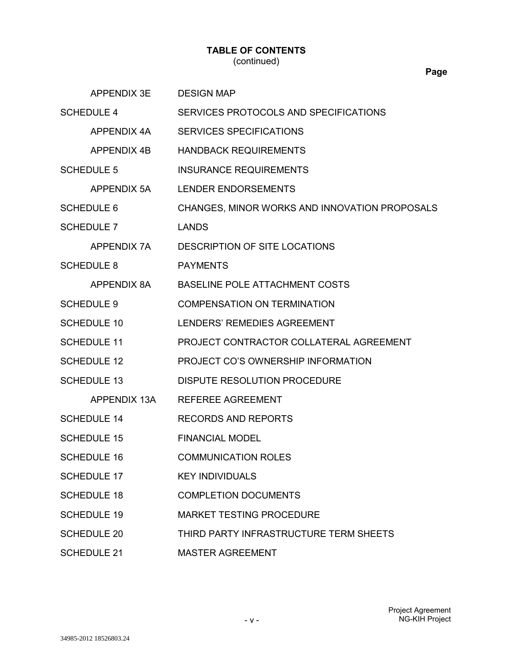#### **TABLE OF CONTENTS** (continued)

APPENDIX 3E DESIGN MAP SCHEDULE 4 SERVICES PROTOCOLS AND SPECIFICATIONS APPENDIX 4A SERVICES SPECIFICATIONS APPENDIX 4B HANDBACK REQUIREMENTS SCHEDULE 5 INSURANCE REQUIREMENTS APPENDIX 5A LENDER ENDORSEMENTS SCHEDULE 6 CHANGES, MINOR WORKS AND INNOVATION PROPOSALS SCHEDULE 7 LANDS APPENDIX 7A DESCRIPTION OF SITE LOCATIONS SCHEDULE 8 PAYMENTS APPENDIX 8A BASELINE POLE ATTACHMENT COSTS SCHEDULE 9 COMPENSATION ON TERMINATION SCHEDULE 10 LENDERS' REMEDIES AGREEMENT SCHEDULE 11 PROJECT CONTRACTOR COLLATERAL AGREEMENT SCHEDULE 12 PROJECT CO'S OWNERSHIP INFORMATION SCHEDULE 13 DISPUTE RESOLUTION PROCEDURE APPENDIX 13A REFEREE AGREEMENT SCHEDULE 14 RECORDS AND REPORTS SCHEDULE 15 FINANCIAL MODEL SCHEDULE 16 COMMUNICATION ROLES SCHEDULE 17 KEY INDIVIDUALS SCHEDULE 18 COMPLETION DOCUMENTS SCHEDULE 19 MARKET TESTING PROCEDURE SCHEDULE 20 THIRD PARTY INFRASTRUCTURE TERM SHEETS SCHEDULE 21 MASTER AGREEMENT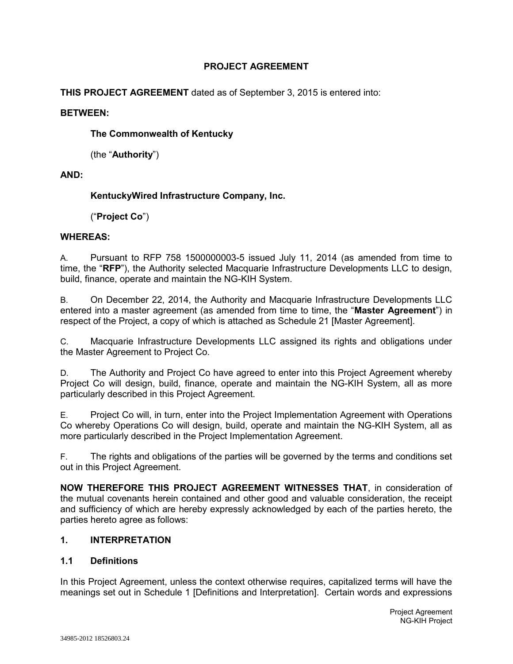# **PROJECT AGREEMENT**

**THIS PROJECT AGREEMENT** dated as of September 3, 2015 is entered into:

#### **BETWEEN:**

**The Commonwealth of Kentucky**

(the "**Authority**")

# **AND:**

# **KentuckyWired Infrastructure Company, Inc.**

("**Project Co**")

# **WHEREAS:**

A. Pursuant to RFP 758 1500000003-5 issued July 11, 2014 (as amended from time to time, the "**RFP**"), the Authority selected Macquarie Infrastructure Developments LLC to design, build, finance, operate and maintain the NG-KIH System.

B. On December 22, 2014, the Authority and Macquarie Infrastructure Developments LLC entered into a master agreement (as amended from time to time, the "**Master Agreement**") in respect of the Project, a copy of which is attached as Schedule 21 [Master Agreement].

C. Macquarie Infrastructure Developments LLC assigned its rights and obligations under the Master Agreement to Project Co.

D. The Authority and Project Co have agreed to enter into this Project Agreement whereby Project Co will design, build, finance, operate and maintain the NG-KIH System, all as more particularly described in this Project Agreement.

E. Project Co will, in turn, enter into the Project Implementation Agreement with Operations Co whereby Operations Co will design, build, operate and maintain the NG-KIH System, all as more particularly described in the Project Implementation Agreement.

F. The rights and obligations of the parties will be governed by the terms and conditions set out in this Project Agreement.

**NOW THEREFORE THIS PROJECT AGREEMENT WITNESSES THAT**, in consideration of the mutual covenants herein contained and other good and valuable consideration, the receipt and sufficiency of which are hereby expressly acknowledged by each of the parties hereto, the parties hereto agree as follows:

# **1. INTERPRETATION**

# **1.1 Definitions**

In this Project Agreement, unless the context otherwise requires, capitalized terms will have the meanings set out in Schedule 1 [Definitions and Interpretation]. Certain words and expressions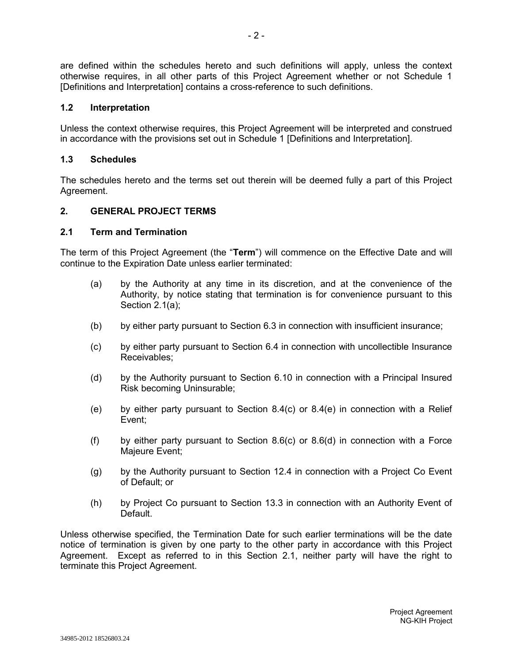are defined within the schedules hereto and such definitions will apply, unless the context otherwise requires, in all other parts of this Project Agreement whether or not Schedule 1 [Definitions and Interpretation] contains a cross-reference to such definitions.

#### **1.2 Interpretation**

Unless the context otherwise requires, this Project Agreement will be interpreted and construed in accordance with the provisions set out in Schedule 1 [Definitions and Interpretation].

#### **1.3 Schedules**

The schedules hereto and the terms set out therein will be deemed fully a part of this Project Agreement.

#### **2. GENERAL PROJECT TERMS**

#### **2.1 Term and Termination**

The term of this Project Agreement (the "**Term**") will commence on the Effective Date and will continue to the Expiration Date unless earlier terminated:

- (a) by the Authority at any time in its discretion, and at the convenience of the Authority, by notice stating that termination is for convenience pursuant to this Section 2.1(a);
- (b) by either party pursuant to Section 6.3 in connection with insufficient insurance;
- (c) by either party pursuant to Section 6.4 in connection with uncollectible Insurance Receivables;
- (d) by the Authority pursuant to Section 6.10 in connection with a Principal Insured Risk becoming Uninsurable;
- (e) by either party pursuant to Section 8.4(c) or 8.4(e) in connection with a Relief Event;
- (f) by either party pursuant to Section 8.6(c) or 8.6(d) in connection with a Force Majeure Event;
- (g) by the Authority pursuant to Section 12.4 in connection with a Project Co Event of Default; or
- (h) by Project Co pursuant to Section 13.3 in connection with an Authority Event of Default.

Unless otherwise specified, the Termination Date for such earlier terminations will be the date notice of termination is given by one party to the other party in accordance with this Project Agreement. Except as referred to in this Section 2.1, neither party will have the right to terminate this Project Agreement.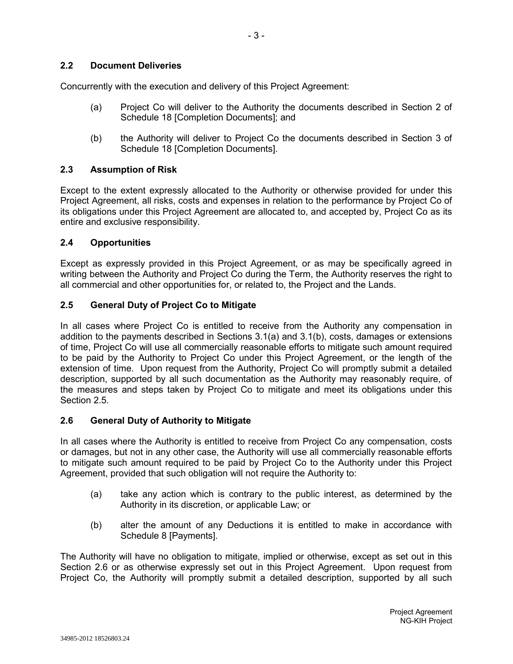# **2.2 Document Deliveries**

Concurrently with the execution and delivery of this Project Agreement:

- (a) Project Co will deliver to the Authority the documents described in Section 2 of Schedule 18 [Completion Documents]; and
- (b) the Authority will deliver to Project Co the documents described in Section 3 of Schedule 18 [Completion Documents].

# **2.3 Assumption of Risk**

Except to the extent expressly allocated to the Authority or otherwise provided for under this Project Agreement, all risks, costs and expenses in relation to the performance by Project Co of its obligations under this Project Agreement are allocated to, and accepted by, Project Co as its entire and exclusive responsibility.

# **2.4 Opportunities**

Except as expressly provided in this Project Agreement, or as may be specifically agreed in writing between the Authority and Project Co during the Term, the Authority reserves the right to all commercial and other opportunities for, or related to, the Project and the Lands.

# **2.5 General Duty of Project Co to Mitigate**

In all cases where Project Co is entitled to receive from the Authority any compensation in addition to the payments described in Sections 3.1(a) and 3.1(b), costs, damages or extensions of time, Project Co will use all commercially reasonable efforts to mitigate such amount required to be paid by the Authority to Project Co under this Project Agreement, or the length of the extension of time. Upon request from the Authority, Project Co will promptly submit a detailed description, supported by all such documentation as the Authority may reasonably require, of the measures and steps taken by Project Co to mitigate and meet its obligations under this Section 2.5.

# **2.6 General Duty of Authority to Mitigate**

In all cases where the Authority is entitled to receive from Project Co any compensation, costs or damages, but not in any other case, the Authority will use all commercially reasonable efforts to mitigate such amount required to be paid by Project Co to the Authority under this Project Agreement, provided that such obligation will not require the Authority to:

- (a) take any action which is contrary to the public interest, as determined by the Authority in its discretion, or applicable Law; or
- (b) alter the amount of any Deductions it is entitled to make in accordance with Schedule 8 [Payments].

The Authority will have no obligation to mitigate, implied or otherwise, except as set out in this Section 2.6 or as otherwise expressly set out in this Project Agreement. Upon request from Project Co, the Authority will promptly submit a detailed description, supported by all such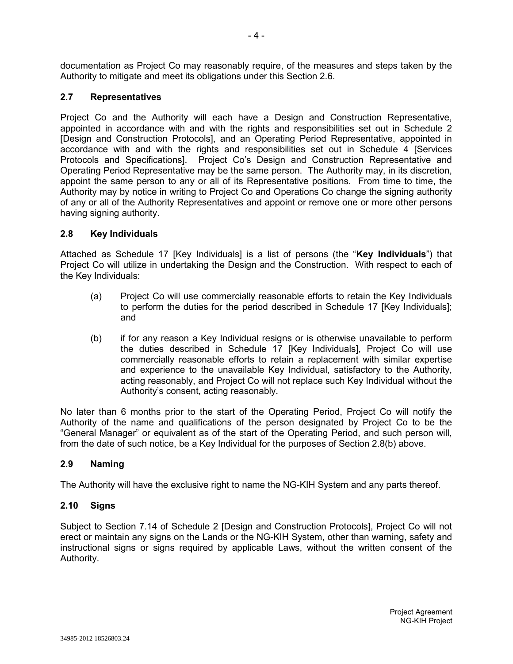documentation as Project Co may reasonably require, of the measures and steps taken by the Authority to mitigate and meet its obligations under this Section 2.6.

# **2.7 Representatives**

Project Co and the Authority will each have a Design and Construction Representative, appointed in accordance with and with the rights and responsibilities set out in Schedule 2 [Design and Construction Protocols], and an Operating Period Representative, appointed in accordance with and with the rights and responsibilities set out in Schedule 4 [Services Protocols and Specifications]. Project Co's Design and Construction Representative and Operating Period Representative may be the same person. The Authority may, in its discretion, appoint the same person to any or all of its Representative positions. From time to time, the Authority may by notice in writing to Project Co and Operations Co change the signing authority of any or all of the Authority Representatives and appoint or remove one or more other persons having signing authority.

#### **2.8 Key Individuals**

Attached as Schedule 17 [Key Individuals] is a list of persons (the "**Key Individuals**") that Project Co will utilize in undertaking the Design and the Construction. With respect to each of the Key Individuals:

- (a) Project Co will use commercially reasonable efforts to retain the Key Individuals to perform the duties for the period described in Schedule 17 [Key Individuals]; and
- (b) if for any reason a Key Individual resigns or is otherwise unavailable to perform the duties described in Schedule 17 [Key Individuals], Project Co will use commercially reasonable efforts to retain a replacement with similar expertise and experience to the unavailable Key Individual, satisfactory to the Authority, acting reasonably, and Project Co will not replace such Key Individual without the Authority's consent, acting reasonably.

No later than 6 months prior to the start of the Operating Period, Project Co will notify the Authority of the name and qualifications of the person designated by Project Co to be the "General Manager" or equivalent as of the start of the Operating Period, and such person will, from the date of such notice, be a Key Individual for the purposes of Section 2.8(b) above.

# **2.9 Naming**

The Authority will have the exclusive right to name the NG-KIH System and any parts thereof.

#### **2.10 Signs**

Subject to Section 7.14 of Schedule 2 [Design and Construction Protocols], Project Co will not erect or maintain any signs on the Lands or the NG-KIH System, other than warning, safety and instructional signs or signs required by applicable Laws, without the written consent of the Authority.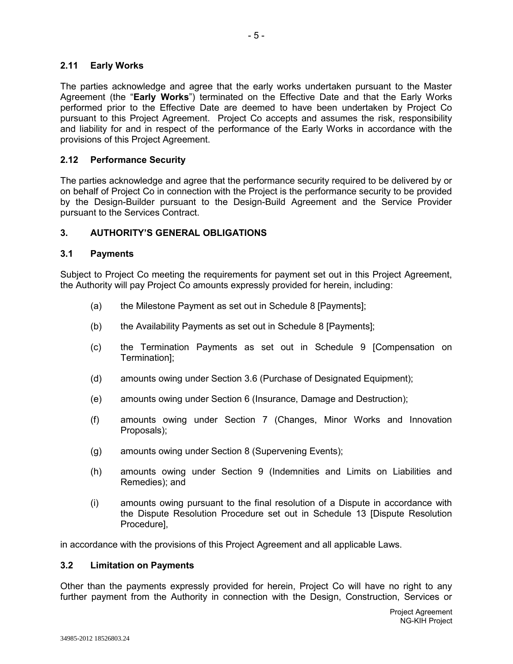## **2.11 Early Works**

The parties acknowledge and agree that the early works undertaken pursuant to the Master Agreement (the "**Early Works**") terminated on the Effective Date and that the Early Works performed prior to the Effective Date are deemed to have been undertaken by Project Co pursuant to this Project Agreement. Project Co accepts and assumes the risk, responsibility and liability for and in respect of the performance of the Early Works in accordance with the provisions of this Project Agreement.

#### **2.12 Performance Security**

The parties acknowledge and agree that the performance security required to be delivered by or on behalf of Project Co in connection with the Project is the performance security to be provided by the Design-Builder pursuant to the Design-Build Agreement and the Service Provider pursuant to the Services Contract.

#### **3. AUTHORITY'S GENERAL OBLIGATIONS**

#### **3.1 Payments**

Subject to Project Co meeting the requirements for payment set out in this Project Agreement, the Authority will pay Project Co amounts expressly provided for herein, including:

- (a) the Milestone Payment as set out in Schedule 8 [Payments];
- (b) the Availability Payments as set out in Schedule 8 [Payments];
- (c) the Termination Payments as set out in Schedule 9 [Compensation on Termination];
- (d) amounts owing under Section 3.6 (Purchase of Designated Equipment);
- (e) amounts owing under Section 6 (Insurance, Damage and Destruction);
- (f) amounts owing under Section 7 (Changes, Minor Works and Innovation Proposals);
- (g) amounts owing under Section 8 (Supervening Events);
- (h) amounts owing under Section 9 (Indemnities and Limits on Liabilities and Remedies); and
- (i) amounts owing pursuant to the final resolution of a Dispute in accordance with the Dispute Resolution Procedure set out in Schedule 13 [Dispute Resolution Procedure],

in accordance with the provisions of this Project Agreement and all applicable Laws.

#### **3.2 Limitation on Payments**

Other than the payments expressly provided for herein, Project Co will have no right to any further payment from the Authority in connection with the Design, Construction, Services or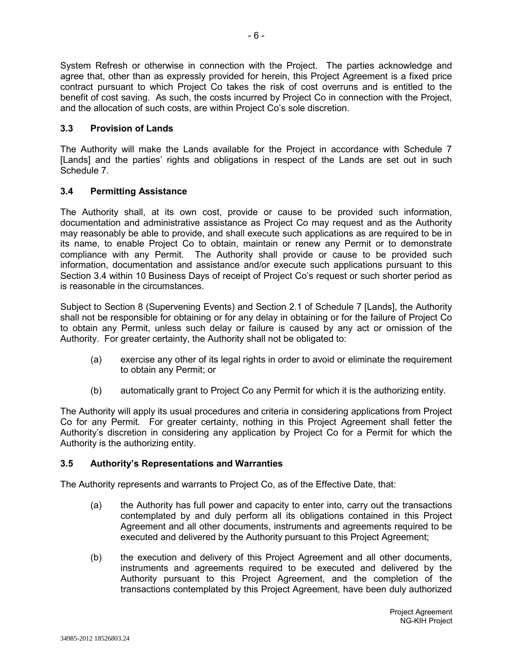System Refresh or otherwise in connection with the Project. The parties acknowledge and agree that, other than as expressly provided for herein, this Project Agreement is a fixed price contract pursuant to which Project Co takes the risk of cost overruns and is entitled to the benefit of cost saving. As such, the costs incurred by Project Co in connection with the Project, and the allocation of such costs, are within Project Co's sole discretion.

# **3.3 Provision of Lands**

The Authority will make the Lands available for the Project in accordance with Schedule 7 [Lands] and the parties' rights and obligations in respect of the Lands are set out in such Schedule 7.

# **3.4 Permitting Assistance**

The Authority shall, at its own cost, provide or cause to be provided such information, documentation and administrative assistance as Project Co may request and as the Authority may reasonably be able to provide, and shall execute such applications as are required to be in its name, to enable Project Co to obtain, maintain or renew any Permit or to demonstrate compliance with any Permit. The Authority shall provide or cause to be provided such information, documentation and assistance and/or execute such applications pursuant to this Section 3.4 within 10 Business Days of receipt of Project Co's request or such shorter period as is reasonable in the circumstances.

Subject to Section 8 (Supervening Events) and Section 2.1 of Schedule 7 [Lands], the Authority shall not be responsible for obtaining or for any delay in obtaining or for the failure of Project Co to obtain any Permit, unless such delay or failure is caused by any act or omission of the Authority. For greater certainty, the Authority shall not be obligated to:

- (a) exercise any other of its legal rights in order to avoid or eliminate the requirement to obtain any Permit; or
- (b) automatically grant to Project Co any Permit for which it is the authorizing entity.

The Authority will apply its usual procedures and criteria in considering applications from Project Co for any Permit. For greater certainty, nothing in this Project Agreement shall fetter the Authority's discretion in considering any application by Project Co for a Permit for which the Authority is the authorizing entity.

# **3.5 Authority's Representations and Warranties**

The Authority represents and warrants to Project Co, as of the Effective Date, that:

- (a) the Authority has full power and capacity to enter into, carry out the transactions contemplated by and duly perform all its obligations contained in this Project Agreement and all other documents, instruments and agreements required to be executed and delivered by the Authority pursuant to this Project Agreement;
- (b) the execution and delivery of this Project Agreement and all other documents, instruments and agreements required to be executed and delivered by the Authority pursuant to this Project Agreement, and the completion of the transactions contemplated by this Project Agreement, have been duly authorized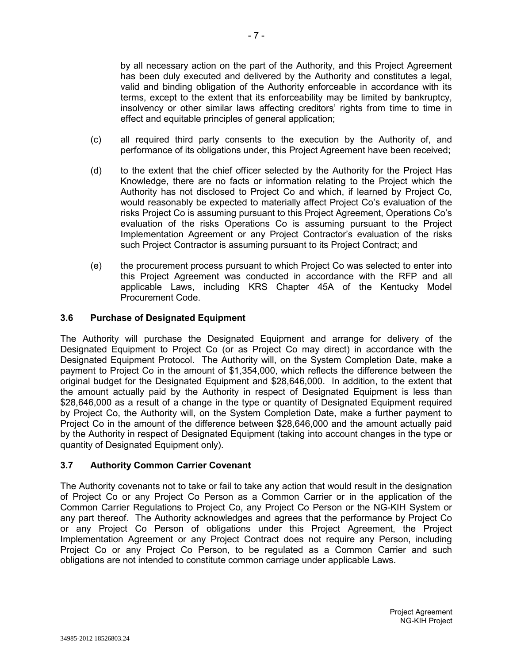by all necessary action on the part of the Authority, and this Project Agreement has been duly executed and delivered by the Authority and constitutes a legal, valid and binding obligation of the Authority enforceable in accordance with its terms, except to the extent that its enforceability may be limited by bankruptcy, insolvency or other similar laws affecting creditors' rights from time to time in effect and equitable principles of general application;

- (c) all required third party consents to the execution by the Authority of, and performance of its obligations under, this Project Agreement have been received;
- (d) to the extent that the chief officer selected by the Authority for the Project Has Knowledge, there are no facts or information relating to the Project which the Authority has not disclosed to Project Co and which, if learned by Project Co, would reasonably be expected to materially affect Project Co's evaluation of the risks Project Co is assuming pursuant to this Project Agreement, Operations Co's evaluation of the risks Operations Co is assuming pursuant to the Project Implementation Agreement or any Project Contractor's evaluation of the risks such Project Contractor is assuming pursuant to its Project Contract; and
- (e) the procurement process pursuant to which Project Co was selected to enter into this Project Agreement was conducted in accordance with the RFP and all applicable Laws, including KRS Chapter 45A of the Kentucky Model Procurement Code.

# **3.6 Purchase of Designated Equipment**

The Authority will purchase the Designated Equipment and arrange for delivery of the Designated Equipment to Project Co (or as Project Co may direct) in accordance with the Designated Equipment Protocol. The Authority will, on the System Completion Date, make a payment to Project Co in the amount of \$1,354,000, which reflects the difference between the original budget for the Designated Equipment and \$28,646,000. In addition, to the extent that the amount actually paid by the Authority in respect of Designated Equipment is less than \$28,646,000 as a result of a change in the type or quantity of Designated Equipment required by Project Co, the Authority will, on the System Completion Date, make a further payment to Project Co in the amount of the difference between \$28,646,000 and the amount actually paid by the Authority in respect of Designated Equipment (taking into account changes in the type or quantity of Designated Equipment only).

#### **3.7 Authority Common Carrier Covenant**

The Authority covenants not to take or fail to take any action that would result in the designation of Project Co or any Project Co Person as a Common Carrier or in the application of the Common Carrier Regulations to Project Co, any Project Co Person or the NG-KIH System or any part thereof. The Authority acknowledges and agrees that the performance by Project Co or any Project Co Person of obligations under this Project Agreement, the Project Implementation Agreement or any Project Contract does not require any Person, including Project Co or any Project Co Person, to be regulated as a Common Carrier and such obligations are not intended to constitute common carriage under applicable Laws.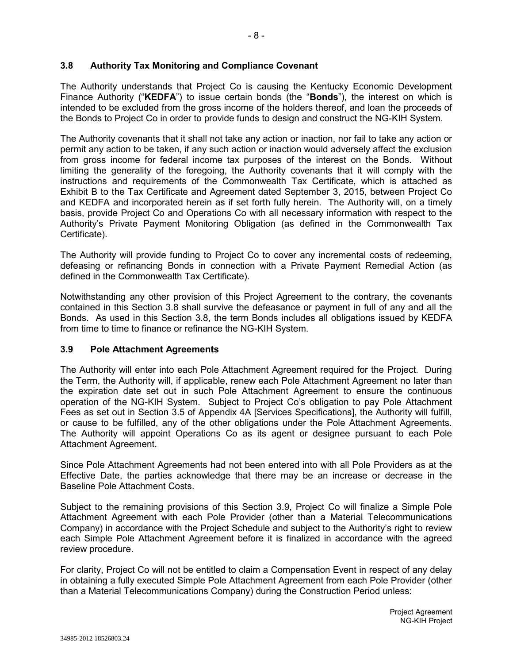#### **3.8 Authority Tax Monitoring and Compliance Covenant**

The Authority understands that Project Co is causing the Kentucky Economic Development Finance Authority ("**KEDFA**") to issue certain bonds (the "**Bonds**"), the interest on which is intended to be excluded from the gross income of the holders thereof, and loan the proceeds of the Bonds to Project Co in order to provide funds to design and construct the NG-KIH System.

The Authority covenants that it shall not take any action or inaction, nor fail to take any action or permit any action to be taken, if any such action or inaction would adversely affect the exclusion from gross income for federal income tax purposes of the interest on the Bonds. Without limiting the generality of the foregoing, the Authority covenants that it will comply with the instructions and requirements of the Commonwealth Tax Certificate, which is attached as Exhibit B to the Tax Certificate and Agreement dated September 3, 2015, between Project Co and KEDFA and incorporated herein as if set forth fully herein. The Authority will, on a timely basis, provide Project Co and Operations Co with all necessary information with respect to the Authority's Private Payment Monitoring Obligation (as defined in the Commonwealth Tax Certificate).

The Authority will provide funding to Project Co to cover any incremental costs of redeeming, defeasing or refinancing Bonds in connection with a Private Payment Remedial Action (as defined in the Commonwealth Tax Certificate).

Notwithstanding any other provision of this Project Agreement to the contrary, the covenants contained in this Section 3.8 shall survive the defeasance or payment in full of any and all the Bonds. As used in this Section 3.8, the term Bonds includes all obligations issued by KEDFA from time to time to finance or refinance the NG-KIH System.

#### **3.9 Pole Attachment Agreements**

The Authority will enter into each Pole Attachment Agreement required for the Project. During the Term, the Authority will, if applicable, renew each Pole Attachment Agreement no later than the expiration date set out in such Pole Attachment Agreement to ensure the continuous operation of the NG-KIH System. Subject to Project Co's obligation to pay Pole Attachment Fees as set out in Section 3.5 of Appendix 4A [Services Specifications], the Authority will fulfill, or cause to be fulfilled, any of the other obligations under the Pole Attachment Agreements. The Authority will appoint Operations Co as its agent or designee pursuant to each Pole Attachment Agreement.

Since Pole Attachment Agreements had not been entered into with all Pole Providers as at the Effective Date, the parties acknowledge that there may be an increase or decrease in the Baseline Pole Attachment Costs.

Subject to the remaining provisions of this Section 3.9, Project Co will finalize a Simple Pole Attachment Agreement with each Pole Provider (other than a Material Telecommunications Company) in accordance with the Project Schedule and subject to the Authority's right to review each Simple Pole Attachment Agreement before it is finalized in accordance with the agreed review procedure.

For clarity, Project Co will not be entitled to claim a Compensation Event in respect of any delay in obtaining a fully executed Simple Pole Attachment Agreement from each Pole Provider (other than a Material Telecommunications Company) during the Construction Period unless: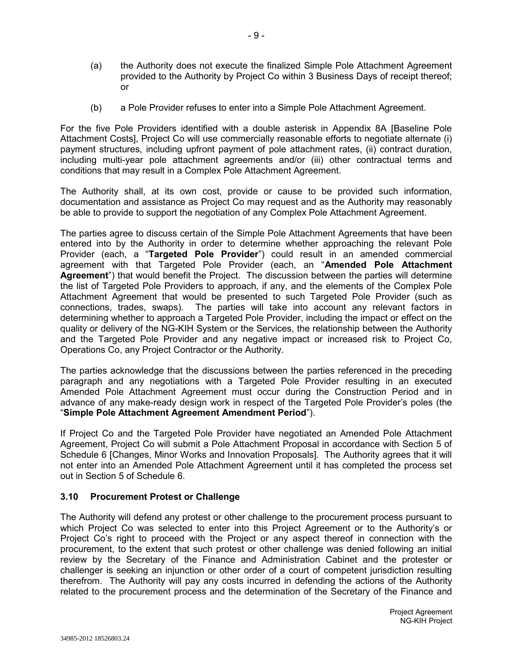- (a) the Authority does not execute the finalized Simple Pole Attachment Agreement provided to the Authority by Project Co within 3 Business Days of receipt thereof; or
- (b) a Pole Provider refuses to enter into a Simple Pole Attachment Agreement.

For the five Pole Providers identified with a double asterisk in Appendix 8A [Baseline Pole Attachment Costs], Project Co will use commercially reasonable efforts to negotiate alternate (i) payment structures, including upfront payment of pole attachment rates, (ii) contract duration, including multi-year pole attachment agreements and/or (iii) other contractual terms and conditions that may result in a Complex Pole Attachment Agreement.

The Authority shall, at its own cost, provide or cause to be provided such information, documentation and assistance as Project Co may request and as the Authority may reasonably be able to provide to support the negotiation of any Complex Pole Attachment Agreement.

The parties agree to discuss certain of the Simple Pole Attachment Agreements that have been entered into by the Authority in order to determine whether approaching the relevant Pole Provider (each, a "**Targeted Pole Provider**") could result in an amended commercial agreement with that Targeted Pole Provider (each, an "**Amended Pole Attachment Agreement**") that would benefit the Project. The discussion between the parties will determine the list of Targeted Pole Providers to approach, if any, and the elements of the Complex Pole Attachment Agreement that would be presented to such Targeted Pole Provider (such as connections, trades, swaps). The parties will take into account any relevant factors in determining whether to approach a Targeted Pole Provider, including the impact or effect on the quality or delivery of the NG-KIH System or the Services, the relationship between the Authority and the Targeted Pole Provider and any negative impact or increased risk to Project Co, Operations Co, any Project Contractor or the Authority.

The parties acknowledge that the discussions between the parties referenced in the preceding paragraph and any negotiations with a Targeted Pole Provider resulting in an executed Amended Pole Attachment Agreement must occur during the Construction Period and in advance of any make-ready design work in respect of the Targeted Pole Provider's poles (the "**Simple Pole Attachment Agreement Amendment Period**").

If Project Co and the Targeted Pole Provider have negotiated an Amended Pole Attachment Agreement, Project Co will submit a Pole Attachment Proposal in accordance with Section 5 of Schedule 6 [Changes, Minor Works and Innovation Proposals]. The Authority agrees that it will not enter into an Amended Pole Attachment Agreement until it has completed the process set out in Section 5 of Schedule 6.

#### **3.10 Procurement Protest or Challenge**

The Authority will defend any protest or other challenge to the procurement process pursuant to which Project Co was selected to enter into this Project Agreement or to the Authority's or Project Co's right to proceed with the Project or any aspect thereof in connection with the procurement, to the extent that such protest or other challenge was denied following an initial review by the Secretary of the Finance and Administration Cabinet and the protester or challenger is seeking an injunction or other order of a court of competent jurisdiction resulting therefrom. The Authority will pay any costs incurred in defending the actions of the Authority related to the procurement process and the determination of the Secretary of the Finance and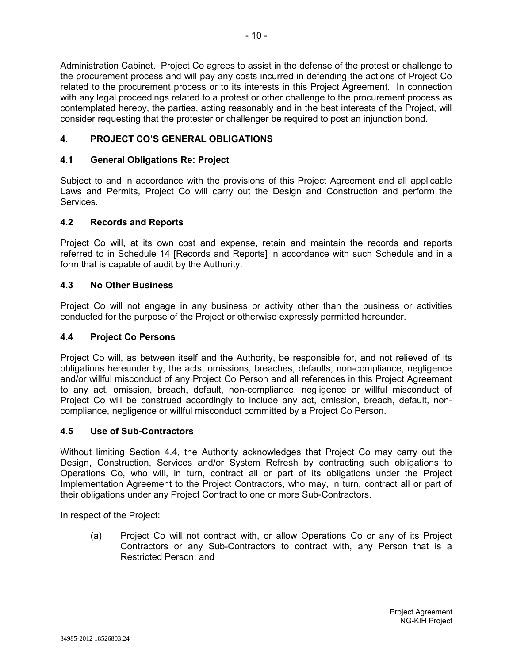Administration Cabinet. Project Co agrees to assist in the defense of the protest or challenge to the procurement process and will pay any costs incurred in defending the actions of Project Co related to the procurement process or to its interests in this Project Agreement. In connection with any legal proceedings related to a protest or other challenge to the procurement process as contemplated hereby, the parties, acting reasonably and in the best interests of the Project, will consider requesting that the protester or challenger be required to post an injunction bond.

# **4. PROJECT CO'S GENERAL OBLIGATIONS**

# **4.1 General Obligations Re: Project**

Subject to and in accordance with the provisions of this Project Agreement and all applicable Laws and Permits, Project Co will carry out the Design and Construction and perform the Services.

#### **4.2 Records and Reports**

Project Co will, at its own cost and expense, retain and maintain the records and reports referred to in Schedule 14 [Records and Reports] in accordance with such Schedule and in a form that is capable of audit by the Authority.

#### **4.3 No Other Business**

Project Co will not engage in any business or activity other than the business or activities conducted for the purpose of the Project or otherwise expressly permitted hereunder.

#### **4.4 Project Co Persons**

Project Co will, as between itself and the Authority, be responsible for, and not relieved of its obligations hereunder by, the acts, omissions, breaches, defaults, non-compliance, negligence and/or willful misconduct of any Project Co Person and all references in this Project Agreement to any act, omission, breach, default, non-compliance, negligence or willful misconduct of Project Co will be construed accordingly to include any act, omission, breach, default, noncompliance, negligence or willful misconduct committed by a Project Co Person.

# **4.5 Use of Sub-Contractors**

Without limiting Section 4.4, the Authority acknowledges that Project Co may carry out the Design, Construction, Services and/or System Refresh by contracting such obligations to Operations Co, who will, in turn, contract all or part of its obligations under the Project Implementation Agreement to the Project Contractors, who may, in turn, contract all or part of their obligations under any Project Contract to one or more Sub-Contractors.

In respect of the Project:

(a) Project Co will not contract with, or allow Operations Co or any of its Project Contractors or any Sub-Contractors to contract with, any Person that is a Restricted Person; and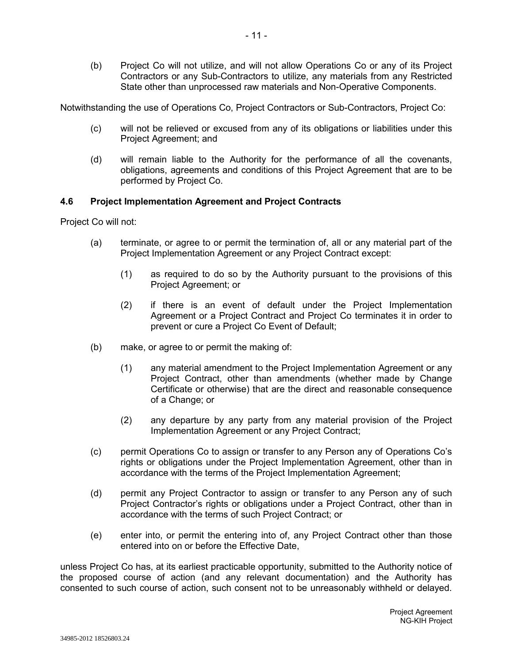(b) Project Co will not utilize, and will not allow Operations Co or any of its Project Contractors or any Sub-Contractors to utilize, any materials from any Restricted State other than unprocessed raw materials and Non-Operative Components.

Notwithstanding the use of Operations Co, Project Contractors or Sub-Contractors, Project Co:

- (c) will not be relieved or excused from any of its obligations or liabilities under this Project Agreement; and
- (d) will remain liable to the Authority for the performance of all the covenants, obligations, agreements and conditions of this Project Agreement that are to be performed by Project Co.

#### **4.6 Project Implementation Agreement and Project Contracts**

Project Co will not:

- (a) terminate, or agree to or permit the termination of, all or any material part of the Project Implementation Agreement or any Project Contract except:
	- (1) as required to do so by the Authority pursuant to the provisions of this Project Agreement; or
	- (2) if there is an event of default under the Project Implementation Agreement or a Project Contract and Project Co terminates it in order to prevent or cure a Project Co Event of Default;
- (b) make, or agree to or permit the making of:
	- (1) any material amendment to the Project Implementation Agreement or any Project Contract, other than amendments (whether made by Change Certificate or otherwise) that are the direct and reasonable consequence of a Change; or
	- (2) any departure by any party from any material provision of the Project Implementation Agreement or any Project Contract;
- (c) permit Operations Co to assign or transfer to any Person any of Operations Co's rights or obligations under the Project Implementation Agreement, other than in accordance with the terms of the Project Implementation Agreement;
- (d) permit any Project Contractor to assign or transfer to any Person any of such Project Contractor's rights or obligations under a Project Contract, other than in accordance with the terms of such Project Contract; or
- (e) enter into, or permit the entering into of, any Project Contract other than those entered into on or before the Effective Date,

unless Project Co has, at its earliest practicable opportunity, submitted to the Authority notice of the proposed course of action (and any relevant documentation) and the Authority has consented to such course of action, such consent not to be unreasonably withheld or delayed.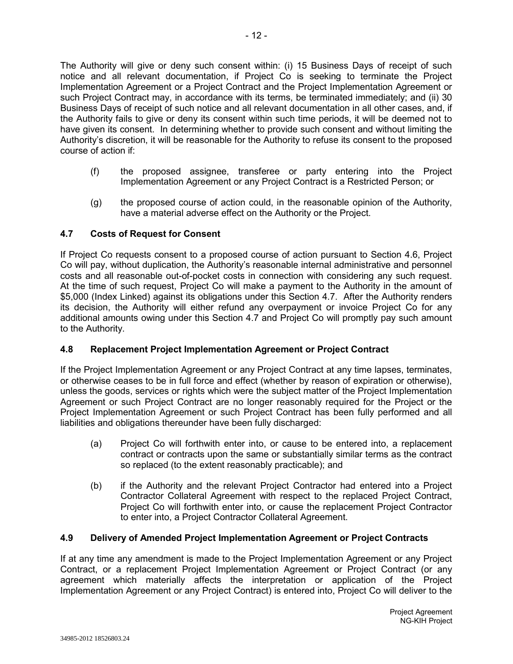The Authority will give or deny such consent within: (i) 15 Business Days of receipt of such notice and all relevant documentation, if Project Co is seeking to terminate the Project Implementation Agreement or a Project Contract and the Project Implementation Agreement or such Project Contract may, in accordance with its terms, be terminated immediately; and (ii) 30 Business Days of receipt of such notice and all relevant documentation in all other cases, and, if the Authority fails to give or deny its consent within such time periods, it will be deemed not to have given its consent. In determining whether to provide such consent and without limiting the Authority's discretion, it will be reasonable for the Authority to refuse its consent to the proposed course of action if:

- (f) the proposed assignee, transferee or party entering into the Project Implementation Agreement or any Project Contract is a Restricted Person; or
- (g) the proposed course of action could, in the reasonable opinion of the Authority, have a material adverse effect on the Authority or the Project.

# **4.7 Costs of Request for Consent**

If Project Co requests consent to a proposed course of action pursuant to Section 4.6, Project Co will pay, without duplication, the Authority's reasonable internal administrative and personnel costs and all reasonable out-of-pocket costs in connection with considering any such request. At the time of such request, Project Co will make a payment to the Authority in the amount of \$5,000 (Index Linked) against its obligations under this Section 4.7. After the Authority renders its decision, the Authority will either refund any overpayment or invoice Project Co for any additional amounts owing under this Section 4.7 and Project Co will promptly pay such amount to the Authority.

# **4.8 Replacement Project Implementation Agreement or Project Contract**

If the Project Implementation Agreement or any Project Contract at any time lapses, terminates, or otherwise ceases to be in full force and effect (whether by reason of expiration or otherwise), unless the goods, services or rights which were the subject matter of the Project Implementation Agreement or such Project Contract are no longer reasonably required for the Project or the Project Implementation Agreement or such Project Contract has been fully performed and all liabilities and obligations thereunder have been fully discharged:

- (a) Project Co will forthwith enter into, or cause to be entered into, a replacement contract or contracts upon the same or substantially similar terms as the contract so replaced (to the extent reasonably practicable); and
- (b) if the Authority and the relevant Project Contractor had entered into a Project Contractor Collateral Agreement with respect to the replaced Project Contract, Project Co will forthwith enter into, or cause the replacement Project Contractor to enter into, a Project Contractor Collateral Agreement.

# **4.9 Delivery of Amended Project Implementation Agreement or Project Contracts**

If at any time any amendment is made to the Project Implementation Agreement or any Project Contract, or a replacement Project Implementation Agreement or Project Contract (or any agreement which materially affects the interpretation or application of the Project Implementation Agreement or any Project Contract) is entered into, Project Co will deliver to the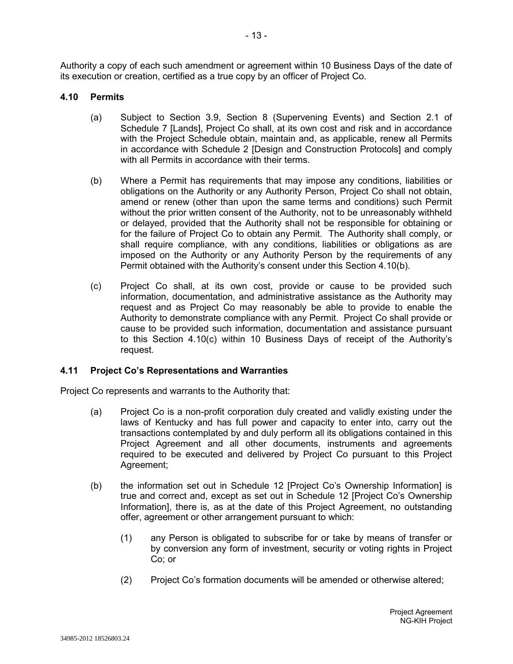Authority a copy of each such amendment or agreement within 10 Business Days of the date of its execution or creation, certified as a true copy by an officer of Project Co.

#### **4.10 Permits**

- (a) Subject to Section 3.9, Section 8 (Supervening Events) and Section 2.1 of Schedule 7 [Lands], Project Co shall, at its own cost and risk and in accordance with the Project Schedule obtain, maintain and, as applicable, renew all Permits in accordance with Schedule 2 [Design and Construction Protocols] and comply with all Permits in accordance with their terms.
- (b) Where a Permit has requirements that may impose any conditions, liabilities or obligations on the Authority or any Authority Person, Project Co shall not obtain, amend or renew (other than upon the same terms and conditions) such Permit without the prior written consent of the Authority, not to be unreasonably withheld or delayed, provided that the Authority shall not be responsible for obtaining or for the failure of Project Co to obtain any Permit. The Authority shall comply, or shall require compliance, with any conditions, liabilities or obligations as are imposed on the Authority or any Authority Person by the requirements of any Permit obtained with the Authority's consent under this Section 4.10(b).
- (c) Project Co shall, at its own cost, provide or cause to be provided such information, documentation, and administrative assistance as the Authority may request and as Project Co may reasonably be able to provide to enable the Authority to demonstrate compliance with any Permit. Project Co shall provide or cause to be provided such information, documentation and assistance pursuant to this Section 4.10(c) within 10 Business Days of receipt of the Authority's request.

# **4.11 Project Co's Representations and Warranties**

Project Co represents and warrants to the Authority that:

- (a) Project Co is a non-profit corporation duly created and validly existing under the laws of Kentucky and has full power and capacity to enter into, carry out the transactions contemplated by and duly perform all its obligations contained in this Project Agreement and all other documents, instruments and agreements required to be executed and delivered by Project Co pursuant to this Project Agreement;
- (b) the information set out in Schedule 12 [Project Co's Ownership Information] is true and correct and, except as set out in Schedule 12 [Project Co's Ownership Information], there is, as at the date of this Project Agreement, no outstanding offer, agreement or other arrangement pursuant to which:
	- (1) any Person is obligated to subscribe for or take by means of transfer or by conversion any form of investment, security or voting rights in Project Co; or
	- (2) Project Co's formation documents will be amended or otherwise altered;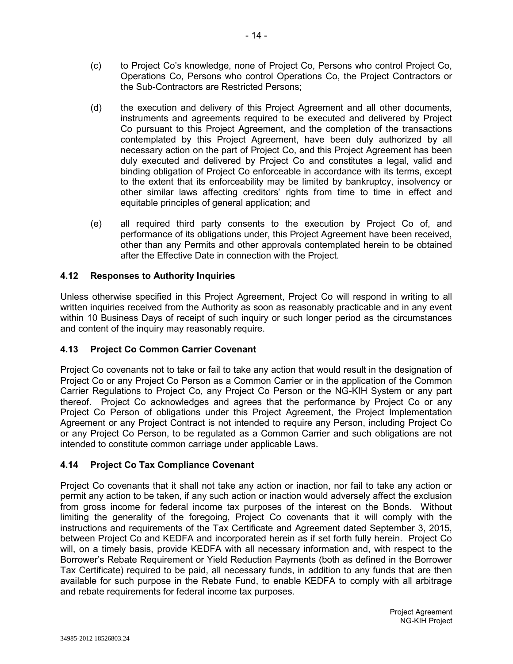- (c) to Project Co's knowledge, none of Project Co, Persons who control Project Co, Operations Co, Persons who control Operations Co, the Project Contractors or the Sub-Contractors are Restricted Persons;
- (d) the execution and delivery of this Project Agreement and all other documents, instruments and agreements required to be executed and delivered by Project Co pursuant to this Project Agreement, and the completion of the transactions contemplated by this Project Agreement, have been duly authorized by all necessary action on the part of Project Co, and this Project Agreement has been duly executed and delivered by Project Co and constitutes a legal, valid and binding obligation of Project Co enforceable in accordance with its terms, except to the extent that its enforceability may be limited by bankruptcy, insolvency or other similar laws affecting creditors' rights from time to time in effect and equitable principles of general application; and
- (e) all required third party consents to the execution by Project Co of, and performance of its obligations under, this Project Agreement have been received, other than any Permits and other approvals contemplated herein to be obtained after the Effective Date in connection with the Project.

# **4.12 Responses to Authority Inquiries**

Unless otherwise specified in this Project Agreement, Project Co will respond in writing to all written inquiries received from the Authority as soon as reasonably practicable and in any event within 10 Business Days of receipt of such inquiry or such longer period as the circumstances and content of the inquiry may reasonably require.

# **4.13 Project Co Common Carrier Covenant**

Project Co covenants not to take or fail to take any action that would result in the designation of Project Co or any Project Co Person as a Common Carrier or in the application of the Common Carrier Regulations to Project Co, any Project Co Person or the NG-KIH System or any part thereof. Project Co acknowledges and agrees that the performance by Project Co or any Project Co Person of obligations under this Project Agreement, the Project Implementation Agreement or any Project Contract is not intended to require any Person, including Project Co or any Project Co Person, to be regulated as a Common Carrier and such obligations are not intended to constitute common carriage under applicable Laws.

# **4.14 Project Co Tax Compliance Covenant**

Project Co covenants that it shall not take any action or inaction, nor fail to take any action or permit any action to be taken, if any such action or inaction would adversely affect the exclusion from gross income for federal income tax purposes of the interest on the Bonds. Without limiting the generality of the foregoing, Project Co covenants that it will comply with the instructions and requirements of the Tax Certificate and Agreement dated September 3, 2015, between Project Co and KEDFA and incorporated herein as if set forth fully herein. Project Co will, on a timely basis, provide KEDFA with all necessary information and, with respect to the Borrower's Rebate Requirement or Yield Reduction Payments (both as defined in the Borrower Tax Certificate) required to be paid, all necessary funds, in addition to any funds that are then available for such purpose in the Rebate Fund, to enable KEDFA to comply with all arbitrage and rebate requirements for federal income tax purposes.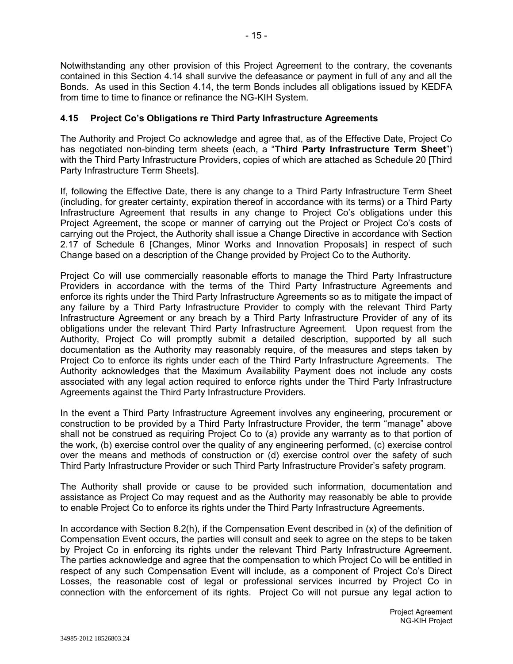Notwithstanding any other provision of this Project Agreement to the contrary, the covenants contained in this Section 4.14 shall survive the defeasance or payment in full of any and all the Bonds. As used in this Section 4.14, the term Bonds includes all obligations issued by KEDFA from time to time to finance or refinance the NG-KIH System.

# **4.15 Project Co's Obligations re Third Party Infrastructure Agreements**

The Authority and Project Co acknowledge and agree that, as of the Effective Date, Project Co has negotiated non-binding term sheets (each, a "**Third Party Infrastructure Term Sheet**") with the Third Party Infrastructure Providers, copies of which are attached as Schedule 20 [Third Party Infrastructure Term Sheets].

If, following the Effective Date, there is any change to a Third Party Infrastructure Term Sheet (including, for greater certainty, expiration thereof in accordance with its terms) or a Third Party Infrastructure Agreement that results in any change to Project Co's obligations under this Project Agreement, the scope or manner of carrying out the Project or Project Co's costs of carrying out the Project, the Authority shall issue a Change Directive in accordance with Section 2.17 of Schedule 6 [Changes, Minor Works and Innovation Proposals] in respect of such Change based on a description of the Change provided by Project Co to the Authority.

Project Co will use commercially reasonable efforts to manage the Third Party Infrastructure Providers in accordance with the terms of the Third Party Infrastructure Agreements and enforce its rights under the Third Party Infrastructure Agreements so as to mitigate the impact of any failure by a Third Party Infrastructure Provider to comply with the relevant Third Party Infrastructure Agreement or any breach by a Third Party Infrastructure Provider of any of its obligations under the relevant Third Party Infrastructure Agreement. Upon request from the Authority, Project Co will promptly submit a detailed description, supported by all such documentation as the Authority may reasonably require, of the measures and steps taken by Project Co to enforce its rights under each of the Third Party Infrastructure Agreements. The Authority acknowledges that the Maximum Availability Payment does not include any costs associated with any legal action required to enforce rights under the Third Party Infrastructure Agreements against the Third Party Infrastructure Providers.

In the event a Third Party Infrastructure Agreement involves any engineering, procurement or construction to be provided by a Third Party Infrastructure Provider, the term "manage" above shall not be construed as requiring Project Co to (a) provide any warranty as to that portion of the work, (b) exercise control over the quality of any engineering performed, (c) exercise control over the means and methods of construction or (d) exercise control over the safety of such Third Party Infrastructure Provider or such Third Party Infrastructure Provider's safety program.

The Authority shall provide or cause to be provided such information, documentation and assistance as Project Co may request and as the Authority may reasonably be able to provide to enable Project Co to enforce its rights under the Third Party Infrastructure Agreements.

In accordance with Section 8.2(h), if the Compensation Event described in (x) of the definition of Compensation Event occurs, the parties will consult and seek to agree on the steps to be taken by Project Co in enforcing its rights under the relevant Third Party Infrastructure Agreement. The parties acknowledge and agree that the compensation to which Project Co will be entitled in respect of any such Compensation Event will include, as a component of Project Co's Direct Losses, the reasonable cost of legal or professional services incurred by Project Co in connection with the enforcement of its rights. Project Co will not pursue any legal action to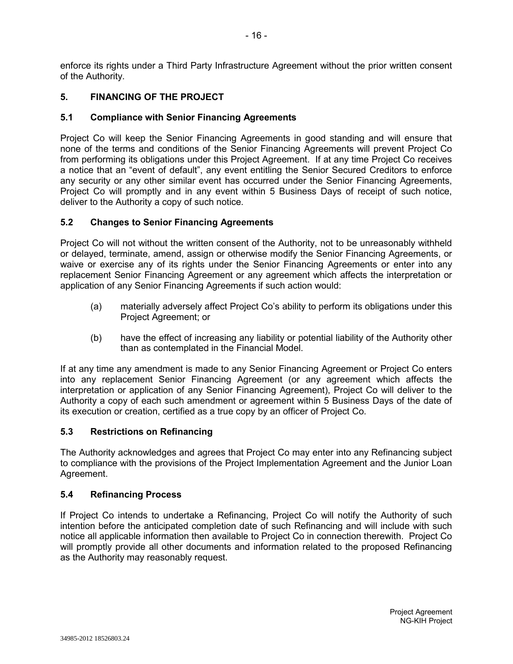enforce its rights under a Third Party Infrastructure Agreement without the prior written consent of the Authority.

# **5. FINANCING OF THE PROJECT**

# **5.1 Compliance with Senior Financing Agreements**

Project Co will keep the Senior Financing Agreements in good standing and will ensure that none of the terms and conditions of the Senior Financing Agreements will prevent Project Co from performing its obligations under this Project Agreement. If at any time Project Co receives a notice that an "event of default", any event entitling the Senior Secured Creditors to enforce any security or any other similar event has occurred under the Senior Financing Agreements, Project Co will promptly and in any event within 5 Business Days of receipt of such notice, deliver to the Authority a copy of such notice.

# **5.2 Changes to Senior Financing Agreements**

Project Co will not without the written consent of the Authority, not to be unreasonably withheld or delayed, terminate, amend, assign or otherwise modify the Senior Financing Agreements, or waive or exercise any of its rights under the Senior Financing Agreements or enter into any replacement Senior Financing Agreement or any agreement which affects the interpretation or application of any Senior Financing Agreements if such action would:

- (a) materially adversely affect Project Co's ability to perform its obligations under this Project Agreement; or
- (b) have the effect of increasing any liability or potential liability of the Authority other than as contemplated in the Financial Model.

If at any time any amendment is made to any Senior Financing Agreement or Project Co enters into any replacement Senior Financing Agreement (or any agreement which affects the interpretation or application of any Senior Financing Agreement), Project Co will deliver to the Authority a copy of each such amendment or agreement within 5 Business Days of the date of its execution or creation, certified as a true copy by an officer of Project Co.

# **5.3 Restrictions on Refinancing**

The Authority acknowledges and agrees that Project Co may enter into any Refinancing subject to compliance with the provisions of the Project Implementation Agreement and the Junior Loan Agreement.

# **5.4 Refinancing Process**

If Project Co intends to undertake a Refinancing, Project Co will notify the Authority of such intention before the anticipated completion date of such Refinancing and will include with such notice all applicable information then available to Project Co in connection therewith. Project Co will promptly provide all other documents and information related to the proposed Refinancing as the Authority may reasonably request.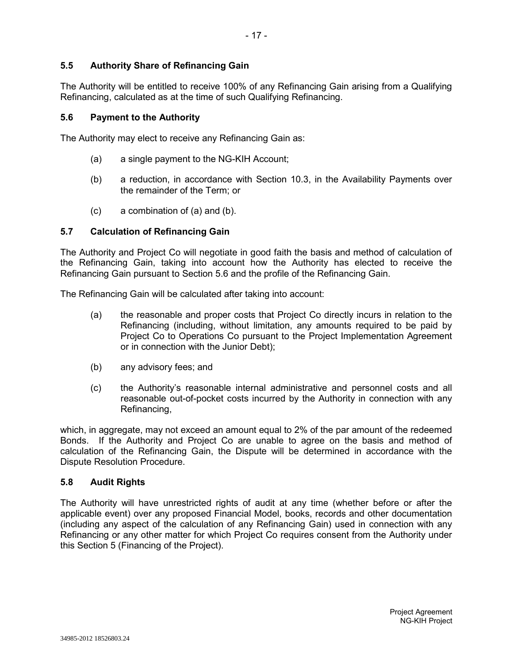# **5.5 Authority Share of Refinancing Gain**

The Authority will be entitled to receive 100% of any Refinancing Gain arising from a Qualifying Refinancing, calculated as at the time of such Qualifying Refinancing.

#### **5.6 Payment to the Authority**

The Authority may elect to receive any Refinancing Gain as:

- (a) a single payment to the NG-KIH Account;
- (b) a reduction, in accordance with Section 10.3, in the Availability Payments over the remainder of the Term; or
- (c) a combination of (a) and (b).

#### **5.7 Calculation of Refinancing Gain**

The Authority and Project Co will negotiate in good faith the basis and method of calculation of the Refinancing Gain, taking into account how the Authority has elected to receive the Refinancing Gain pursuant to Section 5.6 and the profile of the Refinancing Gain.

The Refinancing Gain will be calculated after taking into account:

- (a) the reasonable and proper costs that Project Co directly incurs in relation to the Refinancing (including, without limitation, any amounts required to be paid by Project Co to Operations Co pursuant to the Project Implementation Agreement or in connection with the Junior Debt);
- (b) any advisory fees; and
- (c) the Authority's reasonable internal administrative and personnel costs and all reasonable out-of-pocket costs incurred by the Authority in connection with any Refinancing,

which, in aggregate, may not exceed an amount equal to 2% of the par amount of the redeemed Bonds. If the Authority and Project Co are unable to agree on the basis and method of calculation of the Refinancing Gain, the Dispute will be determined in accordance with the Dispute Resolution Procedure.

#### **5.8 Audit Rights**

The Authority will have unrestricted rights of audit at any time (whether before or after the applicable event) over any proposed Financial Model, books, records and other documentation (including any aspect of the calculation of any Refinancing Gain) used in connection with any Refinancing or any other matter for which Project Co requires consent from the Authority under this Section 5 (Financing of the Project).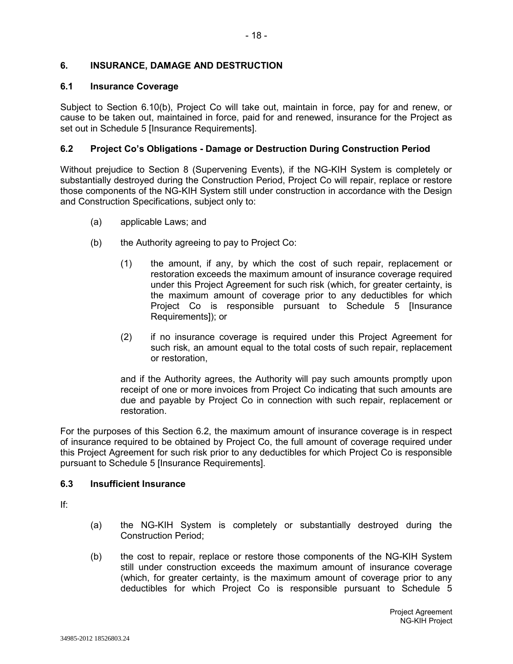## **6. INSURANCE, DAMAGE AND DESTRUCTION**

#### **6.1 Insurance Coverage**

Subject to Section 6.10(b), Project Co will take out, maintain in force, pay for and renew, or cause to be taken out, maintained in force, paid for and renewed, insurance for the Project as set out in Schedule 5 [Insurance Requirements].

#### **6.2 Project Co's Obligations - Damage or Destruction During Construction Period**

Without prejudice to Section 8 (Supervening Events), if the NG-KIH System is completely or substantially destroyed during the Construction Period, Project Co will repair, replace or restore those components of the NG-KIH System still under construction in accordance with the Design and Construction Specifications, subject only to:

- (a) applicable Laws; and
- (b) the Authority agreeing to pay to Project Co:
	- (1) the amount, if any, by which the cost of such repair, replacement or restoration exceeds the maximum amount of insurance coverage required under this Project Agreement for such risk (which, for greater certainty, is the maximum amount of coverage prior to any deductibles for which Project Co is responsible pursuant to Schedule 5 [Insurance Requirements]); or
	- (2) if no insurance coverage is required under this Project Agreement for such risk, an amount equal to the total costs of such repair, replacement or restoration,

and if the Authority agrees, the Authority will pay such amounts promptly upon receipt of one or more invoices from Project Co indicating that such amounts are due and payable by Project Co in connection with such repair, replacement or restoration.

For the purposes of this Section 6.2, the maximum amount of insurance coverage is in respect of insurance required to be obtained by Project Co, the full amount of coverage required under this Project Agreement for such risk prior to any deductibles for which Project Co is responsible pursuant to Schedule 5 [Insurance Requirements].

#### **6.3 Insufficient Insurance**

If:

- (a) the NG-KIH System is completely or substantially destroyed during the Construction Period;
- (b) the cost to repair, replace or restore those components of the NG-KIH System still under construction exceeds the maximum amount of insurance coverage (which, for greater certainty, is the maximum amount of coverage prior to any deductibles for which Project Co is responsible pursuant to Schedule 5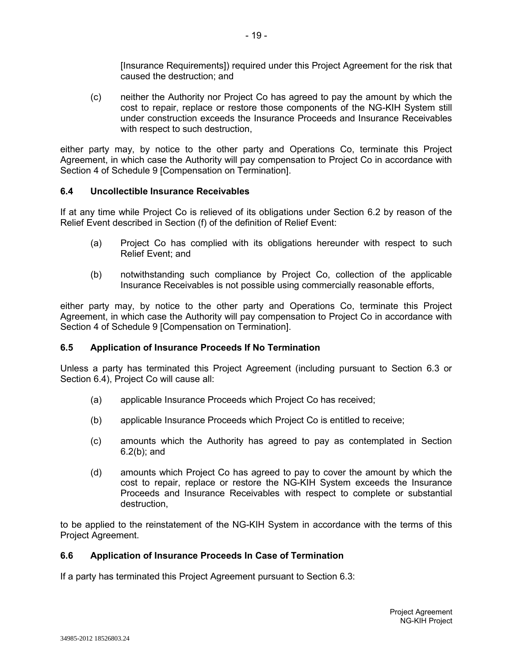[Insurance Requirements]) required under this Project Agreement for the risk that caused the destruction; and

(c) neither the Authority nor Project Co has agreed to pay the amount by which the cost to repair, replace or restore those components of the NG-KIH System still under construction exceeds the Insurance Proceeds and Insurance Receivables with respect to such destruction.

either party may, by notice to the other party and Operations Co, terminate this Project Agreement, in which case the Authority will pay compensation to Project Co in accordance with Section 4 of Schedule 9 [Compensation on Termination].

#### **6.4 Uncollectible Insurance Receivables**

If at any time while Project Co is relieved of its obligations under Section 6.2 by reason of the Relief Event described in Section (f) of the definition of Relief Event:

- (a) Project Co has complied with its obligations hereunder with respect to such Relief Event; and
- (b) notwithstanding such compliance by Project Co, collection of the applicable Insurance Receivables is not possible using commercially reasonable efforts,

either party may, by notice to the other party and Operations Co, terminate this Project Agreement, in which case the Authority will pay compensation to Project Co in accordance with Section 4 of Schedule 9 [Compensation on Termination].

# **6.5 Application of Insurance Proceeds If No Termination**

Unless a party has terminated this Project Agreement (including pursuant to Section 6.3 or Section 6.4), Project Co will cause all:

- (a) applicable Insurance Proceeds which Project Co has received;
- (b) applicable Insurance Proceeds which Project Co is entitled to receive;
- (c) amounts which the Authority has agreed to pay as contemplated in Section 6.2(b); and
- (d) amounts which Project Co has agreed to pay to cover the amount by which the cost to repair, replace or restore the NG-KIH System exceeds the Insurance Proceeds and Insurance Receivables with respect to complete or substantial destruction,

to be applied to the reinstatement of the NG-KIH System in accordance with the terms of this Project Agreement.

#### **6.6 Application of Insurance Proceeds In Case of Termination**

If a party has terminated this Project Agreement pursuant to Section 6.3: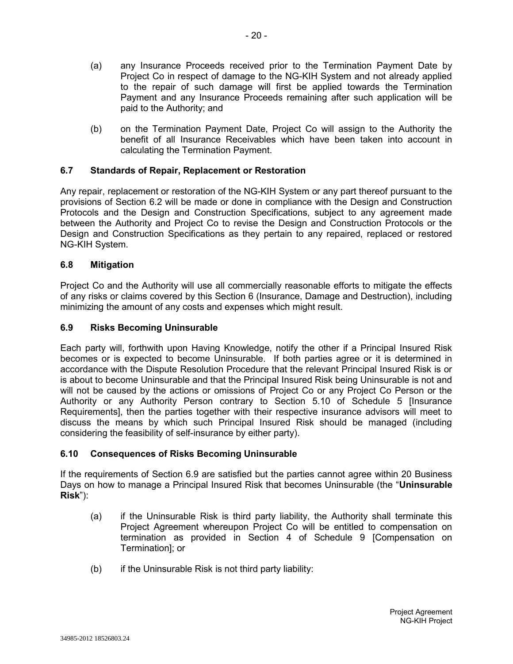- (a) any Insurance Proceeds received prior to the Termination Payment Date by Project Co in respect of damage to the NG-KIH System and not already applied to the repair of such damage will first be applied towards the Termination Payment and any Insurance Proceeds remaining after such application will be paid to the Authority; and
- (b) on the Termination Payment Date, Project Co will assign to the Authority the benefit of all Insurance Receivables which have been taken into account in calculating the Termination Payment.

# **6.7 Standards of Repair, Replacement or Restoration**

Any repair, replacement or restoration of the NG-KIH System or any part thereof pursuant to the provisions of Section 6.2 will be made or done in compliance with the Design and Construction Protocols and the Design and Construction Specifications, subject to any agreement made between the Authority and Project Co to revise the Design and Construction Protocols or the Design and Construction Specifications as they pertain to any repaired, replaced or restored NG-KIH System.

#### **6.8 Mitigation**

Project Co and the Authority will use all commercially reasonable efforts to mitigate the effects of any risks or claims covered by this Section 6 (Insurance, Damage and Destruction), including minimizing the amount of any costs and expenses which might result.

#### **6.9 Risks Becoming Uninsurable**

Each party will, forthwith upon Having Knowledge, notify the other if a Principal Insured Risk becomes or is expected to become Uninsurable. If both parties agree or it is determined in accordance with the Dispute Resolution Procedure that the relevant Principal Insured Risk is or is about to become Uninsurable and that the Principal Insured Risk being Uninsurable is not and will not be caused by the actions or omissions of Project Co or any Project Co Person or the Authority or any Authority Person contrary to Section 5.10 of Schedule 5 [Insurance Requirements], then the parties together with their respective insurance advisors will meet to discuss the means by which such Principal Insured Risk should be managed (including considering the feasibility of self-insurance by either party).

# **6.10 Consequences of Risks Becoming Uninsurable**

If the requirements of Section 6.9 are satisfied but the parties cannot agree within 20 Business Days on how to manage a Principal Insured Risk that becomes Uninsurable (the "**Uninsurable Risk**"):

- (a) if the Uninsurable Risk is third party liability, the Authority shall terminate this Project Agreement whereupon Project Co will be entitled to compensation on termination as provided in Section 4 of Schedule 9 [Compensation on Termination]; or
- (b) if the Uninsurable Risk is not third party liability: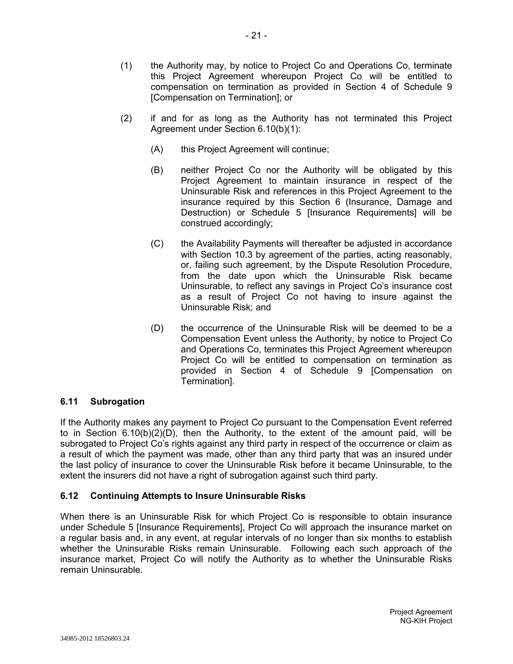- (1) the Authority may, by notice to Project Co and Operations Co, terminate this Project Agreement whereupon Project Co will be entitled to compensation on termination as provided in Section 4 of Schedule 9 [Compensation on Termination]; or
- (2) if and for as long as the Authority has not terminated this Project Agreement under Section 6.10(b)(1):
	- (A) this Project Agreement will continue;
	- (B) neither Project Co nor the Authority will be obligated by this Project Agreement to maintain insurance in respect of the Uninsurable Risk and references in this Project Agreement to the insurance required by this Section 6 (Insurance, Damage and Destruction) or Schedule 5 [Insurance Requirements] will be construed accordingly;
	- (C) the Availability Payments will thereafter be adjusted in accordance with Section 10.3 by agreement of the parties, acting reasonably, or, failing such agreement, by the Dispute Resolution Procedure, from the date upon which the Uninsurable Risk became Uninsurable, to reflect any savings in Project Co's insurance cost as a result of Project Co not having to insure against the Uninsurable Risk; and
	- (D) the occurrence of the Uninsurable Risk will be deemed to be a Compensation Event unless the Authority, by notice to Project Co and Operations Co, terminates this Project Agreement whereupon Project Co will be entitled to compensation on termination as provided in Section 4 of Schedule 9 [Compensation on Termination].

# **6.11 Subrogation**

If the Authority makes any payment to Project Co pursuant to the Compensation Event referred to in Section 6.10(b)(2)(D), then the Authority, to the extent of the amount paid, will be subrogated to Project Co's rights against any third party in respect of the occurrence or claim as a result of which the payment was made, other than any third party that was an insured under the last policy of insurance to cover the Uninsurable Risk before it became Uninsurable, to the extent the insurers did not have a right of subrogation against such third party.

# **6.12 Continuing Attempts to Insure Uninsurable Risks**

When there is an Uninsurable Risk for which Project Co is responsible to obtain insurance under Schedule 5 [Insurance Requirements], Project Co will approach the insurance market on a regular basis and, in any event, at regular intervals of no longer than six months to establish whether the Uninsurable Risks remain Uninsurable. Following each such approach of the insurance market, Project Co will notify the Authority as to whether the Uninsurable Risks remain Uninsurable.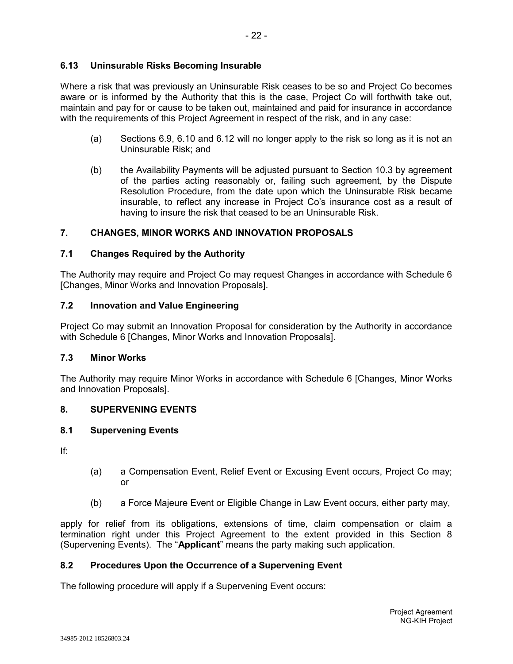# **6.13 Uninsurable Risks Becoming Insurable**

Where a risk that was previously an Uninsurable Risk ceases to be so and Project Co becomes aware or is informed by the Authority that this is the case, Project Co will forthwith take out, maintain and pay for or cause to be taken out, maintained and paid for insurance in accordance with the requirements of this Project Agreement in respect of the risk, and in any case:

- (a) Sections 6.9, 6.10 and 6.12 will no longer apply to the risk so long as it is not an Uninsurable Risk; and
- (b) the Availability Payments will be adjusted pursuant to Section 10.3 by agreement of the parties acting reasonably or, failing such agreement, by the Dispute Resolution Procedure, from the date upon which the Uninsurable Risk became insurable, to reflect any increase in Project Co's insurance cost as a result of having to insure the risk that ceased to be an Uninsurable Risk.

# **7. CHANGES, MINOR WORKS AND INNOVATION PROPOSALS**

# **7.1 Changes Required by the Authority**

The Authority may require and Project Co may request Changes in accordance with Schedule 6 [Changes, Minor Works and Innovation Proposals].

# **7.2 Innovation and Value Engineering**

Project Co may submit an Innovation Proposal for consideration by the Authority in accordance with Schedule 6 [Changes, Minor Works and Innovation Proposals].

# **7.3 Minor Works**

The Authority may require Minor Works in accordance with Schedule 6 [Changes, Minor Works and Innovation Proposals].

# **8. SUPERVENING EVENTS**

#### **8.1 Supervening Events**

If:

- (a) a Compensation Event, Relief Event or Excusing Event occurs, Project Co may; or
- (b) a Force Majeure Event or Eligible Change in Law Event occurs, either party may,

apply for relief from its obligations, extensions of time, claim compensation or claim a termination right under this Project Agreement to the extent provided in this Section 8 (Supervening Events). The "**Applicant**" means the party making such application.

# **8.2 Procedures Upon the Occurrence of a Supervening Event**

The following procedure will apply if a Supervening Event occurs: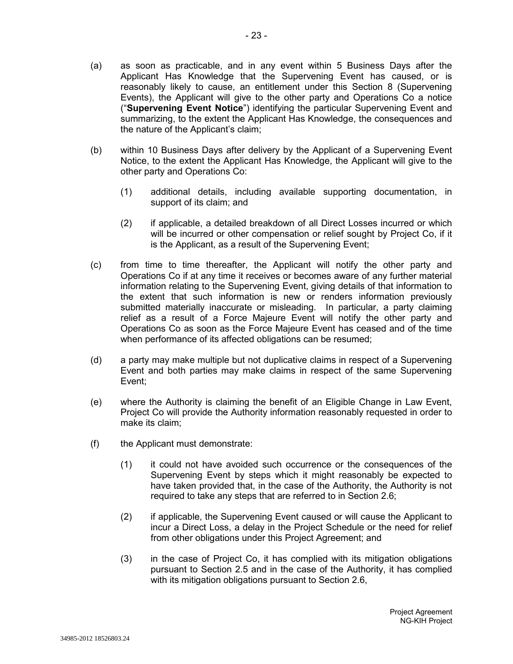- (a) as soon as practicable, and in any event within 5 Business Days after the Applicant Has Knowledge that the Supervening Event has caused, or is reasonably likely to cause, an entitlement under this Section 8 (Supervening Events), the Applicant will give to the other party and Operations Co a notice ("**Supervening Event Notice**") identifying the particular Supervening Event and summarizing, to the extent the Applicant Has Knowledge, the consequences and the nature of the Applicant's claim;
- (b) within 10 Business Days after delivery by the Applicant of a Supervening Event Notice, to the extent the Applicant Has Knowledge, the Applicant will give to the other party and Operations Co:
	- (1) additional details, including available supporting documentation, in support of its claim; and
	- (2) if applicable, a detailed breakdown of all Direct Losses incurred or which will be incurred or other compensation or relief sought by Project Co, if it is the Applicant, as a result of the Supervening Event;
- (c) from time to time thereafter, the Applicant will notify the other party and Operations Co if at any time it receives or becomes aware of any further material information relating to the Supervening Event, giving details of that information to the extent that such information is new or renders information previously submitted materially inaccurate or misleading. In particular, a party claiming relief as a result of a Force Majeure Event will notify the other party and Operations Co as soon as the Force Majeure Event has ceased and of the time when performance of its affected obligations can be resumed;
- (d) a party may make multiple but not duplicative claims in respect of a Supervening Event and both parties may make claims in respect of the same Supervening Event;
- (e) where the Authority is claiming the benefit of an Eligible Change in Law Event, Project Co will provide the Authority information reasonably requested in order to make its claim;
- (f) the Applicant must demonstrate:
	- (1) it could not have avoided such occurrence or the consequences of the Supervening Event by steps which it might reasonably be expected to have taken provided that, in the case of the Authority, the Authority is not required to take any steps that are referred to in Section 2.6;
	- (2) if applicable, the Supervening Event caused or will cause the Applicant to incur a Direct Loss, a delay in the Project Schedule or the need for relief from other obligations under this Project Agreement; and
	- (3) in the case of Project Co, it has complied with its mitigation obligations pursuant to Section 2.5 and in the case of the Authority, it has complied with its mitigation obligations pursuant to Section 2.6,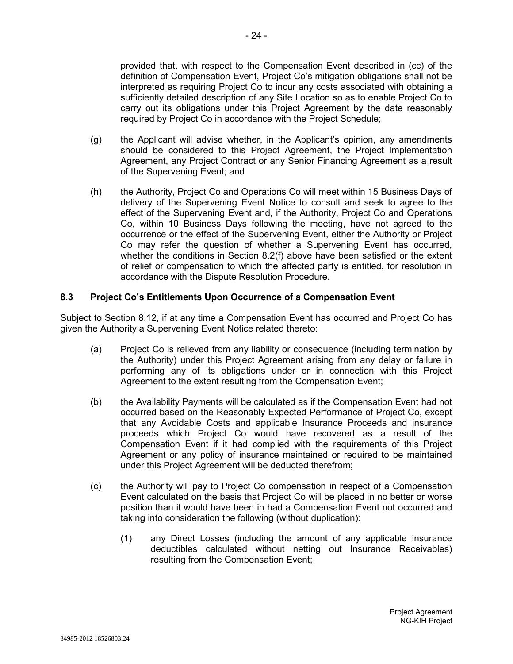provided that, with respect to the Compensation Event described in (cc) of the definition of Compensation Event, Project Co's mitigation obligations shall not be interpreted as requiring Project Co to incur any costs associated with obtaining a sufficiently detailed description of any Site Location so as to enable Project Co to carry out its obligations under this Project Agreement by the date reasonably required by Project Co in accordance with the Project Schedule;

- (g) the Applicant will advise whether, in the Applicant's opinion, any amendments should be considered to this Project Agreement, the Project Implementation Agreement, any Project Contract or any Senior Financing Agreement as a result of the Supervening Event; and
- (h) the Authority, Project Co and Operations Co will meet within 15 Business Days of delivery of the Supervening Event Notice to consult and seek to agree to the effect of the Supervening Event and, if the Authority, Project Co and Operations Co, within 10 Business Days following the meeting, have not agreed to the occurrence or the effect of the Supervening Event, either the Authority or Project Co may refer the question of whether a Supervening Event has occurred, whether the conditions in Section 8.2(f) above have been satisfied or the extent of relief or compensation to which the affected party is entitled, for resolution in accordance with the Dispute Resolution Procedure.

#### **8.3 Project Co's Entitlements Upon Occurrence of a Compensation Event**

Subject to Section 8.12, if at any time a Compensation Event has occurred and Project Co has given the Authority a Supervening Event Notice related thereto:

- (a) Project Co is relieved from any liability or consequence (including termination by the Authority) under this Project Agreement arising from any delay or failure in performing any of its obligations under or in connection with this Project Agreement to the extent resulting from the Compensation Event;
- (b) the Availability Payments will be calculated as if the Compensation Event had not occurred based on the Reasonably Expected Performance of Project Co, except that any Avoidable Costs and applicable Insurance Proceeds and insurance proceeds which Project Co would have recovered as a result of the Compensation Event if it had complied with the requirements of this Project Agreement or any policy of insurance maintained or required to be maintained under this Project Agreement will be deducted therefrom;
- (c) the Authority will pay to Project Co compensation in respect of a Compensation Event calculated on the basis that Project Co will be placed in no better or worse position than it would have been in had a Compensation Event not occurred and taking into consideration the following (without duplication):
	- (1) any Direct Losses (including the amount of any applicable insurance deductibles calculated without netting out Insurance Receivables) resulting from the Compensation Event;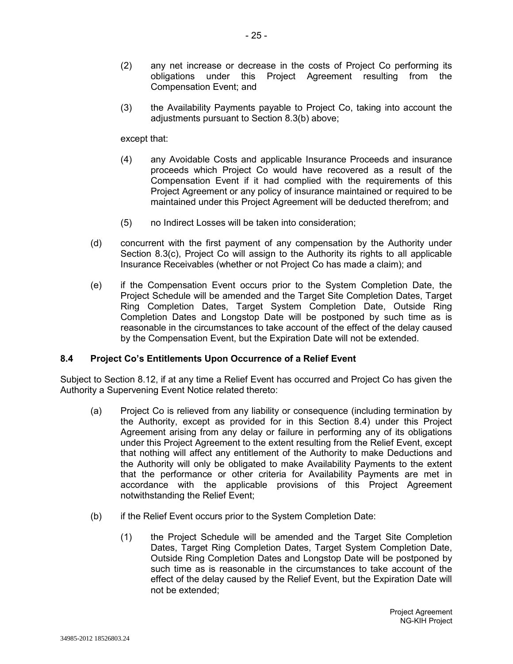- (2) any net increase or decrease in the costs of Project Co performing its obligations under this Project Agreement resulting from the Compensation Event; and
- (3) the Availability Payments payable to Project Co, taking into account the adjustments pursuant to Section 8.3(b) above;

except that:

- (4) any Avoidable Costs and applicable Insurance Proceeds and insurance proceeds which Project Co would have recovered as a result of the Compensation Event if it had complied with the requirements of this Project Agreement or any policy of insurance maintained or required to be maintained under this Project Agreement will be deducted therefrom; and
- (5) no Indirect Losses will be taken into consideration;
- (d) concurrent with the first payment of any compensation by the Authority under Section 8.3(c), Project Co will assign to the Authority its rights to all applicable Insurance Receivables (whether or not Project Co has made a claim); and
- (e) if the Compensation Event occurs prior to the System Completion Date, the Project Schedule will be amended and the Target Site Completion Dates, Target Ring Completion Dates, Target System Completion Date, Outside Ring Completion Dates and Longstop Date will be postponed by such time as is reasonable in the circumstances to take account of the effect of the delay caused by the Compensation Event, but the Expiration Date will not be extended.

#### **8.4 Project Co's Entitlements Upon Occurrence of a Relief Event**

Subject to Section 8.12, if at any time a Relief Event has occurred and Project Co has given the Authority a Supervening Event Notice related thereto:

- (a) Project Co is relieved from any liability or consequence (including termination by the Authority, except as provided for in this Section 8.4) under this Project Agreement arising from any delay or failure in performing any of its obligations under this Project Agreement to the extent resulting from the Relief Event, except that nothing will affect any entitlement of the Authority to make Deductions and the Authority will only be obligated to make Availability Payments to the extent that the performance or other criteria for Availability Payments are met in accordance with the applicable provisions of this Project Agreement notwithstanding the Relief Event;
- (b) if the Relief Event occurs prior to the System Completion Date:
	- (1) the Project Schedule will be amended and the Target Site Completion Dates, Target Ring Completion Dates, Target System Completion Date, Outside Ring Completion Dates and Longstop Date will be postponed by such time as is reasonable in the circumstances to take account of the effect of the delay caused by the Relief Event, but the Expiration Date will not be extended;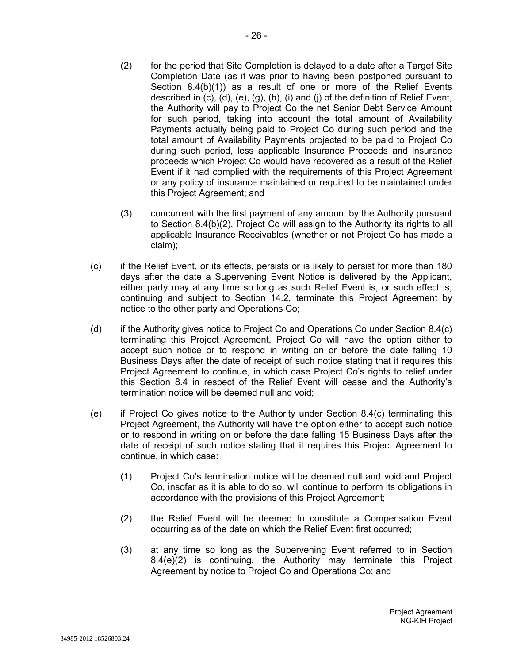- (2) for the period that Site Completion is delayed to a date after a Target Site Completion Date (as it was prior to having been postponed pursuant to Section 8.4(b)(1)) as a result of one or more of the Relief Events described in (c), (d), (e), (g), (h), (i) and (j) of the definition of Relief Event, the Authority will pay to Project Co the net Senior Debt Service Amount for such period, taking into account the total amount of Availability Payments actually being paid to Project Co during such period and the total amount of Availability Payments projected to be paid to Project Co during such period, less applicable Insurance Proceeds and insurance proceeds which Project Co would have recovered as a result of the Relief Event if it had complied with the requirements of this Project Agreement or any policy of insurance maintained or required to be maintained under this Project Agreement; and
- (3) concurrent with the first payment of any amount by the Authority pursuant to Section 8.4(b)(2), Project Co will assign to the Authority its rights to all applicable Insurance Receivables (whether or not Project Co has made a claim);
- (c) if the Relief Event, or its effects, persists or is likely to persist for more than 180 days after the date a Supervening Event Notice is delivered by the Applicant, either party may at any time so long as such Relief Event is, or such effect is, continuing and subject to Section 14.2, terminate this Project Agreement by notice to the other party and Operations Co;
- (d) if the Authority gives notice to Project Co and Operations Co under Section 8.4(c) terminating this Project Agreement, Project Co will have the option either to accept such notice or to respond in writing on or before the date falling 10 Business Days after the date of receipt of such notice stating that it requires this Project Agreement to continue, in which case Project Co's rights to relief under this Section 8.4 in respect of the Relief Event will cease and the Authority's termination notice will be deemed null and void;
- (e) if Project Co gives notice to the Authority under Section 8.4(c) terminating this Project Agreement, the Authority will have the option either to accept such notice or to respond in writing on or before the date falling 15 Business Days after the date of receipt of such notice stating that it requires this Project Agreement to continue, in which case:
	- (1) Project Co's termination notice will be deemed null and void and Project Co, insofar as it is able to do so, will continue to perform its obligations in accordance with the provisions of this Project Agreement;
	- (2) the Relief Event will be deemed to constitute a Compensation Event occurring as of the date on which the Relief Event first occurred;
	- (3) at any time so long as the Supervening Event referred to in Section 8.4(e)(2) is continuing, the Authority may terminate this Project Agreement by notice to Project Co and Operations Co; and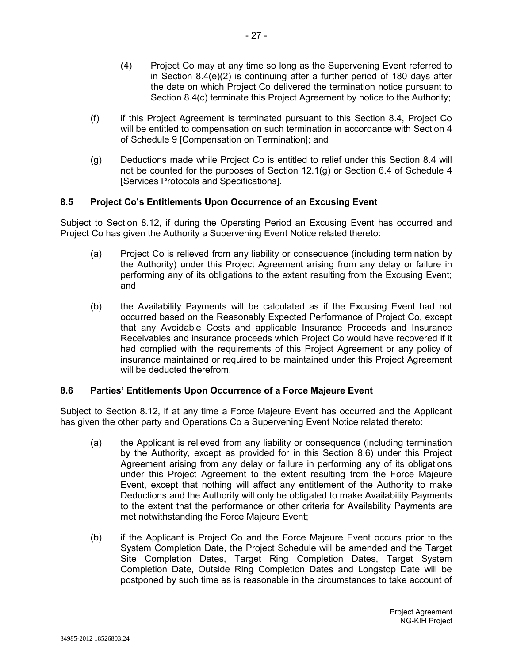- (4) Project Co may at any time so long as the Supervening Event referred to in Section 8.4(e)(2) is continuing after a further period of 180 days after the date on which Project Co delivered the termination notice pursuant to Section 8.4(c) terminate this Project Agreement by notice to the Authority;
- (f) if this Project Agreement is terminated pursuant to this Section 8.4, Project Co will be entitled to compensation on such termination in accordance with Section 4 of Schedule 9 [Compensation on Termination]; and
- (g) Deductions made while Project Co is entitled to relief under this Section 8.4 will not be counted for the purposes of Section 12.1(g) or Section 6.4 of Schedule 4 [Services Protocols and Specifications].

#### **8.5 Project Co's Entitlements Upon Occurrence of an Excusing Event**

Subject to Section 8.12, if during the Operating Period an Excusing Event has occurred and Project Co has given the Authority a Supervening Event Notice related thereto:

- (a) Project Co is relieved from any liability or consequence (including termination by the Authority) under this Project Agreement arising from any delay or failure in performing any of its obligations to the extent resulting from the Excusing Event; and
- (b) the Availability Payments will be calculated as if the Excusing Event had not occurred based on the Reasonably Expected Performance of Project Co, except that any Avoidable Costs and applicable Insurance Proceeds and Insurance Receivables and insurance proceeds which Project Co would have recovered if it had complied with the requirements of this Project Agreement or any policy of insurance maintained or required to be maintained under this Project Agreement will be deducted therefrom.

# **8.6 Parties' Entitlements Upon Occurrence of a Force Majeure Event**

Subject to Section 8.12, if at any time a Force Majeure Event has occurred and the Applicant has given the other party and Operations Co a Supervening Event Notice related thereto:

- (a) the Applicant is relieved from any liability or consequence (including termination by the Authority, except as provided for in this Section 8.6) under this Project Agreement arising from any delay or failure in performing any of its obligations under this Project Agreement to the extent resulting from the Force Majeure Event, except that nothing will affect any entitlement of the Authority to make Deductions and the Authority will only be obligated to make Availability Payments to the extent that the performance or other criteria for Availability Payments are met notwithstanding the Force Majeure Event;
- (b) if the Applicant is Project Co and the Force Majeure Event occurs prior to the System Completion Date, the Project Schedule will be amended and the Target Site Completion Dates, Target Ring Completion Dates, Target System Completion Date, Outside Ring Completion Dates and Longstop Date will be postponed by such time as is reasonable in the circumstances to take account of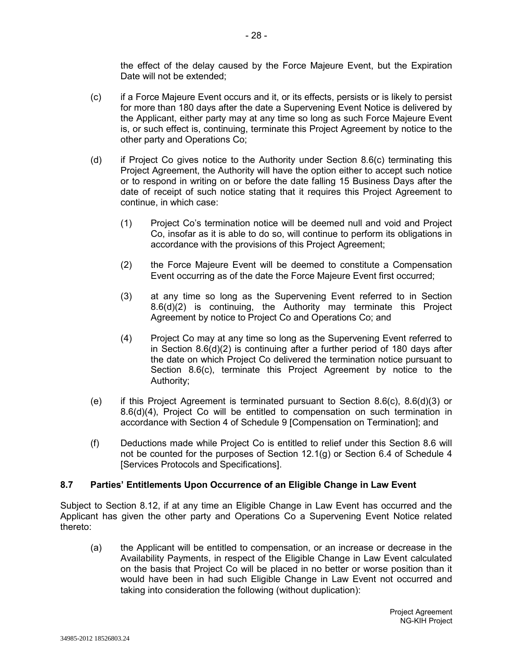the effect of the delay caused by the Force Majeure Event, but the Expiration Date will not be extended;

- (c) if a Force Majeure Event occurs and it, or its effects, persists or is likely to persist for more than 180 days after the date a Supervening Event Notice is delivered by the Applicant, either party may at any time so long as such Force Majeure Event is, or such effect is, continuing, terminate this Project Agreement by notice to the other party and Operations Co;
- (d) if Project Co gives notice to the Authority under Section 8.6(c) terminating this Project Agreement, the Authority will have the option either to accept such notice or to respond in writing on or before the date falling 15 Business Days after the date of receipt of such notice stating that it requires this Project Agreement to continue, in which case:
	- (1) Project Co's termination notice will be deemed null and void and Project Co, insofar as it is able to do so, will continue to perform its obligations in accordance with the provisions of this Project Agreement;
	- (2) the Force Majeure Event will be deemed to constitute a Compensation Event occurring as of the date the Force Majeure Event first occurred;
	- (3) at any time so long as the Supervening Event referred to in Section 8.6(d)(2) is continuing, the Authority may terminate this Project Agreement by notice to Project Co and Operations Co; and
	- (4) Project Co may at any time so long as the Supervening Event referred to in Section 8.6(d)(2) is continuing after a further period of 180 days after the date on which Project Co delivered the termination notice pursuant to Section 8.6(c), terminate this Project Agreement by notice to the Authority;
- (e) if this Project Agreement is terminated pursuant to Section 8.6(c), 8.6(d)(3) or 8.6(d)(4), Project Co will be entitled to compensation on such termination in accordance with Section 4 of Schedule 9 [Compensation on Termination]; and
- (f) Deductions made while Project Co is entitled to relief under this Section 8.6 will not be counted for the purposes of Section 12.1(g) or Section 6.4 of Schedule 4 [Services Protocols and Specifications].

# **8.7 Parties' Entitlements Upon Occurrence of an Eligible Change in Law Event**

Subject to Section 8.12, if at any time an Eligible Change in Law Event has occurred and the Applicant has given the other party and Operations Co a Supervening Event Notice related thereto:

(a) the Applicant will be entitled to compensation, or an increase or decrease in the Availability Payments, in respect of the Eligible Change in Law Event calculated on the basis that Project Co will be placed in no better or worse position than it would have been in had such Eligible Change in Law Event not occurred and taking into consideration the following (without duplication):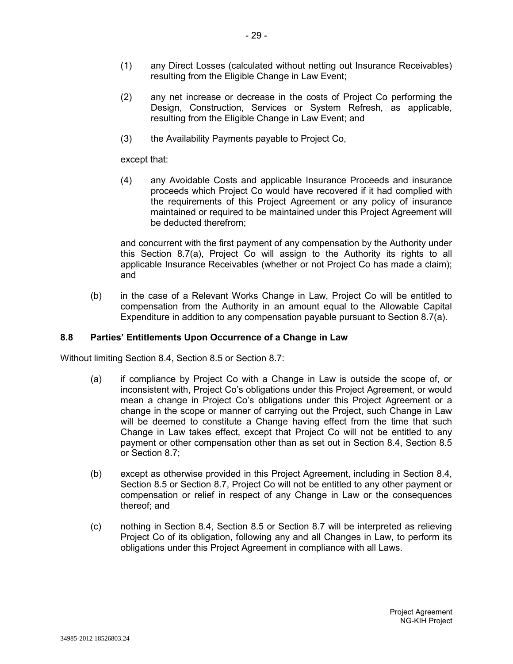- (1) any Direct Losses (calculated without netting out Insurance Receivables) resulting from the Eligible Change in Law Event;
- (2) any net increase or decrease in the costs of Project Co performing the Design, Construction, Services or System Refresh, as applicable, resulting from the Eligible Change in Law Event; and
- (3) the Availability Payments payable to Project Co,

except that:

(4) any Avoidable Costs and applicable Insurance Proceeds and insurance proceeds which Project Co would have recovered if it had complied with the requirements of this Project Agreement or any policy of insurance maintained or required to be maintained under this Project Agreement will be deducted therefrom;

and concurrent with the first payment of any compensation by the Authority under this Section 8.7(a), Project Co will assign to the Authority its rights to all applicable Insurance Receivables (whether or not Project Co has made a claim); and

(b) in the case of a Relevant Works Change in Law, Project Co will be entitled to compensation from the Authority in an amount equal to the Allowable Capital Expenditure in addition to any compensation payable pursuant to Section 8.7(a).

# **8.8 Parties' Entitlements Upon Occurrence of a Change in Law**

Without limiting Section 8.4, Section 8.5 or Section 8.7:

- (a) if compliance by Project Co with a Change in Law is outside the scope of, or inconsistent with, Project Co's obligations under this Project Agreement, or would mean a change in Project Co's obligations under this Project Agreement or a change in the scope or manner of carrying out the Project, such Change in Law will be deemed to constitute a Change having effect from the time that such Change in Law takes effect, except that Project Co will not be entitled to any payment or other compensation other than as set out in Section 8.4, Section 8.5 or Section 8.7;
- (b) except as otherwise provided in this Project Agreement, including in Section 8.4, Section 8.5 or Section 8.7, Project Co will not be entitled to any other payment or compensation or relief in respect of any Change in Law or the consequences thereof; and
- (c) nothing in Section 8.4, Section 8.5 or Section 8.7 will be interpreted as relieving Project Co of its obligation, following any and all Changes in Law, to perform its obligations under this Project Agreement in compliance with all Laws.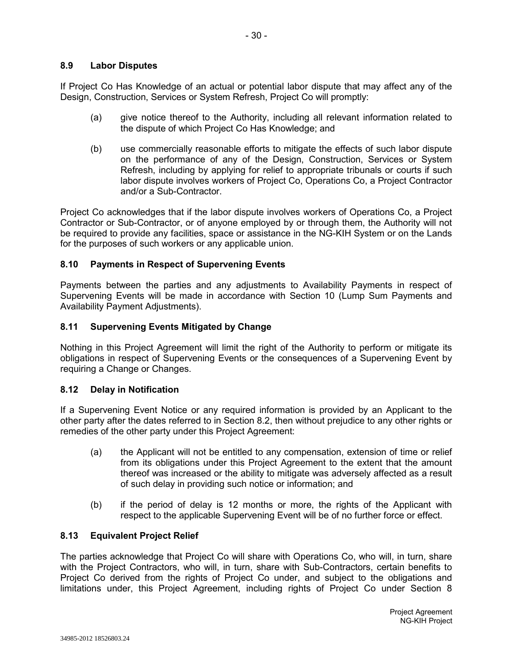# **8.9 Labor Disputes**

If Project Co Has Knowledge of an actual or potential labor dispute that may affect any of the Design, Construction, Services or System Refresh, Project Co will promptly:

- (a) give notice thereof to the Authority, including all relevant information related to the dispute of which Project Co Has Knowledge; and
- (b) use commercially reasonable efforts to mitigate the effects of such labor dispute on the performance of any of the Design, Construction, Services or System Refresh, including by applying for relief to appropriate tribunals or courts if such labor dispute involves workers of Project Co, Operations Co, a Project Contractor and/or a Sub-Contractor.

Project Co acknowledges that if the labor dispute involves workers of Operations Co, a Project Contractor or Sub-Contractor, or of anyone employed by or through them, the Authority will not be required to provide any facilities, space or assistance in the NG-KIH System or on the Lands for the purposes of such workers or any applicable union.

# **8.10 Payments in Respect of Supervening Events**

Payments between the parties and any adjustments to Availability Payments in respect of Supervening Events will be made in accordance with Section 10 (Lump Sum Payments and Availability Payment Adjustments).

# **8.11 Supervening Events Mitigated by Change**

Nothing in this Project Agreement will limit the right of the Authority to perform or mitigate its obligations in respect of Supervening Events or the consequences of a Supervening Event by requiring a Change or Changes.

# **8.12 Delay in Notification**

If a Supervening Event Notice or any required information is provided by an Applicant to the other party after the dates referred to in Section 8.2, then without prejudice to any other rights or remedies of the other party under this Project Agreement:

- (a) the Applicant will not be entitled to any compensation, extension of time or relief from its obligations under this Project Agreement to the extent that the amount thereof was increased or the ability to mitigate was adversely affected as a result of such delay in providing such notice or information; and
- (b) if the period of delay is 12 months or more, the rights of the Applicant with respect to the applicable Supervening Event will be of no further force or effect.

# **8.13 Equivalent Project Relief**

The parties acknowledge that Project Co will share with Operations Co, who will, in turn, share with the Project Contractors, who will, in turn, share with Sub-Contractors, certain benefits to Project Co derived from the rights of Project Co under, and subject to the obligations and limitations under, this Project Agreement, including rights of Project Co under Section 8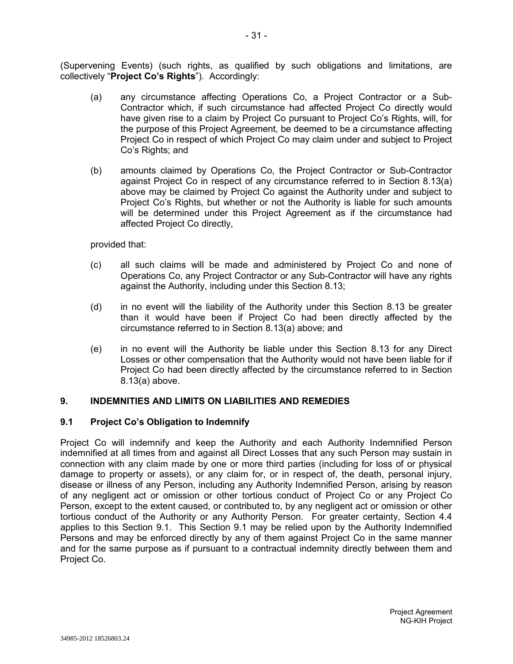(Supervening Events) (such rights, as qualified by such obligations and limitations, are collectively "**Project Co's Rights**"). Accordingly:

- (a) any circumstance affecting Operations Co, a Project Contractor or a Sub-Contractor which, if such circumstance had affected Project Co directly would have given rise to a claim by Project Co pursuant to Project Co's Rights, will, for the purpose of this Project Agreement, be deemed to be a circumstance affecting Project Co in respect of which Project Co may claim under and subject to Project Co's Rights; and
- (b) amounts claimed by Operations Co, the Project Contractor or Sub-Contractor against Project Co in respect of any circumstance referred to in Section 8.13(a) above may be claimed by Project Co against the Authority under and subject to Project Co's Rights, but whether or not the Authority is liable for such amounts will be determined under this Project Agreement as if the circumstance had affected Project Co directly,

provided that:

- (c) all such claims will be made and administered by Project Co and none of Operations Co, any Project Contractor or any Sub-Contractor will have any rights against the Authority, including under this Section 8.13;
- (d) in no event will the liability of the Authority under this Section 8.13 be greater than it would have been if Project Co had been directly affected by the circumstance referred to in Section 8.13(a) above; and
- (e) in no event will the Authority be liable under this Section 8.13 for any Direct Losses or other compensation that the Authority would not have been liable for if Project Co had been directly affected by the circumstance referred to in Section 8.13(a) above.

## **9. INDEMNITIES AND LIMITS ON LIABILITIES AND REMEDIES**

## **9.1 Project Co's Obligation to Indemnify**

Project Co will indemnify and keep the Authority and each Authority Indemnified Person indemnified at all times from and against all Direct Losses that any such Person may sustain in connection with any claim made by one or more third parties (including for loss of or physical damage to property or assets), or any claim for, or in respect of, the death, personal injury, disease or illness of any Person, including any Authority Indemnified Person, arising by reason of any negligent act or omission or other tortious conduct of Project Co or any Project Co Person, except to the extent caused, or contributed to, by any negligent act or omission or other tortious conduct of the Authority or any Authority Person. For greater certainty, Section 4.4 applies to this Section 9.1. This Section 9.1 may be relied upon by the Authority Indemnified Persons and may be enforced directly by any of them against Project Co in the same manner and for the same purpose as if pursuant to a contractual indemnity directly between them and Project Co.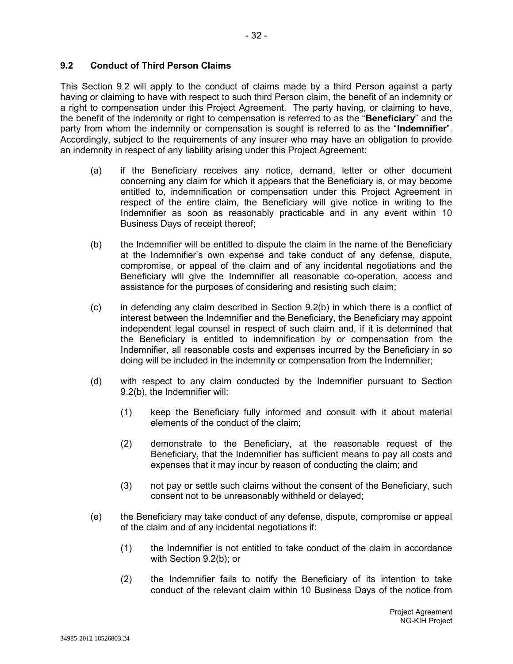## **9.2 Conduct of Third Person Claims**

This Section 9.2 will apply to the conduct of claims made by a third Person against a party having or claiming to have with respect to such third Person claim, the benefit of an indemnity or a right to compensation under this Project Agreement. The party having, or claiming to have, the benefit of the indemnity or right to compensation is referred to as the "**Beneficiary**" and the party from whom the indemnity or compensation is sought is referred to as the "**Indemnifier**". Accordingly, subject to the requirements of any insurer who may have an obligation to provide an indemnity in respect of any liability arising under this Project Agreement:

- (a) if the Beneficiary receives any notice, demand, letter or other document concerning any claim for which it appears that the Beneficiary is, or may become entitled to, indemnification or compensation under this Project Agreement in respect of the entire claim, the Beneficiary will give notice in writing to the Indemnifier as soon as reasonably practicable and in any event within 10 Business Days of receipt thereof;
- (b) the Indemnifier will be entitled to dispute the claim in the name of the Beneficiary at the Indemnifier's own expense and take conduct of any defense, dispute, compromise, or appeal of the claim and of any incidental negotiations and the Beneficiary will give the Indemnifier all reasonable co-operation, access and assistance for the purposes of considering and resisting such claim;
- (c) in defending any claim described in Section 9.2(b) in which there is a conflict of interest between the Indemnifier and the Beneficiary, the Beneficiary may appoint independent legal counsel in respect of such claim and, if it is determined that the Beneficiary is entitled to indemnification by or compensation from the Indemnifier, all reasonable costs and expenses incurred by the Beneficiary in so doing will be included in the indemnity or compensation from the Indemnifier;
- (d) with respect to any claim conducted by the Indemnifier pursuant to Section 9.2(b), the Indemnifier will:
	- (1) keep the Beneficiary fully informed and consult with it about material elements of the conduct of the claim;
	- (2) demonstrate to the Beneficiary, at the reasonable request of the Beneficiary, that the Indemnifier has sufficient means to pay all costs and expenses that it may incur by reason of conducting the claim; and
	- (3) not pay or settle such claims without the consent of the Beneficiary, such consent not to be unreasonably withheld or delayed;
- (e) the Beneficiary may take conduct of any defense, dispute, compromise or appeal of the claim and of any incidental negotiations if:
	- (1) the Indemnifier is not entitled to take conduct of the claim in accordance with Section 9.2(b); or
	- (2) the Indemnifier fails to notify the Beneficiary of its intention to take conduct of the relevant claim within 10 Business Days of the notice from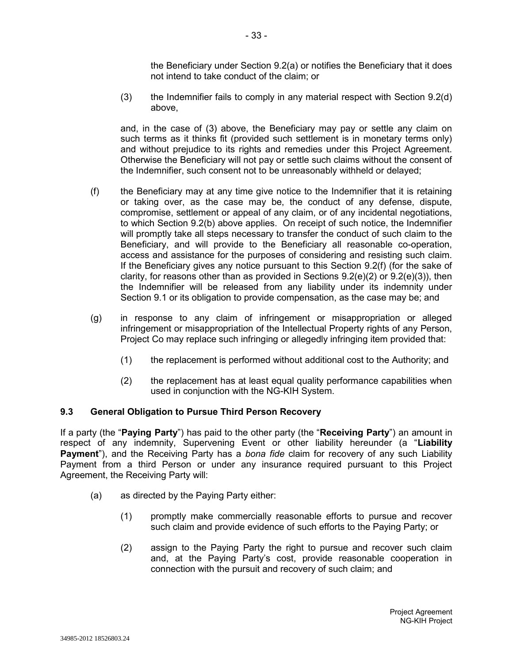the Beneficiary under Section 9.2(a) or notifies the Beneficiary that it does not intend to take conduct of the claim; or

(3) the Indemnifier fails to comply in any material respect with Section 9.2(d) above,

and, in the case of (3) above, the Beneficiary may pay or settle any claim on such terms as it thinks fit (provided such settlement is in monetary terms only) and without prejudice to its rights and remedies under this Project Agreement. Otherwise the Beneficiary will not pay or settle such claims without the consent of the Indemnifier, such consent not to be unreasonably withheld or delayed;

- (f) the Beneficiary may at any time give notice to the Indemnifier that it is retaining or taking over, as the case may be, the conduct of any defense, dispute, compromise, settlement or appeal of any claim, or of any incidental negotiations, to which Section 9.2(b) above applies. On receipt of such notice, the Indemnifier will promptly take all steps necessary to transfer the conduct of such claim to the Beneficiary, and will provide to the Beneficiary all reasonable co-operation, access and assistance for the purposes of considering and resisting such claim. If the Beneficiary gives any notice pursuant to this Section 9.2(f) (for the sake of clarity, for reasons other than as provided in Sections  $9.2(e)(2)$  or  $9.2(e)(3)$ ), then the Indemnifier will be released from any liability under its indemnity under Section 9.1 or its obligation to provide compensation, as the case may be; and
- (g) in response to any claim of infringement or misappropriation or alleged infringement or misappropriation of the Intellectual Property rights of any Person, Project Co may replace such infringing or allegedly infringing item provided that:
	- (1) the replacement is performed without additional cost to the Authority; and
	- (2) the replacement has at least equal quality performance capabilities when used in conjunction with the NG-KIH System.

## **9.3 General Obligation to Pursue Third Person Recovery**

If a party (the "**Paying Party**") has paid to the other party (the "**Receiving Party**") an amount in respect of any indemnity, Supervening Event or other liability hereunder (a "**Liability Payment**"), and the Receiving Party has a *bona fide* claim for recovery of any such Liability Payment from a third Person or under any insurance required pursuant to this Project Agreement, the Receiving Party will:

- (a) as directed by the Paying Party either:
	- (1) promptly make commercially reasonable efforts to pursue and recover such claim and provide evidence of such efforts to the Paying Party; or
	- (2) assign to the Paying Party the right to pursue and recover such claim and, at the Paying Party's cost, provide reasonable cooperation in connection with the pursuit and recovery of such claim; and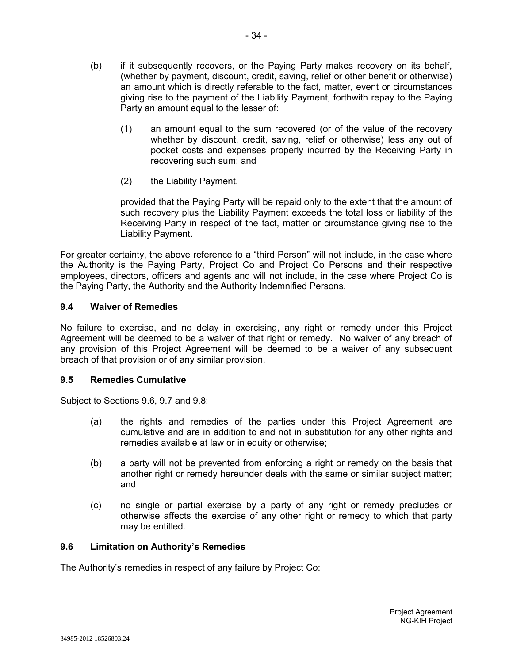(b) if it subsequently recovers, or the Paying Party makes recovery on its behalf, (whether by payment, discount, credit, saving, relief or other benefit or otherwise) an amount which is directly referable to the fact, matter, event or circumstances giving rise to the payment of the Liability Payment, forthwith repay to the Paying Party an amount equal to the lesser of:

- 34 -

- (1) an amount equal to the sum recovered (or of the value of the recovery whether by discount, credit, saving, relief or otherwise) less any out of pocket costs and expenses properly incurred by the Receiving Party in recovering such sum; and
- (2) the Liability Payment,

provided that the Paying Party will be repaid only to the extent that the amount of such recovery plus the Liability Payment exceeds the total loss or liability of the Receiving Party in respect of the fact, matter or circumstance giving rise to the Liability Payment.

For greater certainty, the above reference to a "third Person" will not include, in the case where the Authority is the Paying Party, Project Co and Project Co Persons and their respective employees, directors, officers and agents and will not include, in the case where Project Co is the Paying Party, the Authority and the Authority Indemnified Persons.

## **9.4 Waiver of Remedies**

No failure to exercise, and no delay in exercising, any right or remedy under this Project Agreement will be deemed to be a waiver of that right or remedy. No waiver of any breach of any provision of this Project Agreement will be deemed to be a waiver of any subsequent breach of that provision or of any similar provision.

#### **9.5 Remedies Cumulative**

Subject to Sections 9.6, 9.7 and 9.8:

- (a) the rights and remedies of the parties under this Project Agreement are cumulative and are in addition to and not in substitution for any other rights and remedies available at law or in equity or otherwise;
- (b) a party will not be prevented from enforcing a right or remedy on the basis that another right or remedy hereunder deals with the same or similar subject matter; and
- (c) no single or partial exercise by a party of any right or remedy precludes or otherwise affects the exercise of any other right or remedy to which that party may be entitled.

#### **9.6 Limitation on Authority's Remedies**

The Authority's remedies in respect of any failure by Project Co: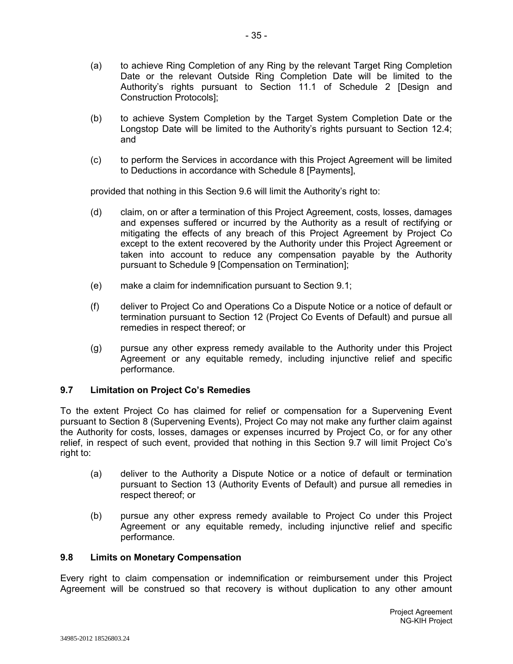- (a) to achieve Ring Completion of any Ring by the relevant Target Ring Completion Date or the relevant Outside Ring Completion Date will be limited to the Authority's rights pursuant to Section 11.1 of Schedule 2 [Design and Construction Protocols];
- (b) to achieve System Completion by the Target System Completion Date or the Longstop Date will be limited to the Authority's rights pursuant to Section 12.4; and
- (c) to perform the Services in accordance with this Project Agreement will be limited to Deductions in accordance with Schedule 8 [Payments],

provided that nothing in this Section 9.6 will limit the Authority's right to:

- (d) claim, on or after a termination of this Project Agreement, costs, losses, damages and expenses suffered or incurred by the Authority as a result of rectifying or mitigating the effects of any breach of this Project Agreement by Project Co except to the extent recovered by the Authority under this Project Agreement or taken into account to reduce any compensation payable by the Authority pursuant to Schedule 9 [Compensation on Termination];
- (e) make a claim for indemnification pursuant to Section 9.1;
- (f) deliver to Project Co and Operations Co a Dispute Notice or a notice of default or termination pursuant to Section 12 (Project Co Events of Default) and pursue all remedies in respect thereof; or
- (g) pursue any other express remedy available to the Authority under this Project Agreement or any equitable remedy, including injunctive relief and specific performance.

## **9.7 Limitation on Project Co's Remedies**

To the extent Project Co has claimed for relief or compensation for a Supervening Event pursuant to Section 8 (Supervening Events), Project Co may not make any further claim against the Authority for costs, losses, damages or expenses incurred by Project Co, or for any other relief, in respect of such event, provided that nothing in this Section 9.7 will limit Project Co's right to:

- (a) deliver to the Authority a Dispute Notice or a notice of default or termination pursuant to Section 13 (Authority Events of Default) and pursue all remedies in respect thereof; or
- (b) pursue any other express remedy available to Project Co under this Project Agreement or any equitable remedy, including injunctive relief and specific performance.

#### **9.8 Limits on Monetary Compensation**

Every right to claim compensation or indemnification or reimbursement under this Project Agreement will be construed so that recovery is without duplication to any other amount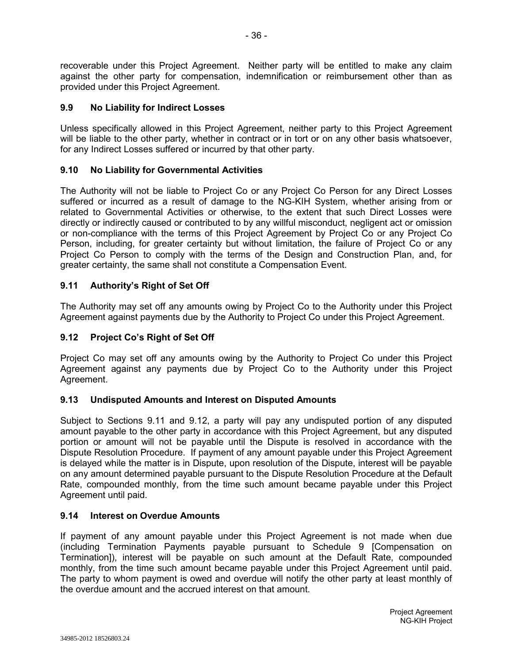recoverable under this Project Agreement. Neither party will be entitled to make any claim against the other party for compensation, indemnification or reimbursement other than as provided under this Project Agreement.

## **9.9 No Liability for Indirect Losses**

Unless specifically allowed in this Project Agreement, neither party to this Project Agreement will be liable to the other party, whether in contract or in tort or on any other basis whatsoever, for any Indirect Losses suffered or incurred by that other party.

### **9.10 No Liability for Governmental Activities**

The Authority will not be liable to Project Co or any Project Co Person for any Direct Losses suffered or incurred as a result of damage to the NG-KIH System, whether arising from or related to Governmental Activities or otherwise, to the extent that such Direct Losses were directly or indirectly caused or contributed to by any willful misconduct, negligent act or omission or non-compliance with the terms of this Project Agreement by Project Co or any Project Co Person, including, for greater certainty but without limitation, the failure of Project Co or any Project Co Person to comply with the terms of the Design and Construction Plan, and, for greater certainty, the same shall not constitute a Compensation Event.

## **9.11 Authority's Right of Set Off**

The Authority may set off any amounts owing by Project Co to the Authority under this Project Agreement against payments due by the Authority to Project Co under this Project Agreement.

### **9.12 Project Co's Right of Set Off**

Project Co may set off any amounts owing by the Authority to Project Co under this Project Agreement against any payments due by Project Co to the Authority under this Project Agreement.

#### **9.13 Undisputed Amounts and Interest on Disputed Amounts**

Subject to Sections 9.11 and 9.12, a party will pay any undisputed portion of any disputed amount payable to the other party in accordance with this Project Agreement, but any disputed portion or amount will not be payable until the Dispute is resolved in accordance with the Dispute Resolution Procedure. If payment of any amount payable under this Project Agreement is delayed while the matter is in Dispute, upon resolution of the Dispute, interest will be payable on any amount determined payable pursuant to the Dispute Resolution Procedure at the Default Rate, compounded monthly, from the time such amount became payable under this Project Agreement until paid.

#### **9.14 Interest on Overdue Amounts**

If payment of any amount payable under this Project Agreement is not made when due (including Termination Payments payable pursuant to Schedule 9 [Compensation on Termination]), interest will be payable on such amount at the Default Rate, compounded monthly, from the time such amount became payable under this Project Agreement until paid. The party to whom payment is owed and overdue will notify the other party at least monthly of the overdue amount and the accrued interest on that amount.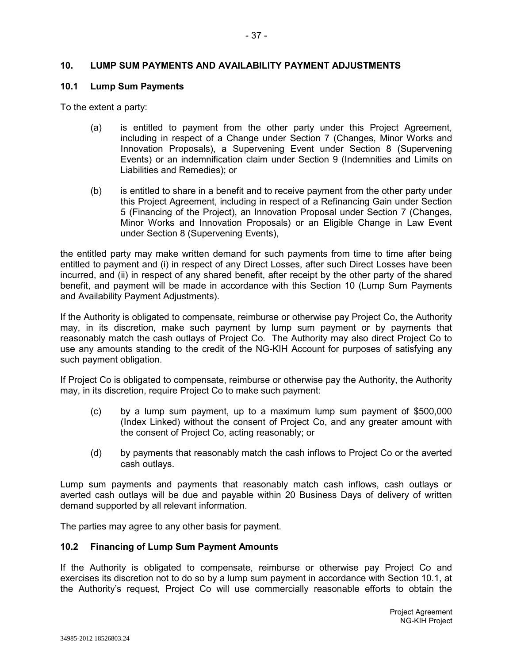### **10. LUMP SUM PAYMENTS AND AVAILABILITY PAYMENT ADJUSTMENTS**

#### **10.1 Lump Sum Payments**

To the extent a party:

- (a) is entitled to payment from the other party under this Project Agreement, including in respect of a Change under Section 7 (Changes, Minor Works and Innovation Proposals), a Supervening Event under Section 8 (Supervening Events) or an indemnification claim under Section 9 (Indemnities and Limits on Liabilities and Remedies); or
- (b) is entitled to share in a benefit and to receive payment from the other party under this Project Agreement, including in respect of a Refinancing Gain under Section 5 (Financing of the Project), an Innovation Proposal under Section 7 (Changes, Minor Works and Innovation Proposals) or an Eligible Change in Law Event under Section 8 (Supervening Events),

the entitled party may make written demand for such payments from time to time after being entitled to payment and (i) in respect of any Direct Losses, after such Direct Losses have been incurred, and (ii) in respect of any shared benefit, after receipt by the other party of the shared benefit, and payment will be made in accordance with this Section 10 (Lump Sum Payments and Availability Payment Adjustments).

If the Authority is obligated to compensate, reimburse or otherwise pay Project Co, the Authority may, in its discretion, make such payment by lump sum payment or by payments that reasonably match the cash outlays of Project Co. The Authority may also direct Project Co to use any amounts standing to the credit of the NG-KIH Account for purposes of satisfying any such payment obligation.

If Project Co is obligated to compensate, reimburse or otherwise pay the Authority, the Authority may, in its discretion, require Project Co to make such payment:

- (c) by a lump sum payment, up to a maximum lump sum payment of \$500,000 (Index Linked) without the consent of Project Co, and any greater amount with the consent of Project Co, acting reasonably; or
- (d) by payments that reasonably match the cash inflows to Project Co or the averted cash outlays.

Lump sum payments and payments that reasonably match cash inflows, cash outlays or averted cash outlays will be due and payable within 20 Business Days of delivery of written demand supported by all relevant information.

The parties may agree to any other basis for payment.

#### **10.2 Financing of Lump Sum Payment Amounts**

If the Authority is obligated to compensate, reimburse or otherwise pay Project Co and exercises its discretion not to do so by a lump sum payment in accordance with Section 10.1, at the Authority's request, Project Co will use commercially reasonable efforts to obtain the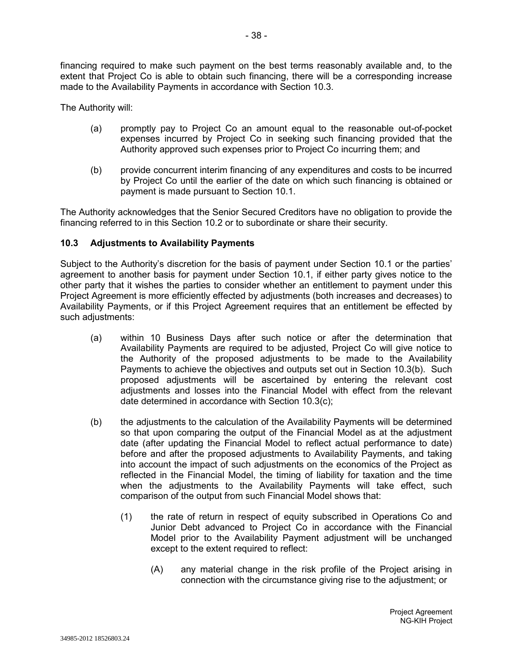financing required to make such payment on the best terms reasonably available and, to the extent that Project Co is able to obtain such financing, there will be a corresponding increase

made to the Availability Payments in accordance with Section 10.3.

The Authority will:

- (a) promptly pay to Project Co an amount equal to the reasonable out-of-pocket expenses incurred by Project Co in seeking such financing provided that the Authority approved such expenses prior to Project Co incurring them; and
- (b) provide concurrent interim financing of any expenditures and costs to be incurred by Project Co until the earlier of the date on which such financing is obtained or payment is made pursuant to Section 10.1.

The Authority acknowledges that the Senior Secured Creditors have no obligation to provide the financing referred to in this Section 10.2 or to subordinate or share their security.

### **10.3 Adjustments to Availability Payments**

Subject to the Authority's discretion for the basis of payment under Section 10.1 or the parties' agreement to another basis for payment under Section 10.1, if either party gives notice to the other party that it wishes the parties to consider whether an entitlement to payment under this Project Agreement is more efficiently effected by adjustments (both increases and decreases) to Availability Payments, or if this Project Agreement requires that an entitlement be effected by such adjustments:

- (a) within 10 Business Days after such notice or after the determination that Availability Payments are required to be adjusted, Project Co will give notice to the Authority of the proposed adjustments to be made to the Availability Payments to achieve the objectives and outputs set out in Section 10.3(b). Such proposed adjustments will be ascertained by entering the relevant cost adjustments and losses into the Financial Model with effect from the relevant date determined in accordance with Section 10.3(c);
- (b) the adjustments to the calculation of the Availability Payments will be determined so that upon comparing the output of the Financial Model as at the adjustment date (after updating the Financial Model to reflect actual performance to date) before and after the proposed adjustments to Availability Payments, and taking into account the impact of such adjustments on the economics of the Project as reflected in the Financial Model, the timing of liability for taxation and the time when the adjustments to the Availability Payments will take effect, such comparison of the output from such Financial Model shows that:
	- (1) the rate of return in respect of equity subscribed in Operations Co and Junior Debt advanced to Project Co in accordance with the Financial Model prior to the Availability Payment adjustment will be unchanged except to the extent required to reflect:
		- (A) any material change in the risk profile of the Project arising in connection with the circumstance giving rise to the adjustment; or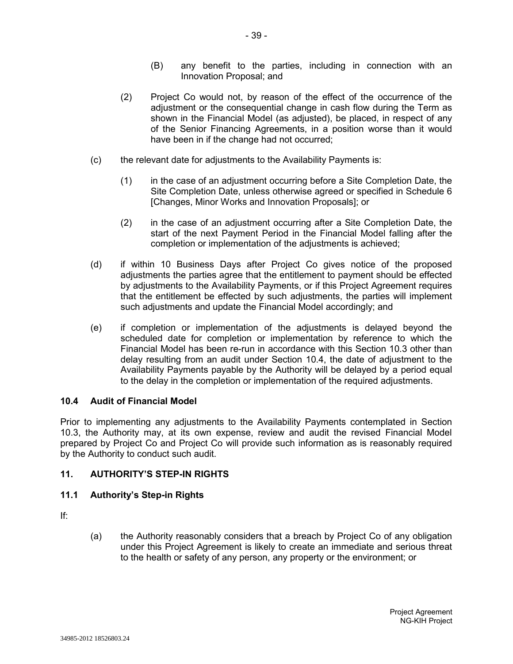- (B) any benefit to the parties, including in connection with an Innovation Proposal; and
- (2) Project Co would not, by reason of the effect of the occurrence of the adjustment or the consequential change in cash flow during the Term as shown in the Financial Model (as adjusted), be placed, in respect of any of the Senior Financing Agreements, in a position worse than it would have been in if the change had not occurred;
- (c) the relevant date for adjustments to the Availability Payments is:
	- (1) in the case of an adjustment occurring before a Site Completion Date, the Site Completion Date, unless otherwise agreed or specified in Schedule 6 [Changes, Minor Works and Innovation Proposals]; or
	- (2) in the case of an adjustment occurring after a Site Completion Date, the start of the next Payment Period in the Financial Model falling after the completion or implementation of the adjustments is achieved;
- (d) if within 10 Business Days after Project Co gives notice of the proposed adjustments the parties agree that the entitlement to payment should be effected by adjustments to the Availability Payments, or if this Project Agreement requires that the entitlement be effected by such adjustments, the parties will implement such adjustments and update the Financial Model accordingly; and
- (e) if completion or implementation of the adjustments is delayed beyond the scheduled date for completion or implementation by reference to which the Financial Model has been re-run in accordance with this Section 10.3 other than delay resulting from an audit under Section 10.4, the date of adjustment to the Availability Payments payable by the Authority will be delayed by a period equal to the delay in the completion or implementation of the required adjustments.

## **10.4 Audit of Financial Model**

Prior to implementing any adjustments to the Availability Payments contemplated in Section 10.3, the Authority may, at its own expense, review and audit the revised Financial Model prepared by Project Co and Project Co will provide such information as is reasonably required by the Authority to conduct such audit.

## **11. AUTHORITY'S STEP-IN RIGHTS**

## **11.1 Authority's Step-in Rights**

If:

(a) the Authority reasonably considers that a breach by Project Co of any obligation under this Project Agreement is likely to create an immediate and serious threat to the health or safety of any person, any property or the environment; or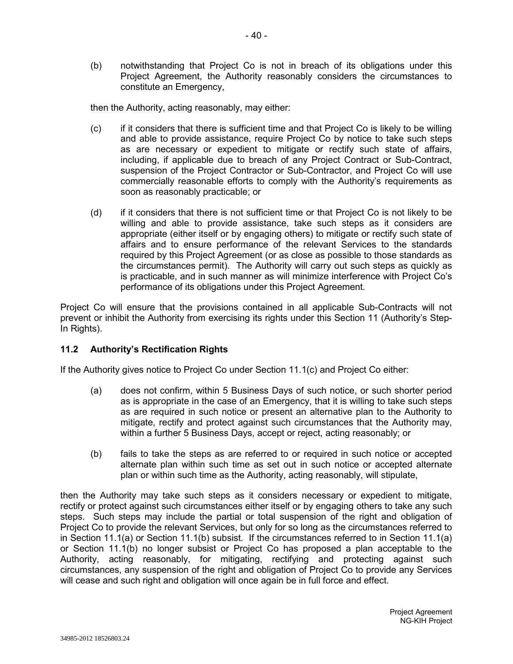(b) notwithstanding that Project Co is not in breach of its obligations under this Project Agreement, the Authority reasonably considers the circumstances to constitute an Emergency,

then the Authority, acting reasonably, may either:

- (c) if it considers that there is sufficient time and that Project Co is likely to be willing and able to provide assistance, require Project Co by notice to take such steps as are necessary or expedient to mitigate or rectify such state of affairs, including, if applicable due to breach of any Project Contract or Sub-Contract, suspension of the Project Contractor or Sub-Contractor, and Project Co will use commercially reasonable efforts to comply with the Authority's requirements as soon as reasonably practicable; or
- (d) if it considers that there is not sufficient time or that Project Co is not likely to be willing and able to provide assistance, take such steps as it considers are appropriate (either itself or by engaging others) to mitigate or rectify such state of affairs and to ensure performance of the relevant Services to the standards required by this Project Agreement (or as close as possible to those standards as the circumstances permit). The Authority will carry out such steps as quickly as is practicable, and in such manner as will minimize interference with Project Co's performance of its obligations under this Project Agreement.

Project Co will ensure that the provisions contained in all applicable Sub-Contracts will not prevent or inhibit the Authority from exercising its rights under this Section 11 (Authority's Step-In Rights).

## **11.2 Authority's Rectification Rights**

If the Authority gives notice to Project Co under Section 11.1(c) and Project Co either:

- (a) does not confirm, within 5 Business Days of such notice, or such shorter period as is appropriate in the case of an Emergency, that it is willing to take such steps as are required in such notice or present an alternative plan to the Authority to mitigate, rectify and protect against such circumstances that the Authority may, within a further 5 Business Days, accept or reject, acting reasonably; or
- (b) fails to take the steps as are referred to or required in such notice or accepted alternate plan within such time as set out in such notice or accepted alternate plan or within such time as the Authority, acting reasonably, will stipulate,

then the Authority may take such steps as it considers necessary or expedient to mitigate, rectify or protect against such circumstances either itself or by engaging others to take any such steps. Such steps may include the partial or total suspension of the right and obligation of Project Co to provide the relevant Services, but only for so long as the circumstances referred to in Section 11.1(a) or Section 11.1(b) subsist. If the circumstances referred to in Section 11.1(a) or Section 11.1(b) no longer subsist or Project Co has proposed a plan acceptable to the Authority, acting reasonably, for mitigating, rectifying and protecting against such circumstances, any suspension of the right and obligation of Project Co to provide any Services will cease and such right and obligation will once again be in full force and effect.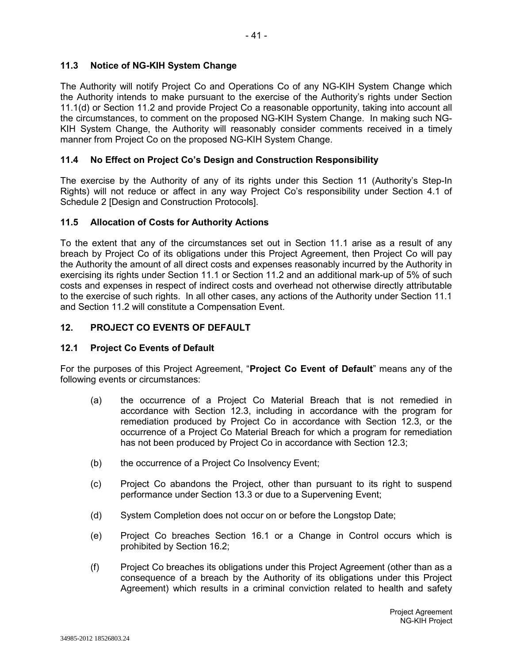# **11.3 Notice of NG-KIH System Change**

The Authority will notify Project Co and Operations Co of any NG-KIH System Change which the Authority intends to make pursuant to the exercise of the Authority's rights under Section 11.1(d) or Section 11.2 and provide Project Co a reasonable opportunity, taking into account all the circumstances, to comment on the proposed NG-KIH System Change. In making such NG-KIH System Change, the Authority will reasonably consider comments received in a timely manner from Project Co on the proposed NG-KIH System Change.

# **11.4 No Effect on Project Co's Design and Construction Responsibility**

The exercise by the Authority of any of its rights under this Section 11 (Authority's Step-In Rights) will not reduce or affect in any way Project Co's responsibility under Section 4.1 of Schedule 2 [Design and Construction Protocols].

## **11.5 Allocation of Costs for Authority Actions**

To the extent that any of the circumstances set out in Section 11.1 arise as a result of any breach by Project Co of its obligations under this Project Agreement, then Project Co will pay the Authority the amount of all direct costs and expenses reasonably incurred by the Authority in exercising its rights under Section 11.1 or Section 11.2 and an additional mark-up of 5% of such costs and expenses in respect of indirect costs and overhead not otherwise directly attributable to the exercise of such rights. In all other cases, any actions of the Authority under Section 11.1 and Section 11.2 will constitute a Compensation Event.

# **12. PROJECT CO EVENTS OF DEFAULT**

## **12.1 Project Co Events of Default**

For the purposes of this Project Agreement, "**Project Co Event of Default**" means any of the following events or circumstances:

- (a) the occurrence of a Project Co Material Breach that is not remedied in accordance with Section 12.3, including in accordance with the program for remediation produced by Project Co in accordance with Section 12.3, or the occurrence of a Project Co Material Breach for which a program for remediation has not been produced by Project Co in accordance with Section 12.3;
- (b) the occurrence of a Project Co Insolvency Event;
- (c) Project Co abandons the Project, other than pursuant to its right to suspend performance under Section 13.3 or due to a Supervening Event;
- (d) System Completion does not occur on or before the Longstop Date;
- (e) Project Co breaches Section 16.1 or a Change in Control occurs which is prohibited by Section 16.2;
- (f) Project Co breaches its obligations under this Project Agreement (other than as a consequence of a breach by the Authority of its obligations under this Project Agreement) which results in a criminal conviction related to health and safety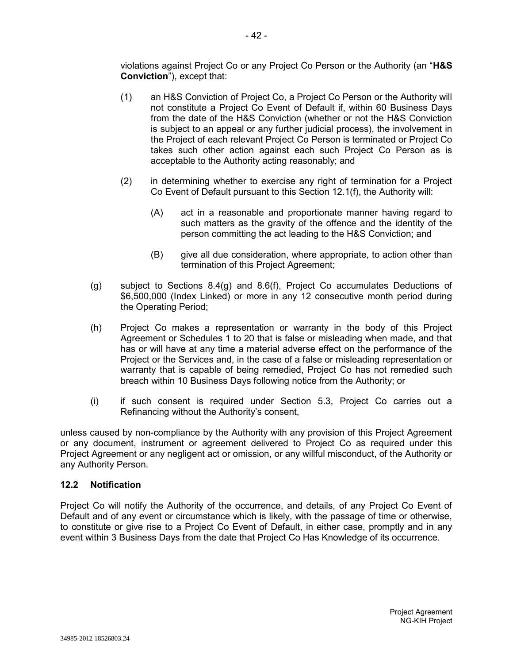violations against Project Co or any Project Co Person or the Authority (an "**H&S Conviction**"), except that:

- (1) an H&S Conviction of Project Co, a Project Co Person or the Authority will not constitute a Project Co Event of Default if, within 60 Business Days from the date of the H&S Conviction (whether or not the H&S Conviction is subject to an appeal or any further judicial process), the involvement in the Project of each relevant Project Co Person is terminated or Project Co takes such other action against each such Project Co Person as is acceptable to the Authority acting reasonably; and
- (2) in determining whether to exercise any right of termination for a Project Co Event of Default pursuant to this Section 12.1(f), the Authority will:
	- (A) act in a reasonable and proportionate manner having regard to such matters as the gravity of the offence and the identity of the person committing the act leading to the H&S Conviction; and
	- (B) give all due consideration, where appropriate, to action other than termination of this Project Agreement;
- (g) subject to Sections 8.4(g) and 8.6(f), Project Co accumulates Deductions of \$6,500,000 (Index Linked) or more in any 12 consecutive month period during the Operating Period;
- (h) Project Co makes a representation or warranty in the body of this Project Agreement or Schedules 1 to 20 that is false or misleading when made, and that has or will have at any time a material adverse effect on the performance of the Project or the Services and, in the case of a false or misleading representation or warranty that is capable of being remedied, Project Co has not remedied such breach within 10 Business Days following notice from the Authority; or
- (i) if such consent is required under Section 5.3, Project Co carries out a Refinancing without the Authority's consent,

unless caused by non-compliance by the Authority with any provision of this Project Agreement or any document, instrument or agreement delivered to Project Co as required under this Project Agreement or any negligent act or omission, or any willful misconduct, of the Authority or any Authority Person.

## **12.2 Notification**

Project Co will notify the Authority of the occurrence, and details, of any Project Co Event of Default and of any event or circumstance which is likely, with the passage of time or otherwise, to constitute or give rise to a Project Co Event of Default, in either case, promptly and in any event within 3 Business Days from the date that Project Co Has Knowledge of its occurrence.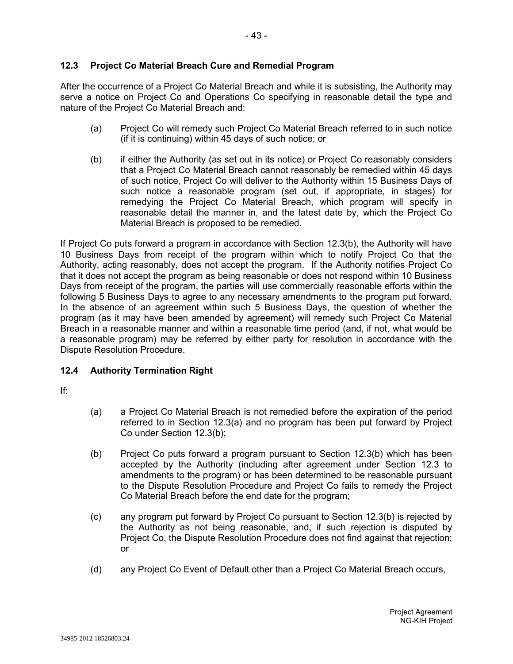# **12.3 Project Co Material Breach Cure and Remedial Program**

After the occurrence of a Project Co Material Breach and while it is subsisting, the Authority may serve a notice on Project Co and Operations Co specifying in reasonable detail the type and nature of the Project Co Material Breach and:

- (a) Project Co will remedy such Project Co Material Breach referred to in such notice (if it is continuing) within 45 days of such notice; or
- (b) if either the Authority (as set out in its notice) or Project Co reasonably considers that a Project Co Material Breach cannot reasonably be remedied within 45 days of such notice, Project Co will deliver to the Authority within 15 Business Days of such notice a reasonable program (set out, if appropriate, in stages) for remedying the Project Co Material Breach, which program will specify in reasonable detail the manner in, and the latest date by, which the Project Co Material Breach is proposed to be remedied.

If Project Co puts forward a program in accordance with Section 12.3(b), the Authority will have 10 Business Days from receipt of the program within which to notify Project Co that the Authority, acting reasonably, does not accept the program. If the Authority notifies Project Co that it does not accept the program as being reasonable or does not respond within 10 Business Days from receipt of the program, the parties will use commercially reasonable efforts within the following 5 Business Days to agree to any necessary amendments to the program put forward. In the absence of an agreement within such 5 Business Days, the question of whether the program (as it may have been amended by agreement) will remedy such Project Co Material Breach in a reasonable manner and within a reasonable time period (and, if not, what would be a reasonable program) may be referred by either party for resolution in accordance with the Dispute Resolution Procedure.

## **12.4 Authority Termination Right**

If:

- (a) a Project Co Material Breach is not remedied before the expiration of the period referred to in Section 12.3(a) and no program has been put forward by Project Co under Section 12.3(b);
- (b) Project Co puts forward a program pursuant to Section 12.3(b) which has been accepted by the Authority (including after agreement under Section 12.3 to amendments to the program) or has been determined to be reasonable pursuant to the Dispute Resolution Procedure and Project Co fails to remedy the Project Co Material Breach before the end date for the program;
- (c) any program put forward by Project Co pursuant to Section 12.3(b) is rejected by the Authority as not being reasonable, and, if such rejection is disputed by Project Co, the Dispute Resolution Procedure does not find against that rejection; or
- (d) any Project Co Event of Default other than a Project Co Material Breach occurs,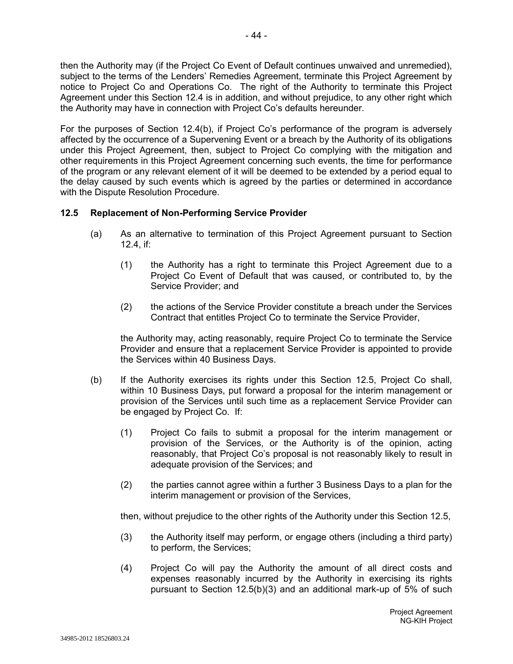then the Authority may (if the Project Co Event of Default continues unwaived and unremedied), subject to the terms of the Lenders' Remedies Agreement, terminate this Project Agreement by notice to Project Co and Operations Co. The right of the Authority to terminate this Project Agreement under this Section 12.4 is in addition, and without prejudice, to any other right which the Authority may have in connection with Project Co's defaults hereunder.

For the purposes of Section 12.4(b), if Project Co's performance of the program is adversely affected by the occurrence of a Supervening Event or a breach by the Authority of its obligations under this Project Agreement, then, subject to Project Co complying with the mitigation and other requirements in this Project Agreement concerning such events, the time for performance of the program or any relevant element of it will be deemed to be extended by a period equal to the delay caused by such events which is agreed by the parties or determined in accordance with the Dispute Resolution Procedure.

### **12.5 Replacement of Non-Performing Service Provider**

- (a) As an alternative to termination of this Project Agreement pursuant to Section 12.4, if:
	- (1) the Authority has a right to terminate this Project Agreement due to a Project Co Event of Default that was caused, or contributed to, by the Service Provider; and
	- (2) the actions of the Service Provider constitute a breach under the Services Contract that entitles Project Co to terminate the Service Provider,

the Authority may, acting reasonably, require Project Co to terminate the Service Provider and ensure that a replacement Service Provider is appointed to provide the Services within 40 Business Days.

- (b) If the Authority exercises its rights under this Section 12.5, Project Co shall, within 10 Business Days, put forward a proposal for the interim management or provision of the Services until such time as a replacement Service Provider can be engaged by Project Co. If:
	- (1) Project Co fails to submit a proposal for the interim management or provision of the Services, or the Authority is of the opinion, acting reasonably, that Project Co's proposal is not reasonably likely to result in adequate provision of the Services; and
	- (2) the parties cannot agree within a further 3 Business Days to a plan for the interim management or provision of the Services,

then, without prejudice to the other rights of the Authority under this Section 12.5,

- (3) the Authority itself may perform, or engage others (including a third party) to perform, the Services;
- (4) Project Co will pay the Authority the amount of all direct costs and expenses reasonably incurred by the Authority in exercising its rights pursuant to Section 12.5(b)(3) and an additional mark-up of 5% of such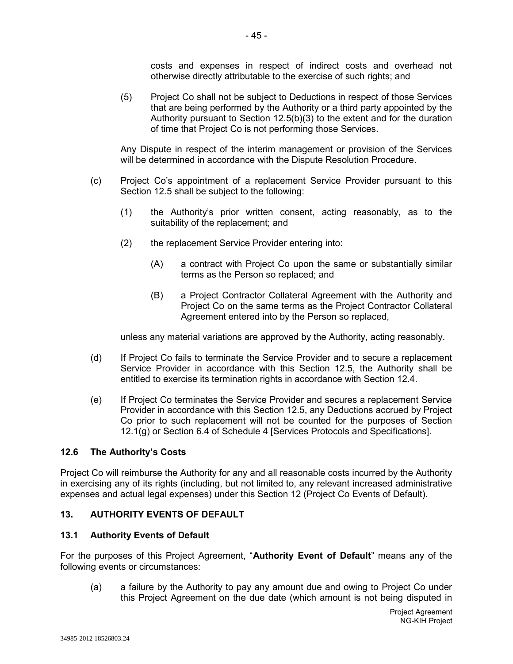costs and expenses in respect of indirect costs and overhead not otherwise directly attributable to the exercise of such rights; and

(5) Project Co shall not be subject to Deductions in respect of those Services that are being performed by the Authority or a third party appointed by the Authority pursuant to Section 12.5(b)(3) to the extent and for the duration of time that Project Co is not performing those Services.

Any Dispute in respect of the interim management or provision of the Services will be determined in accordance with the Dispute Resolution Procedure.

- (c) Project Co's appointment of a replacement Service Provider pursuant to this Section 12.5 shall be subject to the following:
	- (1) the Authority's prior written consent, acting reasonably, as to the suitability of the replacement; and
	- (2) the replacement Service Provider entering into:
		- (A) a contract with Project Co upon the same or substantially similar terms as the Person so replaced; and
		- (B) a Project Contractor Collateral Agreement with the Authority and Project Co on the same terms as the Project Contractor Collateral Agreement entered into by the Person so replaced,

unless any material variations are approved by the Authority, acting reasonably.

- (d) If Project Co fails to terminate the Service Provider and to secure a replacement Service Provider in accordance with this Section 12.5, the Authority shall be entitled to exercise its termination rights in accordance with Section 12.4.
- (e) If Project Co terminates the Service Provider and secures a replacement Service Provider in accordance with this Section 12.5, any Deductions accrued by Project Co prior to such replacement will not be counted for the purposes of Section 12.1(g) or Section 6.4 of Schedule 4 [Services Protocols and Specifications].

## **12.6 The Authority's Costs**

Project Co will reimburse the Authority for any and all reasonable costs incurred by the Authority in exercising any of its rights (including, but not limited to, any relevant increased administrative expenses and actual legal expenses) under this Section 12 (Project Co Events of Default).

## **13. AUTHORITY EVENTS OF DEFAULT**

## **13.1 Authority Events of Default**

For the purposes of this Project Agreement, "**Authority Event of Default**" means any of the following events or circumstances:

(a) a failure by the Authority to pay any amount due and owing to Project Co under this Project Agreement on the due date (which amount is not being disputed in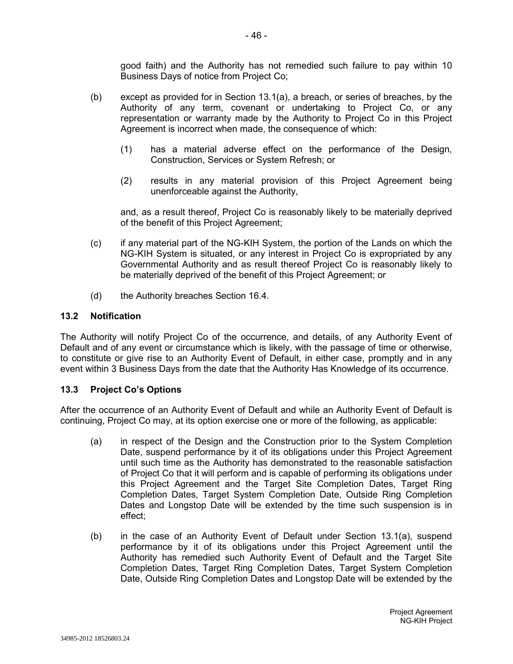good faith) and the Authority has not remedied such failure to pay within 10 Business Days of notice from Project Co;

- (b) except as provided for in Section 13.1(a), a breach, or series of breaches, by the Authority of any term, covenant or undertaking to Project Co, or any representation or warranty made by the Authority to Project Co in this Project Agreement is incorrect when made, the consequence of which:
	- (1) has a material adverse effect on the performance of the Design, Construction, Services or System Refresh; or
	- (2) results in any material provision of this Project Agreement being unenforceable against the Authority,

and, as a result thereof, Project Co is reasonably likely to be materially deprived of the benefit of this Project Agreement;

- (c) if any material part of the NG-KIH System, the portion of the Lands on which the NG-KIH System is situated, or any interest in Project Co is expropriated by any Governmental Authority and as result thereof Project Co is reasonably likely to be materially deprived of the benefit of this Project Agreement; or
- (d) the Authority breaches Section 16.4.

#### **13.2 Notification**

The Authority will notify Project Co of the occurrence, and details, of any Authority Event of Default and of any event or circumstance which is likely, with the passage of time or otherwise, to constitute or give rise to an Authority Event of Default, in either case, promptly and in any event within 3 Business Days from the date that the Authority Has Knowledge of its occurrence.

#### **13.3 Project Co's Options**

After the occurrence of an Authority Event of Default and while an Authority Event of Default is continuing, Project Co may, at its option exercise one or more of the following, as applicable:

- (a) in respect of the Design and the Construction prior to the System Completion Date, suspend performance by it of its obligations under this Project Agreement until such time as the Authority has demonstrated to the reasonable satisfaction of Project Co that it will perform and is capable of performing its obligations under this Project Agreement and the Target Site Completion Dates, Target Ring Completion Dates, Target System Completion Date, Outside Ring Completion Dates and Longstop Date will be extended by the time such suspension is in effect;
- (b) in the case of an Authority Event of Default under Section 13.1(a), suspend performance by it of its obligations under this Project Agreement until the Authority has remedied such Authority Event of Default and the Target Site Completion Dates, Target Ring Completion Dates, Target System Completion Date, Outside Ring Completion Dates and Longstop Date will be extended by the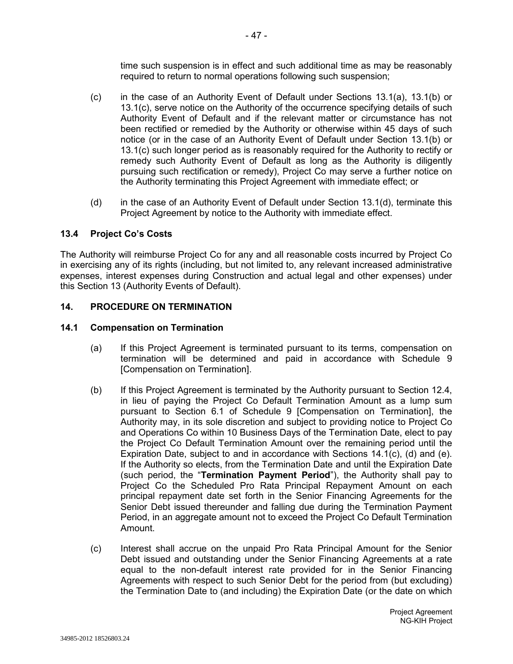time such suspension is in effect and such additional time as may be reasonably required to return to normal operations following such suspension;

- (c) in the case of an Authority Event of Default under Sections 13.1(a), 13.1(b) or 13.1(c), serve notice on the Authority of the occurrence specifying details of such Authority Event of Default and if the relevant matter or circumstance has not been rectified or remedied by the Authority or otherwise within 45 days of such notice (or in the case of an Authority Event of Default under Section 13.1(b) or 13.1(c) such longer period as is reasonably required for the Authority to rectify or remedy such Authority Event of Default as long as the Authority is diligently pursuing such rectification or remedy), Project Co may serve a further notice on the Authority terminating this Project Agreement with immediate effect; or
- (d) in the case of an Authority Event of Default under Section 13.1(d), terminate this Project Agreement by notice to the Authority with immediate effect.

## **13.4 Project Co's Costs**

The Authority will reimburse Project Co for any and all reasonable costs incurred by Project Co in exercising any of its rights (including, but not limited to, any relevant increased administrative expenses, interest expenses during Construction and actual legal and other expenses) under this Section 13 (Authority Events of Default).

#### **14. PROCEDURE ON TERMINATION**

#### **14.1 Compensation on Termination**

- (a) If this Project Agreement is terminated pursuant to its terms, compensation on termination will be determined and paid in accordance with Schedule 9 [Compensation on Termination].
- (b) If this Project Agreement is terminated by the Authority pursuant to Section 12.4, in lieu of paying the Project Co Default Termination Amount as a lump sum pursuant to Section 6.1 of Schedule 9 [Compensation on Termination], the Authority may, in its sole discretion and subject to providing notice to Project Co and Operations Co within 10 Business Days of the Termination Date, elect to pay the Project Co Default Termination Amount over the remaining period until the Expiration Date, subject to and in accordance with Sections 14.1(c), (d) and (e). If the Authority so elects, from the Termination Date and until the Expiration Date (such period, the "**Termination Payment Period**"), the Authority shall pay to Project Co the Scheduled Pro Rata Principal Repayment Amount on each principal repayment date set forth in the Senior Financing Agreements for the Senior Debt issued thereunder and falling due during the Termination Payment Period, in an aggregate amount not to exceed the Project Co Default Termination Amount.
- (c) Interest shall accrue on the unpaid Pro Rata Principal Amount for the Senior Debt issued and outstanding under the Senior Financing Agreements at a rate equal to the non-default interest rate provided for in the Senior Financing Agreements with respect to such Senior Debt for the period from (but excluding) the Termination Date to (and including) the Expiration Date (or the date on which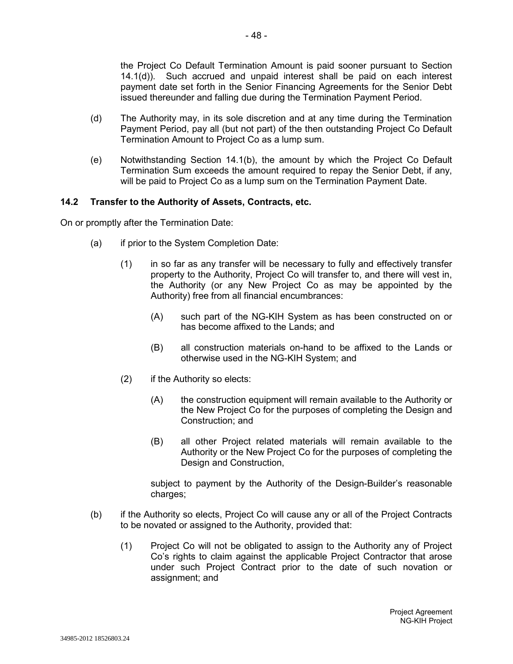the Project Co Default Termination Amount is paid sooner pursuant to Section 14.1(d)). Such accrued and unpaid interest shall be paid on each interest payment date set forth in the Senior Financing Agreements for the Senior Debt issued thereunder and falling due during the Termination Payment Period.

- (d) The Authority may, in its sole discretion and at any time during the Termination Payment Period, pay all (but not part) of the then outstanding Project Co Default Termination Amount to Project Co as a lump sum.
- (e) Notwithstanding Section 14.1(b), the amount by which the Project Co Default Termination Sum exceeds the amount required to repay the Senior Debt, if any, will be paid to Project Co as a lump sum on the Termination Payment Date.

### **14.2 Transfer to the Authority of Assets, Contracts, etc.**

On or promptly after the Termination Date:

- (a) if prior to the System Completion Date:
	- (1) in so far as any transfer will be necessary to fully and effectively transfer property to the Authority, Project Co will transfer to, and there will vest in, the Authority (or any New Project Co as may be appointed by the Authority) free from all financial encumbrances:
		- (A) such part of the NG-KIH System as has been constructed on or has become affixed to the Lands; and
		- (B) all construction materials on-hand to be affixed to the Lands or otherwise used in the NG-KIH System; and
	- (2) if the Authority so elects:
		- (A) the construction equipment will remain available to the Authority or the New Project Co for the purposes of completing the Design and Construction; and
		- (B) all other Project related materials will remain available to the Authority or the New Project Co for the purposes of completing the Design and Construction,

subject to payment by the Authority of the Design-Builder's reasonable charges;

- (b) if the Authority so elects, Project Co will cause any or all of the Project Contracts to be novated or assigned to the Authority, provided that:
	- (1) Project Co will not be obligated to assign to the Authority any of Project Co's rights to claim against the applicable Project Contractor that arose under such Project Contract prior to the date of such novation or assignment; and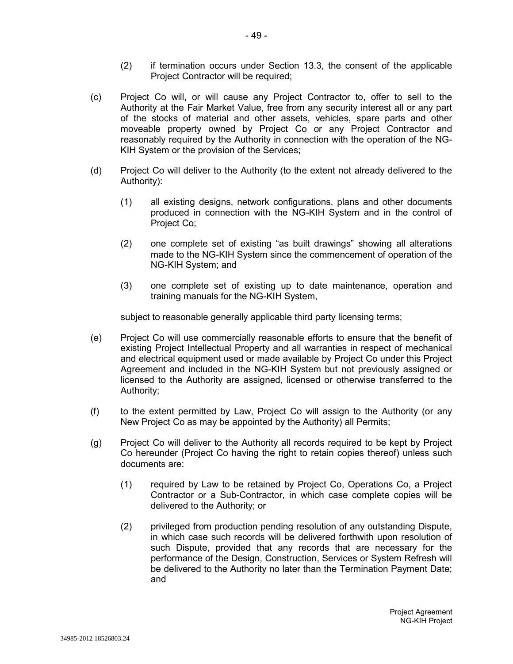- (2) if termination occurs under Section 13.3, the consent of the applicable Project Contractor will be required;
- (c) Project Co will, or will cause any Project Contractor to, offer to sell to the Authority at the Fair Market Value, free from any security interest all or any part of the stocks of material and other assets, vehicles, spare parts and other moveable property owned by Project Co or any Project Contractor and reasonably required by the Authority in connection with the operation of the NG-KIH System or the provision of the Services;
- (d) Project Co will deliver to the Authority (to the extent not already delivered to the Authority):
	- (1) all existing designs, network configurations, plans and other documents produced in connection with the NG-KIH System and in the control of Project Co;
	- (2) one complete set of existing "as built drawings" showing all alterations made to the NG-KIH System since the commencement of operation of the NG-KIH System; and
	- (3) one complete set of existing up to date maintenance, operation and training manuals for the NG-KIH System,

subject to reasonable generally applicable third party licensing terms;

- (e) Project Co will use commercially reasonable efforts to ensure that the benefit of existing Project Intellectual Property and all warranties in respect of mechanical and electrical equipment used or made available by Project Co under this Project Agreement and included in the NG-KIH System but not previously assigned or licensed to the Authority are assigned, licensed or otherwise transferred to the Authority;
- (f) to the extent permitted by Law, Project Co will assign to the Authority (or any New Project Co as may be appointed by the Authority) all Permits;
- (g) Project Co will deliver to the Authority all records required to be kept by Project Co hereunder (Project Co having the right to retain copies thereof) unless such documents are:
	- (1) required by Law to be retained by Project Co, Operations Co, a Project Contractor or a Sub-Contractor, in which case complete copies will be delivered to the Authority; or
	- (2) privileged from production pending resolution of any outstanding Dispute, in which case such records will be delivered forthwith upon resolution of such Dispute, provided that any records that are necessary for the performance of the Design, Construction, Services or System Refresh will be delivered to the Authority no later than the Termination Payment Date; and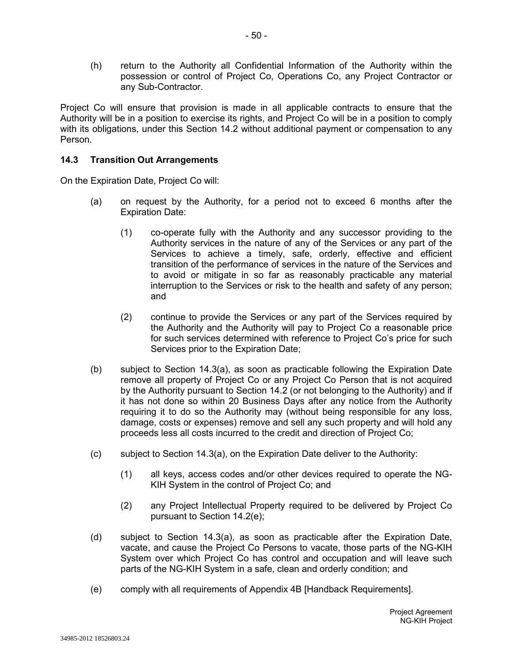(h) return to the Authority all Confidential Information of the Authority within the possession or control of Project Co, Operations Co, any Project Contractor or any Sub-Contractor.

Project Co will ensure that provision is made in all applicable contracts to ensure that the Authority will be in a position to exercise its rights, and Project Co will be in a position to comply with its obligations, under this Section 14.2 without additional payment or compensation to any Person.

### **14.3 Transition Out Arrangements**

On the Expiration Date, Project Co will:

- (a) on request by the Authority, for a period not to exceed 6 months after the Expiration Date:
	- (1) co-operate fully with the Authority and any successor providing to the Authority services in the nature of any of the Services or any part of the Services to achieve a timely, safe, orderly, effective and efficient transition of the performance of services in the nature of the Services and to avoid or mitigate in so far as reasonably practicable any material interruption to the Services or risk to the health and safety of any person; and
	- (2) continue to provide the Services or any part of the Services required by the Authority and the Authority will pay to Project Co a reasonable price for such services determined with reference to Project Co's price for such Services prior to the Expiration Date;
- (b) subject to Section 14.3(a), as soon as practicable following the Expiration Date remove all property of Project Co or any Project Co Person that is not acquired by the Authority pursuant to Section 14.2 (or not belonging to the Authority) and if it has not done so within 20 Business Days after any notice from the Authority requiring it to do so the Authority may (without being responsible for any loss, damage, costs or expenses) remove and sell any such property and will hold any proceeds less all costs incurred to the credit and direction of Project Co;
- (c) subject to Section 14.3(a), on the Expiration Date deliver to the Authority:
	- (1) all keys, access codes and/or other devices required to operate the NG-KIH System in the control of Project Co; and
	- (2) any Project Intellectual Property required to be delivered by Project Co pursuant to Section 14.2(e);
- (d) subject to Section 14.3(a), as soon as practicable after the Expiration Date, vacate, and cause the Project Co Persons to vacate, those parts of the NG-KIH System over which Project Co has control and occupation and will leave such parts of the NG-KIH System in a safe, clean and orderly condition; and
- (e) comply with all requirements of Appendix 4B [Handback Requirements].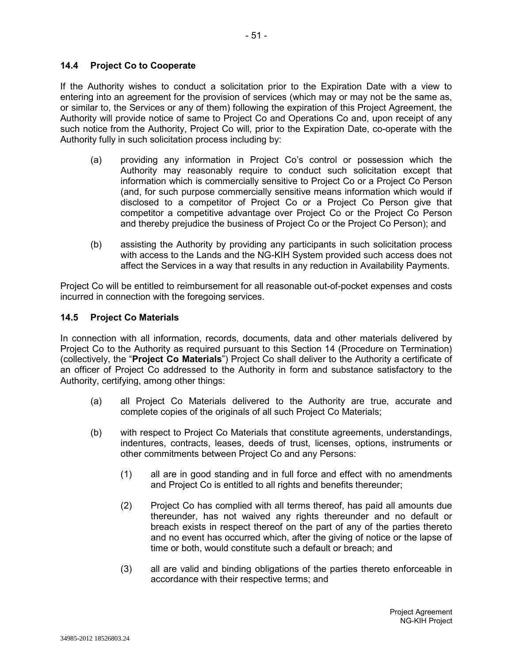### **14.4 Project Co to Cooperate**

If the Authority wishes to conduct a solicitation prior to the Expiration Date with a view to entering into an agreement for the provision of services (which may or may not be the same as, or similar to, the Services or any of them) following the expiration of this Project Agreement, the Authority will provide notice of same to Project Co and Operations Co and, upon receipt of any such notice from the Authority, Project Co will, prior to the Expiration Date, co-operate with the Authority fully in such solicitation process including by:

- (a) providing any information in Project Co's control or possession which the Authority may reasonably require to conduct such solicitation except that information which is commercially sensitive to Project Co or a Project Co Person (and, for such purpose commercially sensitive means information which would if disclosed to a competitor of Project Co or a Project Co Person give that competitor a competitive advantage over Project Co or the Project Co Person and thereby prejudice the business of Project Co or the Project Co Person); and
- (b) assisting the Authority by providing any participants in such solicitation process with access to the Lands and the NG-KIH System provided such access does not affect the Services in a way that results in any reduction in Availability Payments.

Project Co will be entitled to reimbursement for all reasonable out-of-pocket expenses and costs incurred in connection with the foregoing services.

### **14.5 Project Co Materials**

In connection with all information, records, documents, data and other materials delivered by Project Co to the Authority as required pursuant to this Section 14 (Procedure on Termination) (collectively, the "**Project Co Materials**") Project Co shall deliver to the Authority a certificate of an officer of Project Co addressed to the Authority in form and substance satisfactory to the Authority, certifying, among other things:

- (a) all Project Co Materials delivered to the Authority are true, accurate and complete copies of the originals of all such Project Co Materials;
- (b) with respect to Project Co Materials that constitute agreements, understandings, indentures, contracts, leases, deeds of trust, licenses, options, instruments or other commitments between Project Co and any Persons:
	- (1) all are in good standing and in full force and effect with no amendments and Project Co is entitled to all rights and benefits thereunder;
	- (2) Project Co has complied with all terms thereof, has paid all amounts due thereunder, has not waived any rights thereunder and no default or breach exists in respect thereof on the part of any of the parties thereto and no event has occurred which, after the giving of notice or the lapse of time or both, would constitute such a default or breach; and
	- (3) all are valid and binding obligations of the parties thereto enforceable in accordance with their respective terms; and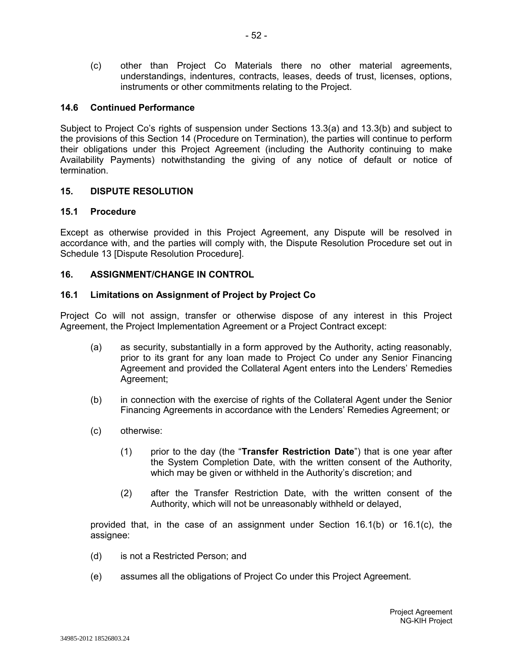(c) other than Project Co Materials there no other material agreements, understandings, indentures, contracts, leases, deeds of trust, licenses, options, instruments or other commitments relating to the Project.

### **14.6 Continued Performance**

Subject to Project Co's rights of suspension under Sections 13.3(a) and 13.3(b) and subject to the provisions of this Section 14 (Procedure on Termination), the parties will continue to perform their obligations under this Project Agreement (including the Authority continuing to make Availability Payments) notwithstanding the giving of any notice of default or notice of termination.

#### **15. DISPUTE RESOLUTION**

### **15.1 Procedure**

Except as otherwise provided in this Project Agreement, any Dispute will be resolved in accordance with, and the parties will comply with, the Dispute Resolution Procedure set out in Schedule 13 [Dispute Resolution Procedure].

### **16. ASSIGNMENT/CHANGE IN CONTROL**

### **16.1 Limitations on Assignment of Project by Project Co**

Project Co will not assign, transfer or otherwise dispose of any interest in this Project Agreement, the Project Implementation Agreement or a Project Contract except:

- (a) as security, substantially in a form approved by the Authority, acting reasonably, prior to its grant for any loan made to Project Co under any Senior Financing Agreement and provided the Collateral Agent enters into the Lenders' Remedies Agreement;
- (b) in connection with the exercise of rights of the Collateral Agent under the Senior Financing Agreements in accordance with the Lenders' Remedies Agreement; or
- (c) otherwise:
	- (1) prior to the day (the "**Transfer Restriction Date**") that is one year after the System Completion Date, with the written consent of the Authority, which may be given or withheld in the Authority's discretion; and
	- (2) after the Transfer Restriction Date, with the written consent of the Authority, which will not be unreasonably withheld or delayed,

provided that, in the case of an assignment under Section 16.1(b) or 16.1(c), the assignee:

- (d) is not a Restricted Person; and
- (e) assumes all the obligations of Project Co under this Project Agreement.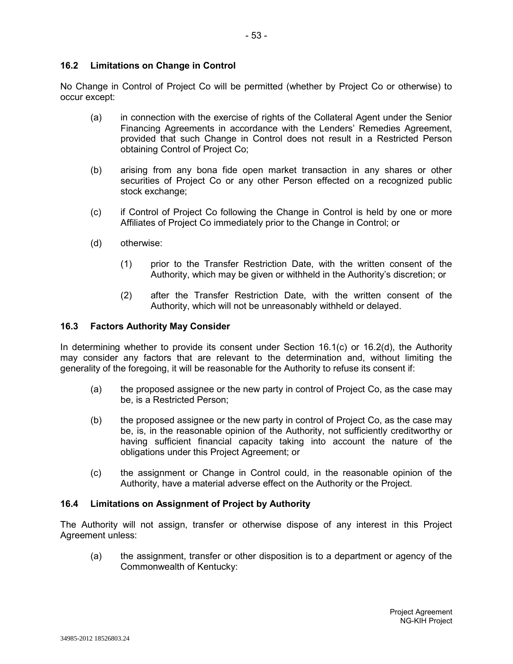# **16.2 Limitations on Change in Control**

No Change in Control of Project Co will be permitted (whether by Project Co or otherwise) to occur except:

- (a) in connection with the exercise of rights of the Collateral Agent under the Senior Financing Agreements in accordance with the Lenders' Remedies Agreement, provided that such Change in Control does not result in a Restricted Person obtaining Control of Project Co;
- (b) arising from any bona fide open market transaction in any shares or other securities of Project Co or any other Person effected on a recognized public stock exchange;
- (c) if Control of Project Co following the Change in Control is held by one or more Affiliates of Project Co immediately prior to the Change in Control; or
- (d) otherwise:
	- (1) prior to the Transfer Restriction Date, with the written consent of the Authority, which may be given or withheld in the Authority's discretion; or
	- (2) after the Transfer Restriction Date, with the written consent of the Authority, which will not be unreasonably withheld or delayed.

### **16.3 Factors Authority May Consider**

In determining whether to provide its consent under Section 16.1(c) or 16.2(d), the Authority may consider any factors that are relevant to the determination and, without limiting the generality of the foregoing, it will be reasonable for the Authority to refuse its consent if:

- (a) the proposed assignee or the new party in control of Project Co, as the case may be, is a Restricted Person;
- (b) the proposed assignee or the new party in control of Project Co, as the case may be, is, in the reasonable opinion of the Authority, not sufficiently creditworthy or having sufficient financial capacity taking into account the nature of the obligations under this Project Agreement; or
- (c) the assignment or Change in Control could, in the reasonable opinion of the Authority, have a material adverse effect on the Authority or the Project.

## **16.4 Limitations on Assignment of Project by Authority**

The Authority will not assign, transfer or otherwise dispose of any interest in this Project Agreement unless:

(a) the assignment, transfer or other disposition is to a department or agency of the Commonwealth of Kentucky: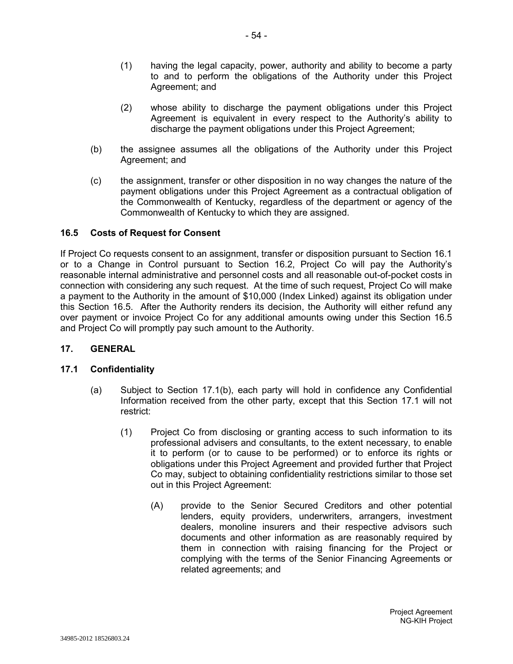- (1) having the legal capacity, power, authority and ability to become a party to and to perform the obligations of the Authority under this Project Agreement; and
- (2) whose ability to discharge the payment obligations under this Project Agreement is equivalent in every respect to the Authority's ability to discharge the payment obligations under this Project Agreement;
- (b) the assignee assumes all the obligations of the Authority under this Project Agreement; and
- (c) the assignment, transfer or other disposition in no way changes the nature of the payment obligations under this Project Agreement as a contractual obligation of the Commonwealth of Kentucky, regardless of the department or agency of the Commonwealth of Kentucky to which they are assigned.

## **16.5 Costs of Request for Consent**

If Project Co requests consent to an assignment, transfer or disposition pursuant to Section 16.1 or to a Change in Control pursuant to Section 16.2, Project Co will pay the Authority's reasonable internal administrative and personnel costs and all reasonable out-of-pocket costs in connection with considering any such request. At the time of such request, Project Co will make a payment to the Authority in the amount of \$10,000 (Index Linked) against its obligation under this Section 16.5. After the Authority renders its decision, the Authority will either refund any over payment or invoice Project Co for any additional amounts owing under this Section 16.5 and Project Co will promptly pay such amount to the Authority.

#### **17. GENERAL**

#### **17.1 Confidentiality**

- (a) Subject to Section 17.1(b), each party will hold in confidence any Confidential Information received from the other party, except that this Section 17.1 will not restrict:
	- (1) Project Co from disclosing or granting access to such information to its professional advisers and consultants, to the extent necessary, to enable it to perform (or to cause to be performed) or to enforce its rights or obligations under this Project Agreement and provided further that Project Co may, subject to obtaining confidentiality restrictions similar to those set out in this Project Agreement:
		- (A) provide to the Senior Secured Creditors and other potential lenders, equity providers, underwriters, arrangers, investment dealers, monoline insurers and their respective advisors such documents and other information as are reasonably required by them in connection with raising financing for the Project or complying with the terms of the Senior Financing Agreements or related agreements; and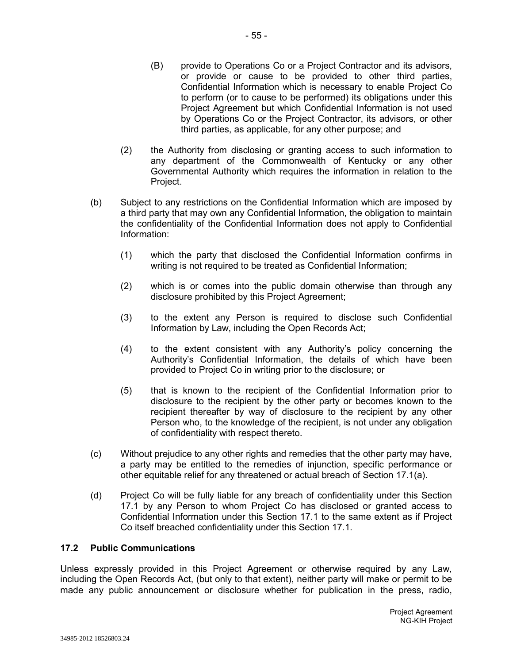(2) the Authority from disclosing or granting access to such information to any department of the Commonwealth of Kentucky or any other Governmental Authority which requires the information in relation to the Project.

third parties, as applicable, for any other purpose; and

- (b) Subject to any restrictions on the Confidential Information which are imposed by a third party that may own any Confidential Information, the obligation to maintain the confidentiality of the Confidential Information does not apply to Confidential Information:
	- (1) which the party that disclosed the Confidential Information confirms in writing is not required to be treated as Confidential Information;
	- (2) which is or comes into the public domain otherwise than through any disclosure prohibited by this Project Agreement;
	- (3) to the extent any Person is required to disclose such Confidential Information by Law, including the Open Records Act;
	- (4) to the extent consistent with any Authority's policy concerning the Authority's Confidential Information, the details of which have been provided to Project Co in writing prior to the disclosure; or
	- (5) that is known to the recipient of the Confidential Information prior to disclosure to the recipient by the other party or becomes known to the recipient thereafter by way of disclosure to the recipient by any other Person who, to the knowledge of the recipient, is not under any obligation of confidentiality with respect thereto.
- (c) Without prejudice to any other rights and remedies that the other party may have, a party may be entitled to the remedies of injunction, specific performance or other equitable relief for any threatened or actual breach of Section 17.1(a).
- (d) Project Co will be fully liable for any breach of confidentiality under this Section 17.1 by any Person to whom Project Co has disclosed or granted access to Confidential Information under this Section 17.1 to the same extent as if Project Co itself breached confidentiality under this Section 17.1.

## **17.2 Public Communications**

Unless expressly provided in this Project Agreement or otherwise required by any Law, including the Open Records Act, (but only to that extent), neither party will make or permit to be made any public announcement or disclosure whether for publication in the press, radio,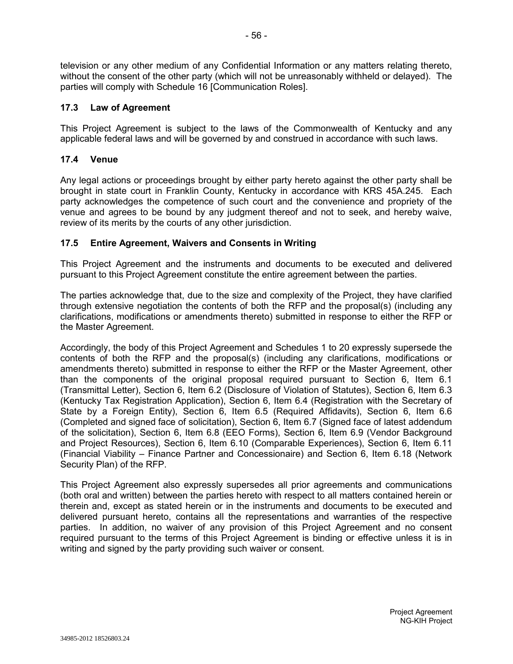television or any other medium of any Confidential Information or any matters relating thereto, without the consent of the other party (which will not be unreasonably withheld or delayed). The parties will comply with Schedule 16 [Communication Roles].

# **17.3 Law of Agreement**

This Project Agreement is subject to the laws of the Commonwealth of Kentucky and any applicable federal laws and will be governed by and construed in accordance with such laws.

# **17.4 Venue**

Any legal actions or proceedings brought by either party hereto against the other party shall be brought in state court in Franklin County, Kentucky in accordance with KRS 45A.245. Each party acknowledges the competence of such court and the convenience and propriety of the venue and agrees to be bound by any judgment thereof and not to seek, and hereby waive, review of its merits by the courts of any other jurisdiction.

## **17.5 Entire Agreement, Waivers and Consents in Writing**

This Project Agreement and the instruments and documents to be executed and delivered pursuant to this Project Agreement constitute the entire agreement between the parties.

The parties acknowledge that, due to the size and complexity of the Project, they have clarified through extensive negotiation the contents of both the RFP and the proposal(s) (including any clarifications, modifications or amendments thereto) submitted in response to either the RFP or the Master Agreement.

Accordingly, the body of this Project Agreement and Schedules 1 to 20 expressly supersede the contents of both the RFP and the proposal(s) (including any clarifications, modifications or amendments thereto) submitted in response to either the RFP or the Master Agreement, other than the components of the original proposal required pursuant to Section 6, Item 6.1 (Transmittal Letter), Section 6, Item 6.2 (Disclosure of Violation of Statutes), Section 6, Item 6.3 (Kentucky Tax Registration Application), Section 6, Item 6.4 (Registration with the Secretary of State by a Foreign Entity), Section 6, Item 6.5 (Required Affidavits), Section 6, Item 6.6 (Completed and signed face of solicitation), Section 6, Item 6.7 (Signed face of latest addendum of the solicitation), Section 6, Item 6.8 (EEO Forms), Section 6, Item 6.9 (Vendor Background and Project Resources), Section 6, Item 6.10 (Comparable Experiences), Section 6, Item 6.11 (Financial Viability – Finance Partner and Concessionaire) and Section 6, Item 6.18 (Network Security Plan) of the RFP.

This Project Agreement also expressly supersedes all prior agreements and communications (both oral and written) between the parties hereto with respect to all matters contained herein or therein and, except as stated herein or in the instruments and documents to be executed and delivered pursuant hereto, contains all the representations and warranties of the respective parties. In addition, no waiver of any provision of this Project Agreement and no consent required pursuant to the terms of this Project Agreement is binding or effective unless it is in writing and signed by the party providing such waiver or consent.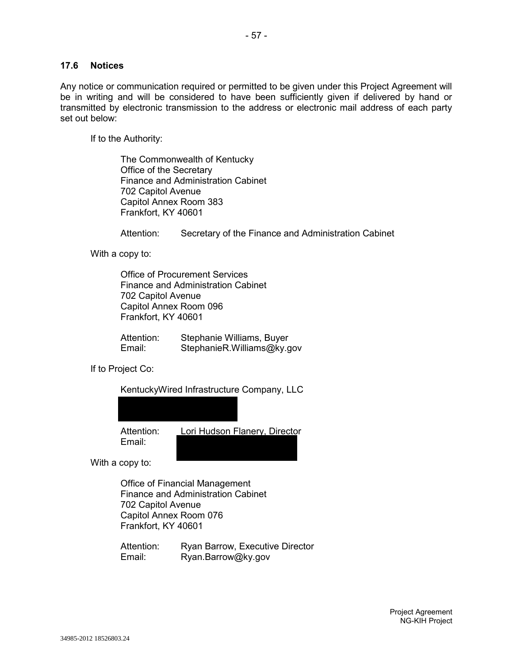### **17.6 Notices**

Any notice or communication required or permitted to be given under this Project Agreement will be in writing and will be considered to have been sufficiently given if delivered by hand or transmitted by electronic transmission to the address or electronic mail address of each party set out below:

If to the Authority:

The Commonwealth of Kentucky Office of the Secretary Finance and Administration Cabinet 702 Capitol Avenue Capitol Annex Room 383 Frankfort, KY 40601

Attention: Secretary of the Finance and Administration Cabinet

With a copy to:

Office of Procurement Services Finance and Administration Cabinet 702 Capitol Avenue Capitol Annex Room 096 Frankfort, KY 40601

Attention: Stephanie Williams, Buyer Email: StephanieR.Williams@ky.gov

If to Project Co:

| KentuckyWired Infrastructure Company, LLC |                               |
|-------------------------------------------|-------------------------------|
|                                           |                               |
|                                           |                               |
| Attention:                                | Lori Hudson Flanery, Director |

With a copy to:

Email:

Office of Financial Management Finance and Administration Cabinet 702 Capitol Avenue Capitol Annex Room 076 Frankfort, KY 40601

Attention: Ryan Barrow, Executive Director Email: Ryan.Barrow@ky.gov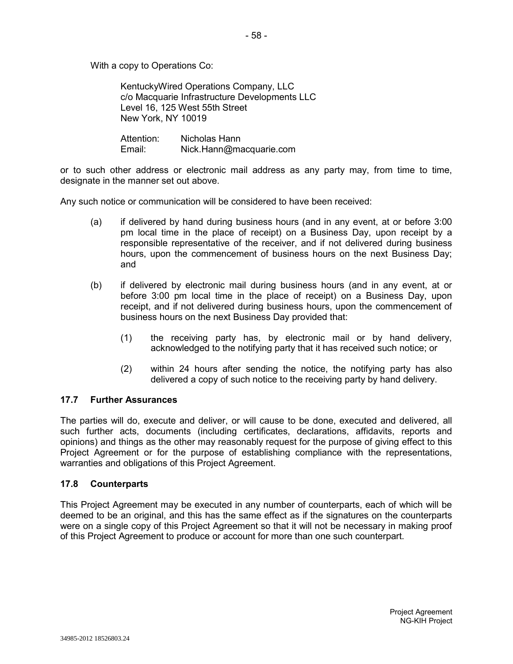With a copy to Operations Co:

KentuckyWired Operations Company, LLC c/o Macquarie Infrastructure Developments LLC Level 16, 125 West 55th Street New York, NY 10019

Attention: Nicholas Hann Email: Nick.Hann@macquarie.com

or to such other address or electronic mail address as any party may, from time to time, designate in the manner set out above.

Any such notice or communication will be considered to have been received:

- (a) if delivered by hand during business hours (and in any event, at or before 3:00 pm local time in the place of receipt) on a Business Day, upon receipt by a responsible representative of the receiver, and if not delivered during business hours, upon the commencement of business hours on the next Business Day; and
- (b) if delivered by electronic mail during business hours (and in any event, at or before 3:00 pm local time in the place of receipt) on a Business Day, upon receipt, and if not delivered during business hours, upon the commencement of business hours on the next Business Day provided that:
	- (1) the receiving party has, by electronic mail or by hand delivery, acknowledged to the notifying party that it has received such notice; or
	- (2) within 24 hours after sending the notice, the notifying party has also delivered a copy of such notice to the receiving party by hand delivery.

## **17.7 Further Assurances**

The parties will do, execute and deliver, or will cause to be done, executed and delivered, all such further acts, documents (including certificates, declarations, affidavits, reports and opinions) and things as the other may reasonably request for the purpose of giving effect to this Project Agreement or for the purpose of establishing compliance with the representations, warranties and obligations of this Project Agreement.

#### **17.8 Counterparts**

This Project Agreement may be executed in any number of counterparts, each of which will be deemed to be an original, and this has the same effect as if the signatures on the counterparts were on a single copy of this Project Agreement so that it will not be necessary in making proof of this Project Agreement to produce or account for more than one such counterpart.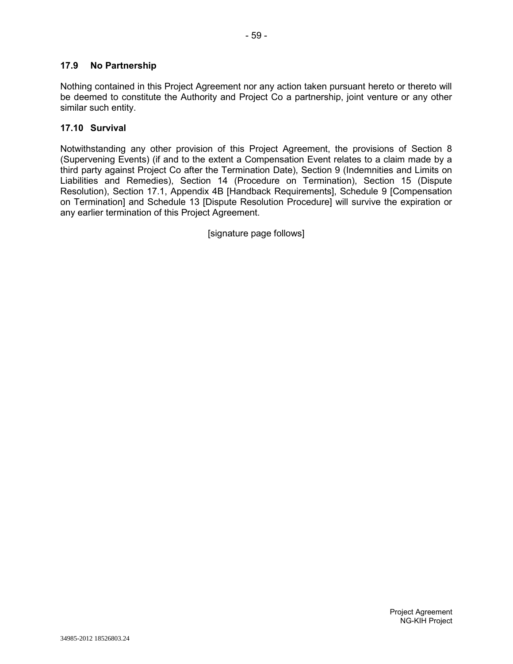Nothing contained in this Project Agreement nor any action taken pursuant hereto or thereto will be deemed to constitute the Authority and Project Co a partnership, joint venture or any other similar such entity.

# **17.10 Survival**

Notwithstanding any other provision of this Project Agreement, the provisions of Section 8 (Supervening Events) (if and to the extent a Compensation Event relates to a claim made by a third party against Project Co after the Termination Date), Section 9 (Indemnities and Limits on Liabilities and Remedies), Section 14 (Procedure on Termination), Section 15 (Dispute Resolution), Section 17.1, Appendix 4B [Handback Requirements], Schedule 9 [Compensation on Termination] and Schedule 13 [Dispute Resolution Procedure] will survive the expiration or any earlier termination of this Project Agreement.

[signature page follows]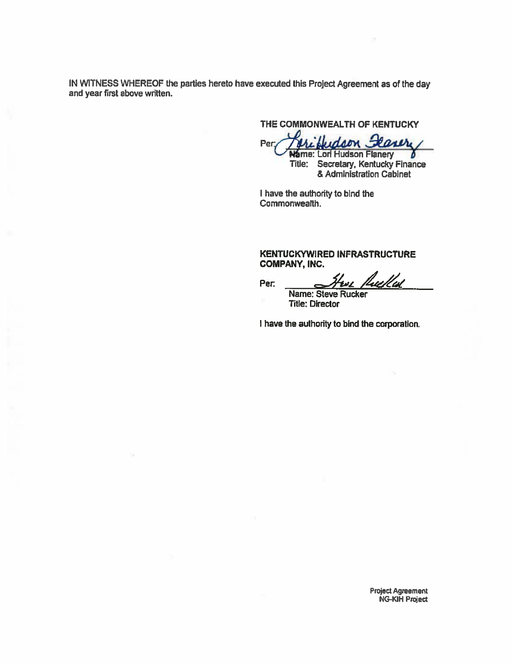IN WITNESS WHEREOF the parties hereto have executed this Project Agreement as of the day and year first above written.

THE COMMONWEALTH OF KENTUCKY

Judson Fearer Per:

Wame: Lori Hudson Flanery<br>Title: Secretary, Kentucky Finance<br>& Administration Cabinet

I have the authority to bind the Commonwealth.

#### KENTUCKYWIRED INFRASTRUCTURE **COMPANY, INC.**

fuellal Per:

Name: Steve Rucker **Title: Director** 

I have the authority to bind the corporation.

**Project Agreement NG-KIH Project**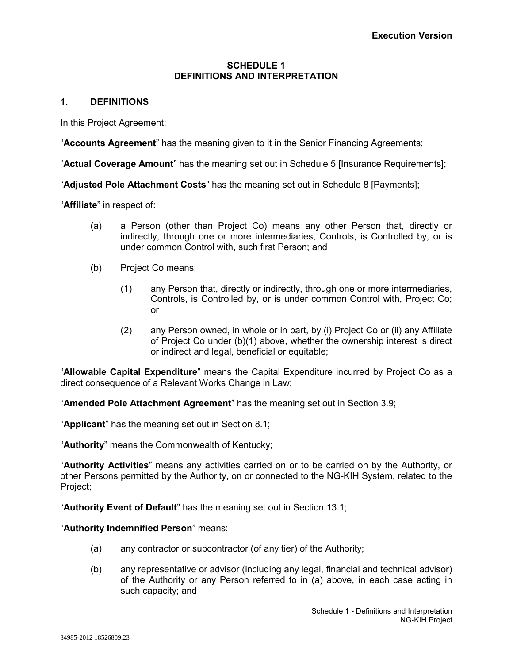### **SCHEDULE 1 DEFINITIONS AND INTERPRETATION**

# **1. DEFINITIONS**

In this Project Agreement:

"**Accounts Agreement**" has the meaning given to it in the Senior Financing Agreements;

"**Actual Coverage Amount**" has the meaning set out in Schedule 5 [Insurance Requirements];

"**Adjusted Pole Attachment Costs**" has the meaning set out in Schedule 8 [Payments];

"**Affiliate**" in respect of:

- (a) a Person (other than Project Co) means any other Person that, directly or indirectly, through one or more intermediaries, Controls, is Controlled by, or is under common Control with, such first Person; and
- (b) Project Co means:
	- (1) any Person that, directly or indirectly, through one or more intermediaries, Controls, is Controlled by, or is under common Control with, Project Co; or
	- (2) any Person owned, in whole or in part, by (i) Project Co or (ii) any Affiliate of Project Co under (b)(1) above, whether the ownership interest is direct or indirect and legal, beneficial or equitable;

"**Allowable Capital Expenditure**" means the Capital Expenditure incurred by Project Co as a direct consequence of a Relevant Works Change in Law;

"**Amended Pole Attachment Agreement**" has the meaning set out in Section 3.9;

"**Applicant**" has the meaning set out in Section 8.1;

"**Authority**" means the Commonwealth of Kentucky;

"**Authority Activities**" means any activities carried on or to be carried on by the Authority, or other Persons permitted by the Authority, on or connected to the NG-KIH System, related to the Project;

"**Authority Event of Default**" has the meaning set out in Section 13.1;

#### "**Authority Indemnified Person**" means:

- (a) any contractor or subcontractor (of any tier) of the Authority;
- (b) any representative or advisor (including any legal, financial and technical advisor) of the Authority or any Person referred to in (a) above, in each case acting in such capacity; and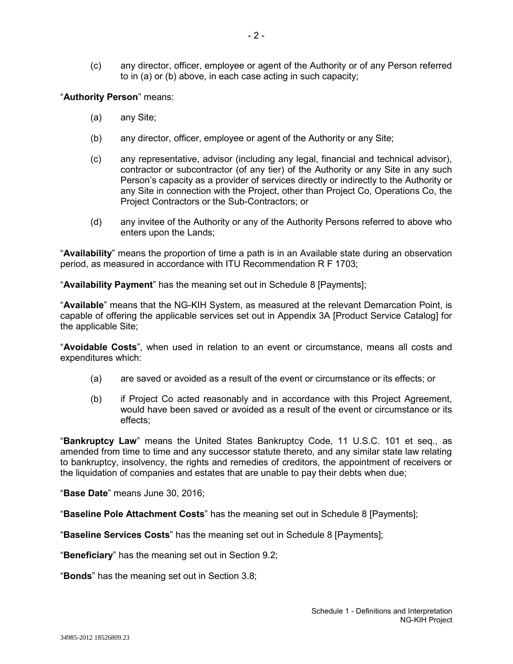(c) any director, officer, employee or agent of the Authority or of any Person referred to in (a) or (b) above, in each case acting in such capacity;

"**Authority Person**" means:

- (a) any Site;
- (b) any director, officer, employee or agent of the Authority or any Site;
- (c) any representative, advisor (including any legal, financial and technical advisor), contractor or subcontractor (of any tier) of the Authority or any Site in any such Person's capacity as a provider of services directly or indirectly to the Authority or any Site in connection with the Project, other than Project Co, Operations Co, the Project Contractors or the Sub-Contractors; or
- (d) any invitee of the Authority or any of the Authority Persons referred to above who enters upon the Lands;

"**Availability**" means the proportion of time a path is in an Available state during an observation period, as measured in accordance with ITU Recommendation R F 1703;

"**Availability Payment**" has the meaning set out in Schedule 8 [Payments];

"**Available**" means that the NG-KIH System, as measured at the relevant Demarcation Point, is capable of offering the applicable services set out in Appendix 3A [Product Service Catalog] for the applicable Site;

"**Avoidable Costs**", when used in relation to an event or circumstance, means all costs and expenditures which:

- (a) are saved or avoided as a result of the event or circumstance or its effects; or
- (b) if Project Co acted reasonably and in accordance with this Project Agreement, would have been saved or avoided as a result of the event or circumstance or its effects;

"**Bankruptcy Law**" means the United States Bankruptcy Code, 11 U.S.C. 101 et seq., as amended from time to time and any successor statute thereto, and any similar state law relating to bankruptcy, insolvency, the rights and remedies of creditors, the appointment of receivers or the liquidation of companies and estates that are unable to pay their debts when due;

"**Base Date**" means June 30, 2016;

"**Baseline Pole Attachment Costs**" has the meaning set out in Schedule 8 [Payments];

"**Baseline Services Costs**" has the meaning set out in Schedule 8 [Payments];

"**Beneficiary**" has the meaning set out in Section 9.2;

"**Bonds**" has the meaning set out in Section 3.8;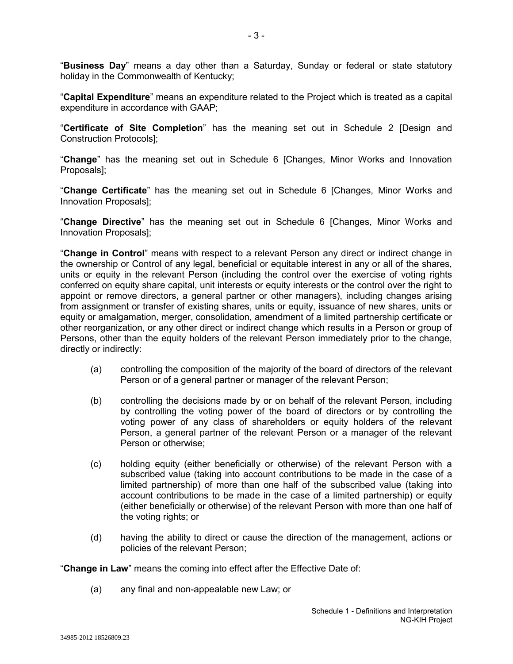"**Business Day**" means a day other than a Saturday, Sunday or federal or state statutory holiday in the Commonwealth of Kentucky;

"**Capital Expenditure**" means an expenditure related to the Project which is treated as a capital expenditure in accordance with GAAP;

"**Certificate of Site Completion**" has the meaning set out in Schedule 2 [Design and Construction Protocols];

"**Change**" has the meaning set out in Schedule 6 [Changes, Minor Works and Innovation Proposals];

"**Change Certificate**" has the meaning set out in Schedule 6 [Changes, Minor Works and Innovation Proposals];

"**Change Directive**" has the meaning set out in Schedule 6 [Changes, Minor Works and Innovation Proposals];

"**Change in Control**" means with respect to a relevant Person any direct or indirect change in the ownership or Control of any legal, beneficial or equitable interest in any or all of the shares, units or equity in the relevant Person (including the control over the exercise of voting rights conferred on equity share capital, unit interests or equity interests or the control over the right to appoint or remove directors, a general partner or other managers), including changes arising from assignment or transfer of existing shares, units or equity, issuance of new shares, units or equity or amalgamation, merger, consolidation, amendment of a limited partnership certificate or other reorganization, or any other direct or indirect change which results in a Person or group of Persons, other than the equity holders of the relevant Person immediately prior to the change, directly or indirectly:

- (a) controlling the composition of the majority of the board of directors of the relevant Person or of a general partner or manager of the relevant Person;
- (b) controlling the decisions made by or on behalf of the relevant Person, including by controlling the voting power of the board of directors or by controlling the voting power of any class of shareholders or equity holders of the relevant Person, a general partner of the relevant Person or a manager of the relevant Person or otherwise;
- (c) holding equity (either beneficially or otherwise) of the relevant Person with a subscribed value (taking into account contributions to be made in the case of a limited partnership) of more than one half of the subscribed value (taking into account contributions to be made in the case of a limited partnership) or equity (either beneficially or otherwise) of the relevant Person with more than one half of the voting rights; or
- (d) having the ability to direct or cause the direction of the management, actions or policies of the relevant Person;

"**Change in Law**" means the coming into effect after the Effective Date of:

(a) any final and non-appealable new Law; or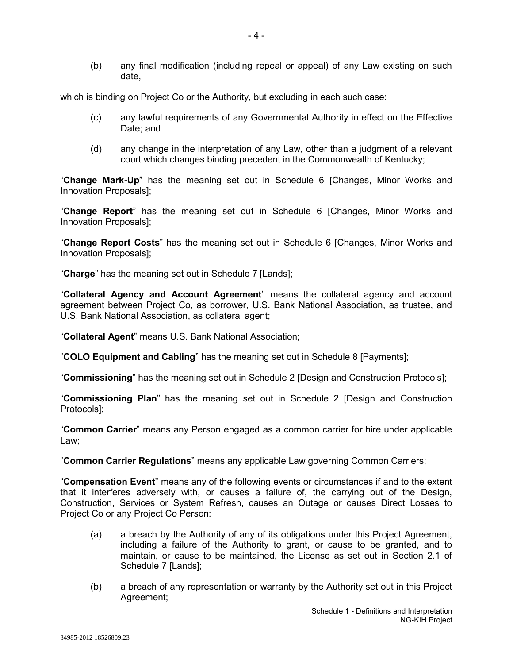(b) any final modification (including repeal or appeal) of any Law existing on such date,

which is binding on Project Co or the Authority, but excluding in each such case:

- (c) any lawful requirements of any Governmental Authority in effect on the Effective Date; and
- (d) any change in the interpretation of any Law, other than a judgment of a relevant court which changes binding precedent in the Commonwealth of Kentucky;

"**Change Mark-Up**" has the meaning set out in Schedule 6 [Changes, Minor Works and Innovation Proposals];

"**Change Report**" has the meaning set out in Schedule 6 [Changes, Minor Works and Innovation Proposals];

"**Change Report Costs**" has the meaning set out in Schedule 6 [Changes, Minor Works and Innovation Proposals];

"**Charge**" has the meaning set out in Schedule 7 [Lands];

"**Collateral Agency and Account Agreement**" means the collateral agency and account agreement between Project Co, as borrower, U.S. Bank National Association, as trustee, and U.S. Bank National Association, as collateral agent;

"**Collateral Agent**" means U.S. Bank National Association;

"**COLO Equipment and Cabling**" has the meaning set out in Schedule 8 [Payments];

"**Commissioning**" has the meaning set out in Schedule 2 [Design and Construction Protocols];

"**Commissioning Plan**" has the meaning set out in Schedule 2 [Design and Construction Protocols];

"**Common Carrier**" means any Person engaged as a common carrier for hire under applicable Law;

"**Common Carrier Regulations**" means any applicable Law governing Common Carriers;

"**Compensation Event**" means any of the following events or circumstances if and to the extent that it interferes adversely with, or causes a failure of, the carrying out of the Design, Construction, Services or System Refresh, causes an Outage or causes Direct Losses to Project Co or any Project Co Person:

- (a) a breach by the Authority of any of its obligations under this Project Agreement, including a failure of the Authority to grant, or cause to be granted, and to maintain, or cause to be maintained, the License as set out in Section 2.1 of Schedule 7 [Lands];
- (b) a breach of any representation or warranty by the Authority set out in this Project Agreement;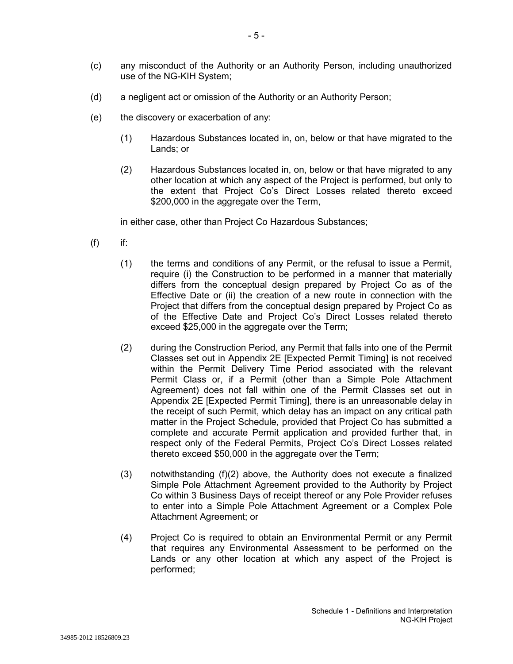- (c) any misconduct of the Authority or an Authority Person, including unauthorized use of the NG-KIH System;
- (d) a negligent act or omission of the Authority or an Authority Person;
- (e) the discovery or exacerbation of any:
	- (1) Hazardous Substances located in, on, below or that have migrated to the Lands; or
	- (2) Hazardous Substances located in, on, below or that have migrated to any other location at which any aspect of the Project is performed, but only to the extent that Project Co's Direct Losses related thereto exceed \$200,000 in the aggregate over the Term,

in either case, other than Project Co Hazardous Substances;

- $(f)$  if:
	- (1) the terms and conditions of any Permit, or the refusal to issue a Permit, require (i) the Construction to be performed in a manner that materially differs from the conceptual design prepared by Project Co as of the Effective Date or (ii) the creation of a new route in connection with the Project that differs from the conceptual design prepared by Project Co as of the Effective Date and Project Co's Direct Losses related thereto exceed \$25,000 in the aggregate over the Term;
	- (2) during the Construction Period, any Permit that falls into one of the Permit Classes set out in Appendix 2E [Expected Permit Timing] is not received within the Permit Delivery Time Period associated with the relevant Permit Class or, if a Permit (other than a Simple Pole Attachment Agreement) does not fall within one of the Permit Classes set out in Appendix 2E [Expected Permit Timing], there is an unreasonable delay in the receipt of such Permit, which delay has an impact on any critical path matter in the Project Schedule, provided that Project Co has submitted a complete and accurate Permit application and provided further that, in respect only of the Federal Permits, Project Co's Direct Losses related thereto exceed \$50,000 in the aggregate over the Term;
	- (3) notwithstanding (f)(2) above, the Authority does not execute a finalized Simple Pole Attachment Agreement provided to the Authority by Project Co within 3 Business Days of receipt thereof or any Pole Provider refuses to enter into a Simple Pole Attachment Agreement or a Complex Pole Attachment Agreement; or
	- (4) Project Co is required to obtain an Environmental Permit or any Permit that requires any Environmental Assessment to be performed on the Lands or any other location at which any aspect of the Project is performed;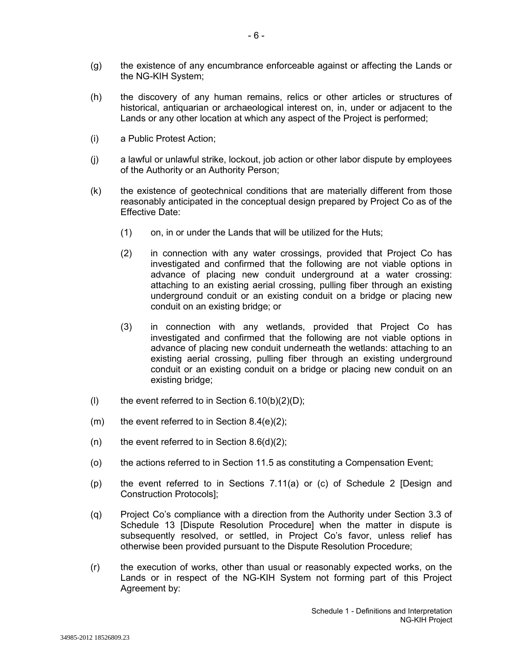- (g) the existence of any encumbrance enforceable against or affecting the Lands or the NG-KIH System;
- (h) the discovery of any human remains, relics or other articles or structures of historical, antiquarian or archaeological interest on, in, under or adjacent to the Lands or any other location at which any aspect of the Project is performed;
- (i) a Public Protest Action;
- (j) a lawful or unlawful strike, lockout, job action or other labor dispute by employees of the Authority or an Authority Person;
- (k) the existence of geotechnical conditions that are materially different from those reasonably anticipated in the conceptual design prepared by Project Co as of the Effective Date:
	- (1) on, in or under the Lands that will be utilized for the Huts;
	- (2) in connection with any water crossings, provided that Project Co has investigated and confirmed that the following are not viable options in advance of placing new conduit underground at a water crossing: attaching to an existing aerial crossing, pulling fiber through an existing underground conduit or an existing conduit on a bridge or placing new conduit on an existing bridge; or
	- (3) in connection with any wetlands, provided that Project Co has investigated and confirmed that the following are not viable options in advance of placing new conduit underneath the wetlands: attaching to an existing aerial crossing, pulling fiber through an existing underground conduit or an existing conduit on a bridge or placing new conduit on an existing bridge;
- (I) the event referred to in Section  $6.10(b)(2)(D)$ ;
- $(m)$  the event referred to in Section 8.4(e)(2);
- (n) the event referred to in Section  $8.6(d)(2)$ ;
- (o) the actions referred to in Section 11.5 as constituting a Compensation Event;
- (p) the event referred to in Sections 7.11(a) or (c) of Schedule 2 [Design and Construction Protocols];
- (q) Project Co's compliance with a direction from the Authority under Section 3.3 of Schedule 13 [Dispute Resolution Procedure] when the matter in dispute is subsequently resolved, or settled, in Project Co's favor, unless relief has otherwise been provided pursuant to the Dispute Resolution Procedure;
- (r) the execution of works, other than usual or reasonably expected works, on the Lands or in respect of the NG-KIH System not forming part of this Project Agreement by: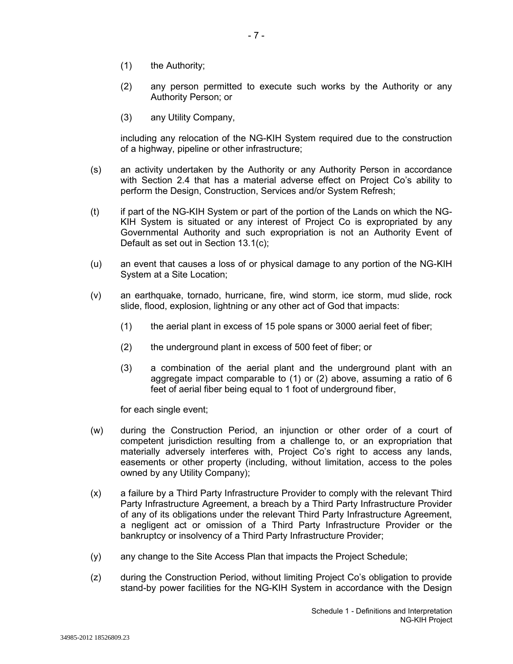- (1) the Authority;
- (2) any person permitted to execute such works by the Authority or any Authority Person; or
- (3) any Utility Company,

including any relocation of the NG-KIH System required due to the construction of a highway, pipeline or other infrastructure;

- (s) an activity undertaken by the Authority or any Authority Person in accordance with Section 2.4 that has a material adverse effect on Project Co's ability to perform the Design, Construction, Services and/or System Refresh;
- (t) if part of the NG-KIH System or part of the portion of the Lands on which the NG-KIH System is situated or any interest of Project Co is expropriated by any Governmental Authority and such expropriation is not an Authority Event of Default as set out in Section 13.1(c);
- (u) an event that causes a loss of or physical damage to any portion of the NG-KIH System at a Site Location;
- (v) an earthquake, tornado, hurricane, fire, wind storm, ice storm, mud slide, rock slide, flood, explosion, lightning or any other act of God that impacts:
	- (1) the aerial plant in excess of 15 pole spans or 3000 aerial feet of fiber;
	- (2) the underground plant in excess of 500 feet of fiber; or
	- (3) a combination of the aerial plant and the underground plant with an aggregate impact comparable to (1) or (2) above, assuming a ratio of 6 feet of aerial fiber being equal to 1 foot of underground fiber,

for each single event;

- (w) during the Construction Period, an injunction or other order of a court of competent jurisdiction resulting from a challenge to, or an expropriation that materially adversely interferes with, Project Co's right to access any lands, easements or other property (including, without limitation, access to the poles owned by any Utility Company);
- (x) a failure by a Third Party Infrastructure Provider to comply with the relevant Third Party Infrastructure Agreement, a breach by a Third Party Infrastructure Provider of any of its obligations under the relevant Third Party Infrastructure Agreement, a negligent act or omission of a Third Party Infrastructure Provider or the bankruptcy or insolvency of a Third Party Infrastructure Provider;
- (y) any change to the Site Access Plan that impacts the Project Schedule;
- (z) during the Construction Period, without limiting Project Co's obligation to provide stand-by power facilities for the NG-KIH System in accordance with the Design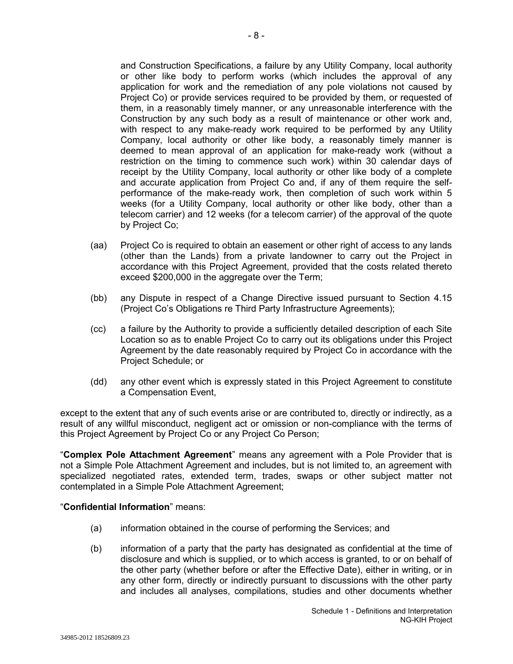and Construction Specifications, a failure by any Utility Company, local authority or other like body to perform works (which includes the approval of any application for work and the remediation of any pole violations not caused by Project Co) or provide services required to be provided by them, or requested of them, in a reasonably timely manner, or any unreasonable interference with the Construction by any such body as a result of maintenance or other work and, with respect to any make-ready work required to be performed by any Utility Company, local authority or other like body, a reasonably timely manner is deemed to mean approval of an application for make-ready work (without a restriction on the timing to commence such work) within 30 calendar days of receipt by the Utility Company, local authority or other like body of a complete and accurate application from Project Co and, if any of them require the selfperformance of the make-ready work, then completion of such work within 5 weeks (for a Utility Company, local authority or other like body, other than a telecom carrier) and 12 weeks (for a telecom carrier) of the approval of the quote by Project Co;

- (aa) Project Co is required to obtain an easement or other right of access to any lands (other than the Lands) from a private landowner to carry out the Project in accordance with this Project Agreement, provided that the costs related thereto exceed \$200,000 in the aggregate over the Term;
- (bb) any Dispute in respect of a Change Directive issued pursuant to Section 4.15 (Project Co's Obligations re Third Party Infrastructure Agreements);
- (cc) a failure by the Authority to provide a sufficiently detailed description of each Site Location so as to enable Project Co to carry out its obligations under this Project Agreement by the date reasonably required by Project Co in accordance with the Project Schedule; or
- (dd) any other event which is expressly stated in this Project Agreement to constitute a Compensation Event,

except to the extent that any of such events arise or are contributed to, directly or indirectly, as a result of any willful misconduct, negligent act or omission or non-compliance with the terms of this Project Agreement by Project Co or any Project Co Person;

"**Complex Pole Attachment Agreement**" means any agreement with a Pole Provider that is not a Simple Pole Attachment Agreement and includes, but is not limited to, an agreement with specialized negotiated rates, extended term, trades, swaps or other subject matter not contemplated in a Simple Pole Attachment Agreement;

### "**Confidential Information**" means:

- (a) information obtained in the course of performing the Services; and
- (b) information of a party that the party has designated as confidential at the time of disclosure and which is supplied, or to which access is granted, to or on behalf of the other party (whether before or after the Effective Date), either in writing, or in any other form, directly or indirectly pursuant to discussions with the other party and includes all analyses, compilations, studies and other documents whether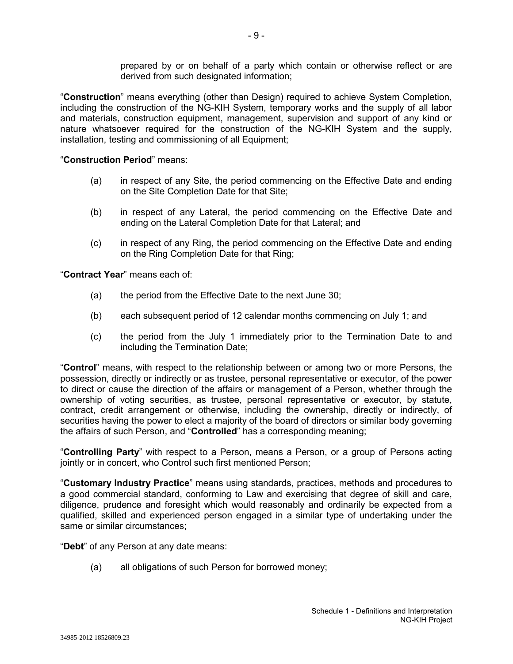prepared by or on behalf of a party which contain or otherwise reflect or are derived from such designated information;

"**Construction**" means everything (other than Design) required to achieve System Completion, including the construction of the NG-KIH System, temporary works and the supply of all labor and materials, construction equipment, management, supervision and support of any kind or nature whatsoever required for the construction of the NG-KIH System and the supply, installation, testing and commissioning of all Equipment;

### "**Construction Period**" means:

- (a) in respect of any Site, the period commencing on the Effective Date and ending on the Site Completion Date for that Site;
- (b) in respect of any Lateral, the period commencing on the Effective Date and ending on the Lateral Completion Date for that Lateral; and
- (c) in respect of any Ring, the period commencing on the Effective Date and ending on the Ring Completion Date for that Ring;

"**Contract Year**" means each of:

- (a) the period from the Effective Date to the next June 30;
- (b) each subsequent period of 12 calendar months commencing on July 1; and
- (c) the period from the July 1 immediately prior to the Termination Date to and including the Termination Date;

"**Control**" means, with respect to the relationship between or among two or more Persons, the possession, directly or indirectly or as trustee, personal representative or executor, of the power to direct or cause the direction of the affairs or management of a Person, whether through the ownership of voting securities, as trustee, personal representative or executor, by statute, contract, credit arrangement or otherwise, including the ownership, directly or indirectly, of securities having the power to elect a majority of the board of directors or similar body governing the affairs of such Person, and "**Controlled**" has a corresponding meaning;

"**Controlling Party**" with respect to a Person, means a Person, or a group of Persons acting jointly or in concert, who Control such first mentioned Person;

"**Customary Industry Practice**" means using standards, practices, methods and procedures to a good commercial standard, conforming to Law and exercising that degree of skill and care, diligence, prudence and foresight which would reasonably and ordinarily be expected from a qualified, skilled and experienced person engaged in a similar type of undertaking under the same or similar circumstances;

"**Debt**" of any Person at any date means:

(a) all obligations of such Person for borrowed money;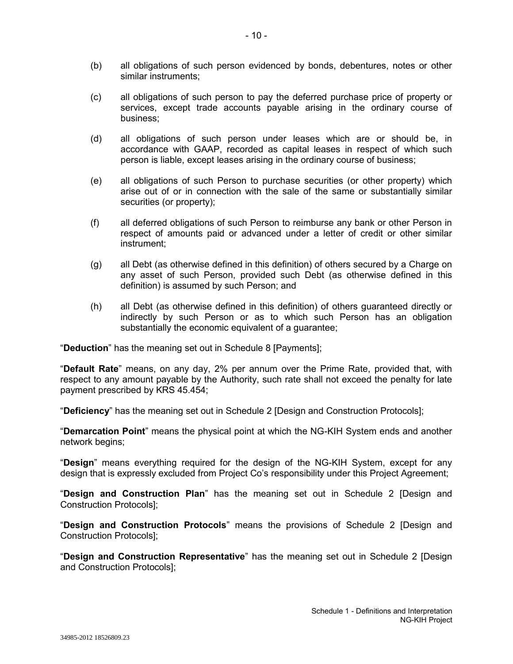- (b) all obligations of such person evidenced by bonds, debentures, notes or other similar instruments;
- (c) all obligations of such person to pay the deferred purchase price of property or services, except trade accounts payable arising in the ordinary course of business;
- (d) all obligations of such person under leases which are or should be, in accordance with GAAP, recorded as capital leases in respect of which such person is liable, except leases arising in the ordinary course of business;
- (e) all obligations of such Person to purchase securities (or other property) which arise out of or in connection with the sale of the same or substantially similar securities (or property);
- (f) all deferred obligations of such Person to reimburse any bank or other Person in respect of amounts paid or advanced under a letter of credit or other similar instrument;
- (g) all Debt (as otherwise defined in this definition) of others secured by a Charge on any asset of such Person, provided such Debt (as otherwise defined in this definition) is assumed by such Person; and
- (h) all Debt (as otherwise defined in this definition) of others guaranteed directly or indirectly by such Person or as to which such Person has an obligation substantially the economic equivalent of a guarantee;

"**Deduction**" has the meaning set out in Schedule 8 [Payments];

"**Default Rate**" means, on any day, 2% per annum over the Prime Rate, provided that, with respect to any amount payable by the Authority, such rate shall not exceed the penalty for late payment prescribed by KRS 45.454;

"**Deficiency**" has the meaning set out in Schedule 2 [Design and Construction Protocols];

"**Demarcation Point**" means the physical point at which the NG-KIH System ends and another network begins;

"**Design**" means everything required for the design of the NG-KIH System, except for any design that is expressly excluded from Project Co's responsibility under this Project Agreement;

"**Design and Construction Plan**" has the meaning set out in Schedule 2 [Design and Construction Protocols];

"**Design and Construction Protocols**" means the provisions of Schedule 2 [Design and Construction Protocols];

"**Design and Construction Representative**" has the meaning set out in Schedule 2 [Design and Construction Protocols];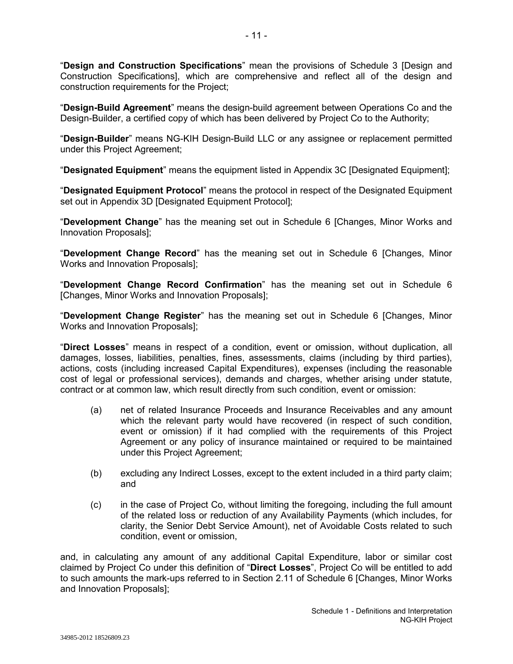"**Design and Construction Specifications**" mean the provisions of Schedule 3 [Design and Construction Specifications], which are comprehensive and reflect all of the design and construction requirements for the Project;

"**Design-Build Agreement**" means the design-build agreement between Operations Co and the Design-Builder, a certified copy of which has been delivered by Project Co to the Authority;

"**Design-Builder**" means NG-KIH Design-Build LLC or any assignee or replacement permitted under this Project Agreement;

"**Designated Equipment**" means the equipment listed in Appendix 3C [Designated Equipment];

"**Designated Equipment Protocol**" means the protocol in respect of the Designated Equipment set out in Appendix 3D [Designated Equipment Protocol];

"**Development Change**" has the meaning set out in Schedule 6 [Changes, Minor Works and Innovation Proposals];

"**Development Change Record**" has the meaning set out in Schedule 6 [Changes, Minor Works and Innovation Proposals];

"**Development Change Record Confirmation**" has the meaning set out in Schedule 6 [Changes, Minor Works and Innovation Proposals];

"**Development Change Register**" has the meaning set out in Schedule 6 [Changes, Minor Works and Innovation Proposals];

"**Direct Losses**" means in respect of a condition, event or omission, without duplication, all damages, losses, liabilities, penalties, fines, assessments, claims (including by third parties), actions, costs (including increased Capital Expenditures), expenses (including the reasonable cost of legal or professional services), demands and charges, whether arising under statute, contract or at common law, which result directly from such condition, event or omission:

- (a) net of related Insurance Proceeds and Insurance Receivables and any amount which the relevant party would have recovered (in respect of such condition, event or omission) if it had complied with the requirements of this Project Agreement or any policy of insurance maintained or required to be maintained under this Project Agreement;
- (b) excluding any Indirect Losses, except to the extent included in a third party claim; and
- (c) in the case of Project Co, without limiting the foregoing, including the full amount of the related loss or reduction of any Availability Payments (which includes, for clarity, the Senior Debt Service Amount), net of Avoidable Costs related to such condition, event or omission,

and, in calculating any amount of any additional Capital Expenditure, labor or similar cost claimed by Project Co under this definition of "**Direct Losses**", Project Co will be entitled to add to such amounts the mark-ups referred to in Section 2.11 of Schedule 6 [Changes, Minor Works and Innovation Proposals];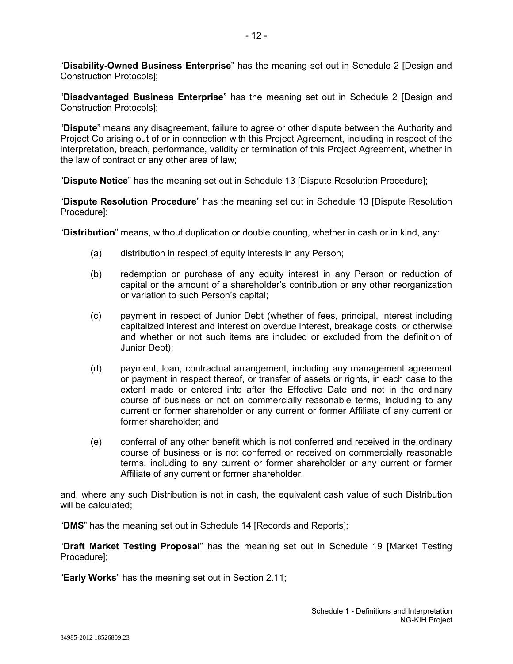"**Disability-Owned Business Enterprise**" has the meaning set out in Schedule 2 [Design and Construction Protocols];

"**Disadvantaged Business Enterprise**" has the meaning set out in Schedule 2 [Design and Construction Protocols];

"**Dispute**" means any disagreement, failure to agree or other dispute between the Authority and Project Co arising out of or in connection with this Project Agreement, including in respect of the interpretation, breach, performance, validity or termination of this Project Agreement, whether in the law of contract or any other area of law;

"**Dispute Notice**" has the meaning set out in Schedule 13 [Dispute Resolution Procedure];

"**Dispute Resolution Procedure**" has the meaning set out in Schedule 13 [Dispute Resolution Procedure];

"**Distribution**" means, without duplication or double counting, whether in cash or in kind, any:

- (a) distribution in respect of equity interests in any Person;
- (b) redemption or purchase of any equity interest in any Person or reduction of capital or the amount of a shareholder's contribution or any other reorganization or variation to such Person's capital;
- (c) payment in respect of Junior Debt (whether of fees, principal, interest including capitalized interest and interest on overdue interest, breakage costs, or otherwise and whether or not such items are included or excluded from the definition of Junior Debt);
- (d) payment, loan, contractual arrangement, including any management agreement or payment in respect thereof, or transfer of assets or rights, in each case to the extent made or entered into after the Effective Date and not in the ordinary course of business or not on commercially reasonable terms, including to any current or former shareholder or any current or former Affiliate of any current or former shareholder; and
- (e) conferral of any other benefit which is not conferred and received in the ordinary course of business or is not conferred or received on commercially reasonable terms, including to any current or former shareholder or any current or former Affiliate of any current or former shareholder,

and, where any such Distribution is not in cash, the equivalent cash value of such Distribution will be calculated:

"**DMS**" has the meaning set out in Schedule 14 [Records and Reports];

"**Draft Market Testing Proposal**" has the meaning set out in Schedule 19 [Market Testing Procedure];

"**Early Works**" has the meaning set out in Section 2.11;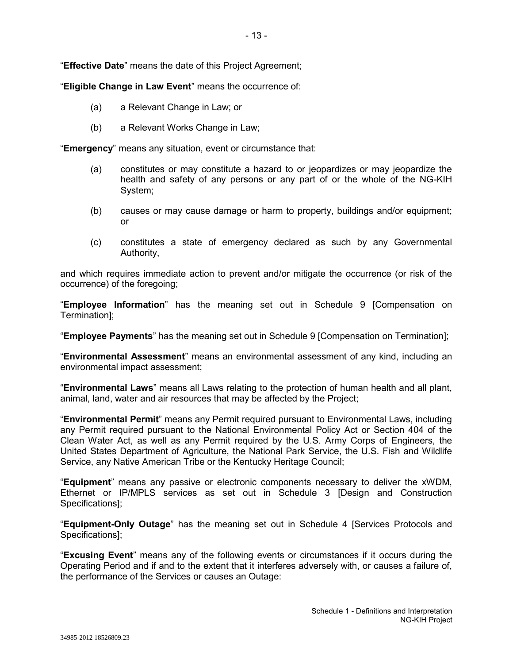"**Effective Date**" means the date of this Project Agreement;

"**Eligible Change in Law Event**" means the occurrence of:

- (a) a Relevant Change in Law; or
- (b) a Relevant Works Change in Law;

"**Emergency**" means any situation, event or circumstance that:

- (a) constitutes or may constitute a hazard to or jeopardizes or may jeopardize the health and safety of any persons or any part of or the whole of the NG-KIH System;
- (b) causes or may cause damage or harm to property, buildings and/or equipment; or
- (c) constitutes a state of emergency declared as such by any Governmental Authority,

and which requires immediate action to prevent and/or mitigate the occurrence (or risk of the occurrence) of the foregoing;

"**Employee Information**" has the meaning set out in Schedule 9 [Compensation on Termination];

"**Employee Payments**" has the meaning set out in Schedule 9 [Compensation on Termination];

"**Environmental Assessment**" means an environmental assessment of any kind, including an environmental impact assessment;

"**Environmental Laws**" means all Laws relating to the protection of human health and all plant, animal, land, water and air resources that may be affected by the Project;

"**Environmental Permit**" means any Permit required pursuant to Environmental Laws, including any Permit required pursuant to the National Environmental Policy Act or Section 404 of the Clean Water Act, as well as any Permit required by the U.S. Army Corps of Engineers, the United States Department of Agriculture, the National Park Service, the U.S. Fish and Wildlife Service, any Native American Tribe or the Kentucky Heritage Council;

"**Equipment**" means any passive or electronic components necessary to deliver the xWDM, Ethernet or IP/MPLS services as set out in Schedule 3 [Design and Construction Specifications];

"**Equipment-Only Outage**" has the meaning set out in Schedule 4 [Services Protocols and Specifications];

"**Excusing Event**" means any of the following events or circumstances if it occurs during the Operating Period and if and to the extent that it interferes adversely with, or causes a failure of, the performance of the Services or causes an Outage: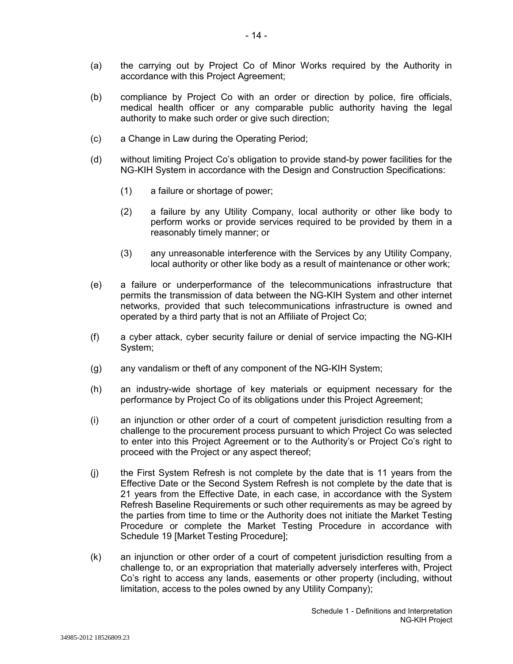(a) the carrying out by Project Co of Minor Works required by the Authority in accordance with this Project Agreement;

- 14 -

- (b) compliance by Project Co with an order or direction by police, fire officials, medical health officer or any comparable public authority having the legal authority to make such order or give such direction;
- (c) a Change in Law during the Operating Period;
- (d) without limiting Project Co's obligation to provide stand-by power facilities for the NG-KIH System in accordance with the Design and Construction Specifications:
	- (1) a failure or shortage of power;
	- (2) a failure by any Utility Company, local authority or other like body to perform works or provide services required to be provided by them in a reasonably timely manner; or
	- (3) any unreasonable interference with the Services by any Utility Company, local authority or other like body as a result of maintenance or other work;
- (e) a failure or underperformance of the telecommunications infrastructure that permits the transmission of data between the NG-KIH System and other internet networks, provided that such telecommunications infrastructure is owned and operated by a third party that is not an Affiliate of Project Co;
- (f) a cyber attack, cyber security failure or denial of service impacting the NG-KIH System;
- (g) any vandalism or theft of any component of the NG-KIH System;
- (h) an industry-wide shortage of key materials or equipment necessary for the performance by Project Co of its obligations under this Project Agreement;
- (i) an injunction or other order of a court of competent jurisdiction resulting from a challenge to the procurement process pursuant to which Project Co was selected to enter into this Project Agreement or to the Authority's or Project Co's right to proceed with the Project or any aspect thereof;
- (j) the First System Refresh is not complete by the date that is 11 years from the Effective Date or the Second System Refresh is not complete by the date that is 21 years from the Effective Date, in each case, in accordance with the System Refresh Baseline Requirements or such other requirements as may be agreed by the parties from time to time or the Authority does not initiate the Market Testing Procedure or complete the Market Testing Procedure in accordance with Schedule 19 [Market Testing Procedure];
- (k) an injunction or other order of a court of competent jurisdiction resulting from a challenge to, or an expropriation that materially adversely interferes with, Project Co's right to access any lands, easements or other property (including, without limitation, access to the poles owned by any Utility Company);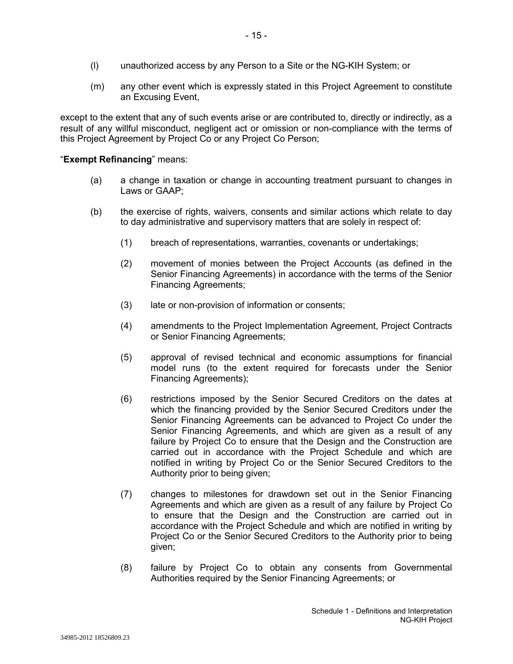- (l) unauthorized access by any Person to a Site or the NG-KIH System; or
- (m) any other event which is expressly stated in this Project Agreement to constitute an Excusing Event,

except to the extent that any of such events arise or are contributed to, directly or indirectly, as a result of any willful misconduct, negligent act or omission or non-compliance with the terms of this Project Agreement by Project Co or any Project Co Person;

### "**Exempt Refinancing**" means:

- (a) a change in taxation or change in accounting treatment pursuant to changes in Laws or GAAP;
- (b) the exercise of rights, waivers, consents and similar actions which relate to day to day administrative and supervisory matters that are solely in respect of:
	- (1) breach of representations, warranties, covenants or undertakings;
	- (2) movement of monies between the Project Accounts (as defined in the Senior Financing Agreements) in accordance with the terms of the Senior Financing Agreements;
	- (3) late or non-provision of information or consents;
	- (4) amendments to the Project Implementation Agreement, Project Contracts or Senior Financing Agreements;
	- (5) approval of revised technical and economic assumptions for financial model runs (to the extent required for forecasts under the Senior Financing Agreements);
	- (6) restrictions imposed by the Senior Secured Creditors on the dates at which the financing provided by the Senior Secured Creditors under the Senior Financing Agreements can be advanced to Project Co under the Senior Financing Agreements, and which are given as a result of any failure by Project Co to ensure that the Design and the Construction are carried out in accordance with the Project Schedule and which are notified in writing by Project Co or the Senior Secured Creditors to the Authority prior to being given;
	- (7) changes to milestones for drawdown set out in the Senior Financing Agreements and which are given as a result of any failure by Project Co to ensure that the Design and the Construction are carried out in accordance with the Project Schedule and which are notified in writing by Project Co or the Senior Secured Creditors to the Authority prior to being given;
	- (8) failure by Project Co to obtain any consents from Governmental Authorities required by the Senior Financing Agreements; or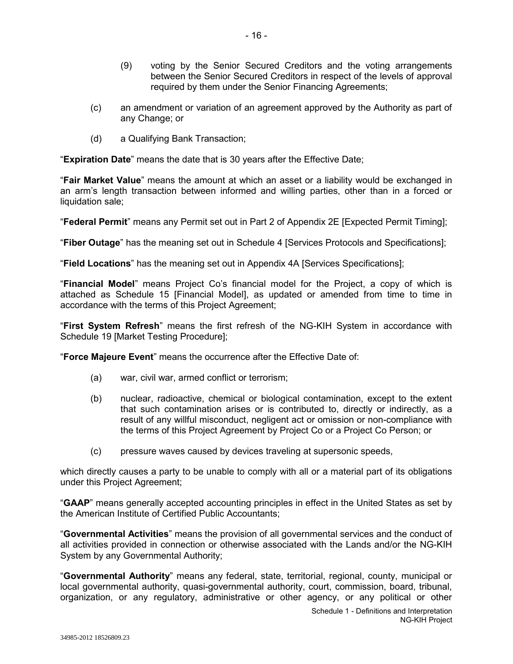- (9) voting by the Senior Secured Creditors and the voting arrangements between the Senior Secured Creditors in respect of the levels of approval required by them under the Senior Financing Agreements;
- (c) an amendment or variation of an agreement approved by the Authority as part of any Change; or
- (d) a Qualifying Bank Transaction;

"**Expiration Date**" means the date that is 30 years after the Effective Date;

"**Fair Market Value**" means the amount at which an asset or a liability would be exchanged in an arm's length transaction between informed and willing parties, other than in a forced or liquidation sale:

"**Federal Permit**" means any Permit set out in Part 2 of Appendix 2E [Expected Permit Timing];

"**Fiber Outage**" has the meaning set out in Schedule 4 [Services Protocols and Specifications];

"**Field Locations**" has the meaning set out in Appendix 4A [Services Specifications];

"**Financial Model**" means Project Co's financial model for the Project, a copy of which is attached as Schedule 15 [Financial Model], as updated or amended from time to time in accordance with the terms of this Project Agreement;

"**First System Refresh**" means the first refresh of the NG-KIH System in accordance with Schedule 19 [Market Testing Procedure];

"**Force Majeure Event**" means the occurrence after the Effective Date of:

- (a) war, civil war, armed conflict or terrorism;
- (b) nuclear, radioactive, chemical or biological contamination, except to the extent that such contamination arises or is contributed to, directly or indirectly, as a result of any willful misconduct, negligent act or omission or non-compliance with the terms of this Project Agreement by Project Co or a Project Co Person; or
- (c) pressure waves caused by devices traveling at supersonic speeds,

which directly causes a party to be unable to comply with all or a material part of its obligations under this Project Agreement;

"**GAAP**" means generally accepted accounting principles in effect in the United States as set by the American Institute of Certified Public Accountants;

"**Governmental Activities**" means the provision of all governmental services and the conduct of all activities provided in connection or otherwise associated with the Lands and/or the NG-KIH System by any Governmental Authority;

"**Governmental Authority**" means any federal, state, territorial, regional, county, municipal or local governmental authority, quasi-governmental authority, court, commission, board, tribunal, organization, or any regulatory, administrative or other agency, or any political or other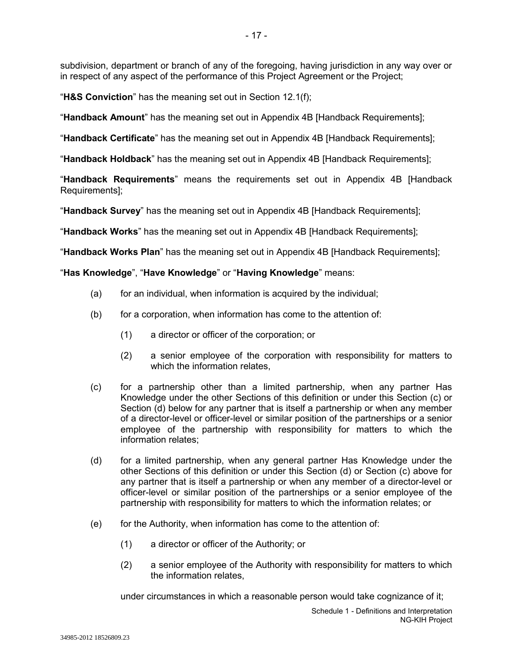subdivision, department or branch of any of the foregoing, having jurisdiction in any way over or in respect of any aspect of the performance of this Project Agreement or the Project;

"**H&S Conviction**" has the meaning set out in Section 12.1(f);

"**Handback Amount**" has the meaning set out in Appendix 4B [Handback Requirements];

"**Handback Certificate**" has the meaning set out in Appendix 4B [Handback Requirements];

"**Handback Holdback**" has the meaning set out in Appendix 4B [Handback Requirements];

"**Handback Requirements**" means the requirements set out in Appendix 4B [Handback Requirements];

"**Handback Survey**" has the meaning set out in Appendix 4B [Handback Requirements];

"**Handback Works**" has the meaning set out in Appendix 4B [Handback Requirements];

"**Handback Works Plan**" has the meaning set out in Appendix 4B [Handback Requirements];

# "**Has Knowledge**", "**Have Knowledge**" or "**Having Knowledge**" means:

- (a) for an individual, when information is acquired by the individual;
- (b) for a corporation, when information has come to the attention of:
	- (1) a director or officer of the corporation; or
	- (2) a senior employee of the corporation with responsibility for matters to which the information relates.
- (c) for a partnership other than a limited partnership, when any partner Has Knowledge under the other Sections of this definition or under this Section (c) or Section (d) below for any partner that is itself a partnership or when any member of a director-level or officer-level or similar position of the partnerships or a senior employee of the partnership with responsibility for matters to which the information relates;
- (d) for a limited partnership, when any general partner Has Knowledge under the other Sections of this definition or under this Section (d) or Section (c) above for any partner that is itself a partnership or when any member of a director-level or officer-level or similar position of the partnerships or a senior employee of the partnership with responsibility for matters to which the information relates; or
- $(e)$  for the Authority, when information has come to the attention of:
	- (1) a director or officer of the Authority; or
	- (2) a senior employee of the Authority with responsibility for matters to which the information relates,

under circumstances in which a reasonable person would take cognizance of it;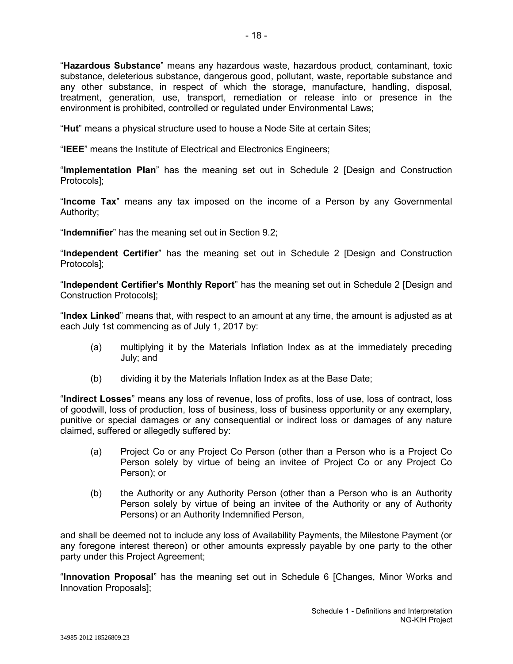"**Hazardous Substance**" means any hazardous waste, hazardous product, contaminant, toxic substance, deleterious substance, dangerous good, pollutant, waste, reportable substance and any other substance, in respect of which the storage, manufacture, handling, disposal, treatment, generation, use, transport, remediation or release into or presence in the environment is prohibited, controlled or regulated under Environmental Laws;

"**Hut**" means a physical structure used to house a Node Site at certain Sites;

"**IEEE**" means the Institute of Electrical and Electronics Engineers;

"**Implementation Plan**" has the meaning set out in Schedule 2 [Design and Construction Protocols];

"**Income Tax**" means any tax imposed on the income of a Person by any Governmental Authority;

"**Indemnifier**" has the meaning set out in Section 9.2;

"**Independent Certifier**" has the meaning set out in Schedule 2 [Design and Construction Protocols];

"**Independent Certifier's Monthly Report**" has the meaning set out in Schedule 2 [Design and Construction Protocols];

"**Index Linked**" means that, with respect to an amount at any time, the amount is adjusted as at each July 1st commencing as of July 1, 2017 by:

- (a) multiplying it by the Materials Inflation Index as at the immediately preceding July; and
- (b) dividing it by the Materials Inflation Index as at the Base Date;

"**Indirect Losses**" means any loss of revenue, loss of profits, loss of use, loss of contract, loss of goodwill, loss of production, loss of business, loss of business opportunity or any exemplary, punitive or special damages or any consequential or indirect loss or damages of any nature claimed, suffered or allegedly suffered by:

- (a) Project Co or any Project Co Person (other than a Person who is a Project Co Person solely by virtue of being an invitee of Project Co or any Project Co Person); or
- (b) the Authority or any Authority Person (other than a Person who is an Authority Person solely by virtue of being an invitee of the Authority or any of Authority Persons) or an Authority Indemnified Person,

and shall be deemed not to include any loss of Availability Payments, the Milestone Payment (or any foregone interest thereon) or other amounts expressly payable by one party to the other party under this Project Agreement;

"**Innovation Proposal**" has the meaning set out in Schedule 6 [Changes, Minor Works and Innovation Proposals];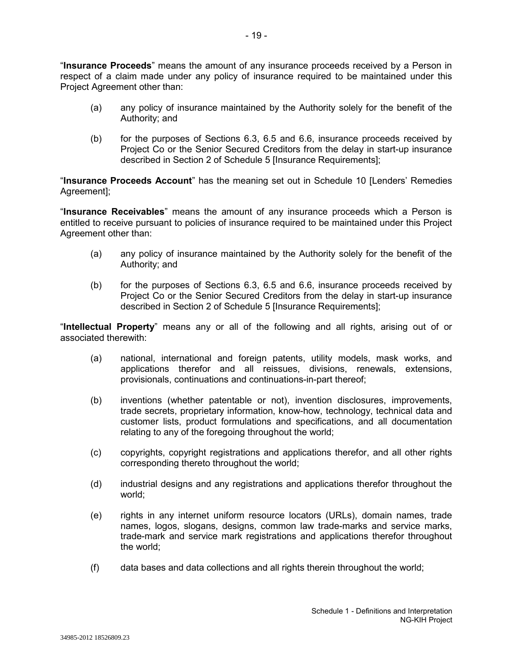"**Insurance Proceeds**" means the amount of any insurance proceeds received by a Person in respect of a claim made under any policy of insurance required to be maintained under this Project Agreement other than:

- 19 -

- (a) any policy of insurance maintained by the Authority solely for the benefit of the Authority; and
- (b) for the purposes of Sections 6.3, 6.5 and 6.6, insurance proceeds received by Project Co or the Senior Secured Creditors from the delay in start-up insurance described in Section 2 of Schedule 5 [Insurance Requirements];

"**Insurance Proceeds Account**" has the meaning set out in Schedule 10 [Lenders' Remedies Agreement];

"**Insurance Receivables**" means the amount of any insurance proceeds which a Person is entitled to receive pursuant to policies of insurance required to be maintained under this Project Agreement other than:

- (a) any policy of insurance maintained by the Authority solely for the benefit of the Authority; and
- (b) for the purposes of Sections 6.3, 6.5 and 6.6, insurance proceeds received by Project Co or the Senior Secured Creditors from the delay in start-up insurance described in Section 2 of Schedule 5 [Insurance Requirements];

"**Intellectual Property**" means any or all of the following and all rights, arising out of or associated therewith:

- (a) national, international and foreign patents, utility models, mask works, and applications therefor and all reissues, divisions, renewals, extensions, provisionals, continuations and continuations-in-part thereof;
- (b) inventions (whether patentable or not), invention disclosures, improvements, trade secrets, proprietary information, know-how, technology, technical data and customer lists, product formulations and specifications, and all documentation relating to any of the foregoing throughout the world;
- (c) copyrights, copyright registrations and applications therefor, and all other rights corresponding thereto throughout the world;
- (d) industrial designs and any registrations and applications therefor throughout the world;
- (e) rights in any internet uniform resource locators (URLs), domain names, trade names, logos, slogans, designs, common law trade-marks and service marks, trade-mark and service mark registrations and applications therefor throughout the world;
- (f) data bases and data collections and all rights therein throughout the world;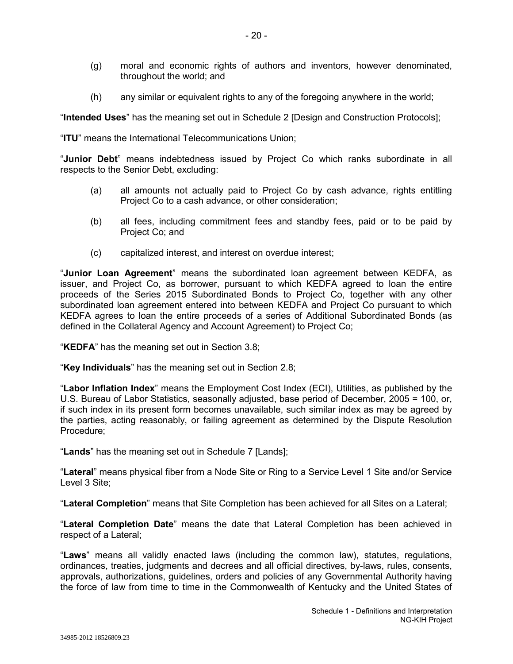- (g) moral and economic rights of authors and inventors, however denominated, throughout the world; and
- (h) any similar or equivalent rights to any of the foregoing anywhere in the world;

"**Intended Uses**" has the meaning set out in Schedule 2 [Design and Construction Protocols];

"**ITU**" means the International Telecommunications Union;

"**Junior Debt**" means indebtedness issued by Project Co which ranks subordinate in all respects to the Senior Debt, excluding:

- (a) all amounts not actually paid to Project Co by cash advance, rights entitling Project Co to a cash advance, or other consideration;
- (b) all fees, including commitment fees and standby fees, paid or to be paid by Project Co; and
- (c) capitalized interest, and interest on overdue interest;

"**Junior Loan Agreement**" means the subordinated loan agreement between KEDFA, as issuer, and Project Co, as borrower, pursuant to which KEDFA agreed to loan the entire proceeds of the Series 2015 Subordinated Bonds to Project Co, together with any other subordinated loan agreement entered into between KEDFA and Project Co pursuant to which KEDFA agrees to loan the entire proceeds of a series of Additional Subordinated Bonds (as defined in the Collateral Agency and Account Agreement) to Project Co;

"**KEDFA**" has the meaning set out in Section 3.8;

"**Key Individuals**" has the meaning set out in Section 2.8;

"**Labor Inflation Index**" means the Employment Cost Index (ECI), Utilities, as published by the U.S. Bureau of Labor Statistics, seasonally adjusted, base period of December, 2005 = 100, or, if such index in its present form becomes unavailable, such similar index as may be agreed by the parties, acting reasonably, or failing agreement as determined by the Dispute Resolution Procedure;

"**Lands**" has the meaning set out in Schedule 7 [Lands];

"**Lateral**" means physical fiber from a Node Site or Ring to a Service Level 1 Site and/or Service Level 3 Site;

"**Lateral Completion**" means that Site Completion has been achieved for all Sites on a Lateral;

"**Lateral Completion Date**" means the date that Lateral Completion has been achieved in respect of a Lateral;

"**Laws**" means all validly enacted laws (including the common law), statutes, regulations, ordinances, treaties, judgments and decrees and all official directives, by-laws, rules, consents, approvals, authorizations, guidelines, orders and policies of any Governmental Authority having the force of law from time to time in the Commonwealth of Kentucky and the United States of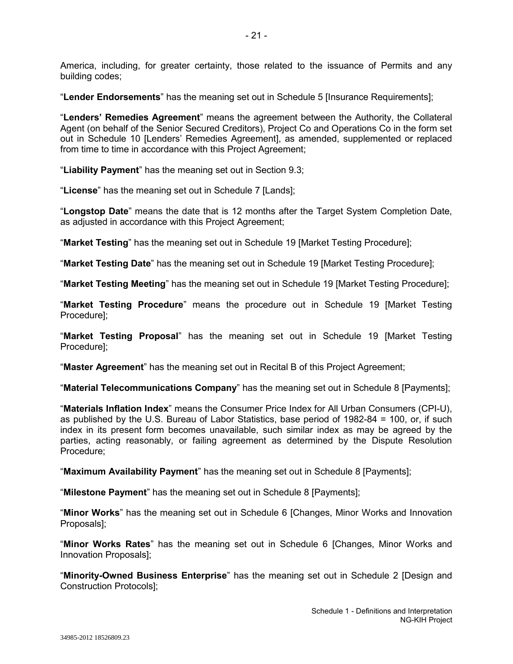America, including, for greater certainty, those related to the issuance of Permits and any building codes;

"**Lender Endorsements**" has the meaning set out in Schedule 5 [Insurance Requirements];

"**Lenders' Remedies Agreement**" means the agreement between the Authority, the Collateral Agent (on behalf of the Senior Secured Creditors), Project Co and Operations Co in the form set out in Schedule 10 [Lenders' Remedies Agreement], as amended, supplemented or replaced from time to time in accordance with this Project Agreement;

"**Liability Payment**" has the meaning set out in Section 9.3;

"**License**" has the meaning set out in Schedule 7 [Lands];

"**Longstop Date**" means the date that is 12 months after the Target System Completion Date, as adjusted in accordance with this Project Agreement;

"**Market Testing**" has the meaning set out in Schedule 19 [Market Testing Procedure];

"**Market Testing Date**" has the meaning set out in Schedule 19 [Market Testing Procedure];

"**Market Testing Meeting**" has the meaning set out in Schedule 19 [Market Testing Procedure];

"**Market Testing Procedure**" means the procedure out in Schedule 19 [Market Testing Procedure];

"**Market Testing Proposal**" has the meaning set out in Schedule 19 [Market Testing Procedure];

"**Master Agreement**" has the meaning set out in Recital B of this Project Agreement;

"**Material Telecommunications Company**" has the meaning set out in Schedule 8 [Payments];

"**Materials Inflation Index**" means the Consumer Price Index for All Urban Consumers (CPI-U), as published by the U.S. Bureau of Labor Statistics, base period of 1982-84 = 100, or, if such index in its present form becomes unavailable, such similar index as may be agreed by the parties, acting reasonably, or failing agreement as determined by the Dispute Resolution Procedure;

"**Maximum Availability Payment**" has the meaning set out in Schedule 8 [Payments];

"**Milestone Payment**" has the meaning set out in Schedule 8 [Payments];

"**Minor Works**" has the meaning set out in Schedule 6 [Changes, Minor Works and Innovation Proposals];

"**Minor Works Rates**" has the meaning set out in Schedule 6 [Changes, Minor Works and Innovation Proposals];

"**Minority-Owned Business Enterprise**" has the meaning set out in Schedule 2 [Design and Construction Protocols];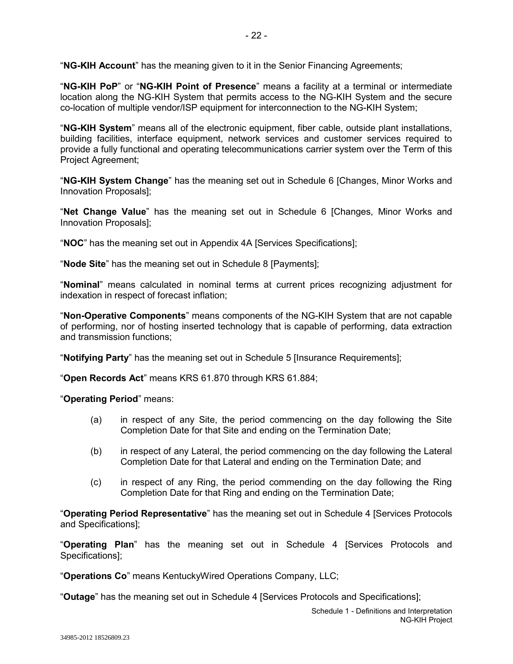"**NG-KIH Account**" has the meaning given to it in the Senior Financing Agreements;

"**NG-KIH PoP**" or "**NG-KIH Point of Presence**" means a facility at a terminal or intermediate location along the NG-KIH System that permits access to the NG-KIH System and the secure co-location of multiple vendor/ISP equipment for interconnection to the NG-KIH System;

"**NG-KIH System**" means all of the electronic equipment, fiber cable, outside plant installations, building facilities, interface equipment, network services and customer services required to provide a fully functional and operating telecommunications carrier system over the Term of this Project Agreement;

"**NG-KIH System Change**" has the meaning set out in Schedule 6 [Changes, Minor Works and Innovation Proposals];

"**Net Change Value**" has the meaning set out in Schedule 6 [Changes, Minor Works and Innovation Proposals];

"**NOC**" has the meaning set out in Appendix 4A [Services Specifications];

"**Node Site**" has the meaning set out in Schedule 8 [Payments];

"**Nominal**" means calculated in nominal terms at current prices recognizing adjustment for indexation in respect of forecast inflation;

"**Non-Operative Components**" means components of the NG-KIH System that are not capable of performing, nor of hosting inserted technology that is capable of performing, data extraction and transmission functions;

"**Notifying Party**" has the meaning set out in Schedule 5 [Insurance Requirements];

"**Open Records Act**" means KRS 61.870 through KRS 61.884;

"**Operating Period**" means:

- (a) in respect of any Site, the period commencing on the day following the Site Completion Date for that Site and ending on the Termination Date;
- (b) in respect of any Lateral, the period commencing on the day following the Lateral Completion Date for that Lateral and ending on the Termination Date; and
- (c) in respect of any Ring, the period commending on the day following the Ring Completion Date for that Ring and ending on the Termination Date;

"**Operating Period Representative**" has the meaning set out in Schedule 4 [Services Protocols and Specifications];

"**Operating Plan**" has the meaning set out in Schedule 4 [Services Protocols and Specifications];

"**Operations Co**" means KentuckyWired Operations Company, LLC;

"**Outage**" has the meaning set out in Schedule 4 [Services Protocols and Specifications];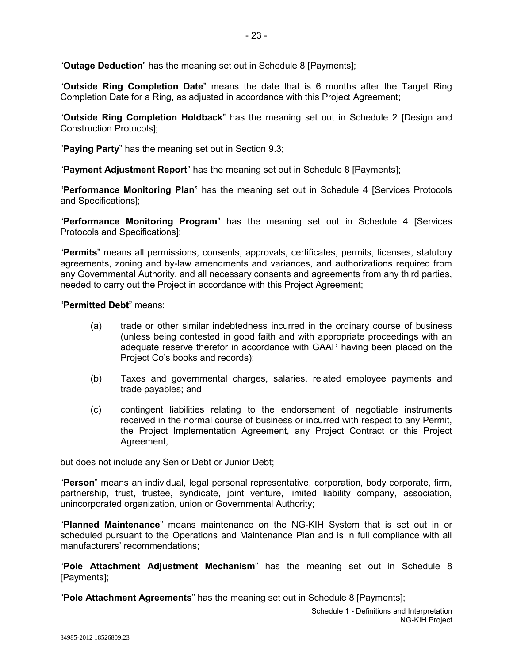"**Outage Deduction**" has the meaning set out in Schedule 8 [Payments];

"**Outside Ring Completion Date**" means the date that is 6 months after the Target Ring Completion Date for a Ring, as adjusted in accordance with this Project Agreement;

"**Outside Ring Completion Holdback**" has the meaning set out in Schedule 2 [Design and Construction Protocols];

"**Paying Party**" has the meaning set out in Section 9.3;

"**Payment Adjustment Report**" has the meaning set out in Schedule 8 [Payments];

"**Performance Monitoring Plan**" has the meaning set out in Schedule 4 [Services Protocols and Specifications];

"**Performance Monitoring Program**" has the meaning set out in Schedule 4 [Services Protocols and Specifications];

"**Permits**" means all permissions, consents, approvals, certificates, permits, licenses, statutory agreements, zoning and by-law amendments and variances, and authorizations required from any Governmental Authority, and all necessary consents and agreements from any third parties, needed to carry out the Project in accordance with this Project Agreement;

"**Permitted Debt**" means:

- (a) trade or other similar indebtedness incurred in the ordinary course of business (unless being contested in good faith and with appropriate proceedings with an adequate reserve therefor in accordance with GAAP having been placed on the Project Co's books and records);
- (b) Taxes and governmental charges, salaries, related employee payments and trade payables; and
- (c) contingent liabilities relating to the endorsement of negotiable instruments received in the normal course of business or incurred with respect to any Permit, the Project Implementation Agreement, any Project Contract or this Project Agreement,

but does not include any Senior Debt or Junior Debt;

"**Person**" means an individual, legal personal representative, corporation, body corporate, firm, partnership, trust, trustee, syndicate, joint venture, limited liability company, association, unincorporated organization, union or Governmental Authority;

"**Planned Maintenance**" means maintenance on the NG-KIH System that is set out in or scheduled pursuant to the Operations and Maintenance Plan and is in full compliance with all manufacturers' recommendations;

"**Pole Attachment Adjustment Mechanism**" has the meaning set out in Schedule 8 [Payments];

"**Pole Attachment Agreements**" has the meaning set out in Schedule 8 [Payments];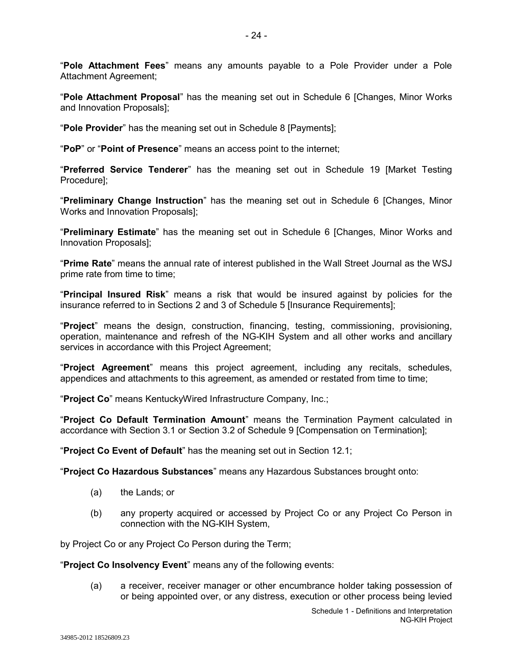"**Pole Attachment Fees**" means any amounts payable to a Pole Provider under a Pole Attachment Agreement;

"**Pole Attachment Proposal**" has the meaning set out in Schedule 6 [Changes, Minor Works and Innovation Proposals];

"**Pole Provider**" has the meaning set out in Schedule 8 [Payments];

"**PoP**" or "**Point of Presence**" means an access point to the internet;

"**Preferred Service Tenderer**" has the meaning set out in Schedule 19 [Market Testing Procedure];

"**Preliminary Change Instruction**" has the meaning set out in Schedule 6 [Changes, Minor Works and Innovation Proposals];

"**Preliminary Estimate**" has the meaning set out in Schedule 6 [Changes, Minor Works and Innovation Proposals];

"**Prime Rate**" means the annual rate of interest published in the Wall Street Journal as the WSJ prime rate from time to time;

"**Principal Insured Risk**" means a risk that would be insured against by policies for the insurance referred to in Sections 2 and 3 of Schedule 5 [Insurance Requirements];

"**Project**" means the design, construction, financing, testing, commissioning, provisioning, operation, maintenance and refresh of the NG-KIH System and all other works and ancillary services in accordance with this Project Agreement;

"**Project Agreement**" means this project agreement, including any recitals, schedules, appendices and attachments to this agreement, as amended or restated from time to time;

"**Project Co**" means KentuckyWired Infrastructure Company, Inc.;

"**Project Co Default Termination Amount**" means the Termination Payment calculated in accordance with Section 3.1 or Section 3.2 of Schedule 9 [Compensation on Termination];

"**Project Co Event of Default**" has the meaning set out in Section 12.1;

"**Project Co Hazardous Substances**" means any Hazardous Substances brought onto:

- (a) the Lands; or
- (b) any property acquired or accessed by Project Co or any Project Co Person in connection with the NG-KIH System,

by Project Co or any Project Co Person during the Term;

"**Project Co Insolvency Event**" means any of the following events:

(a) a receiver, receiver manager or other encumbrance holder taking possession of or being appointed over, or any distress, execution or other process being levied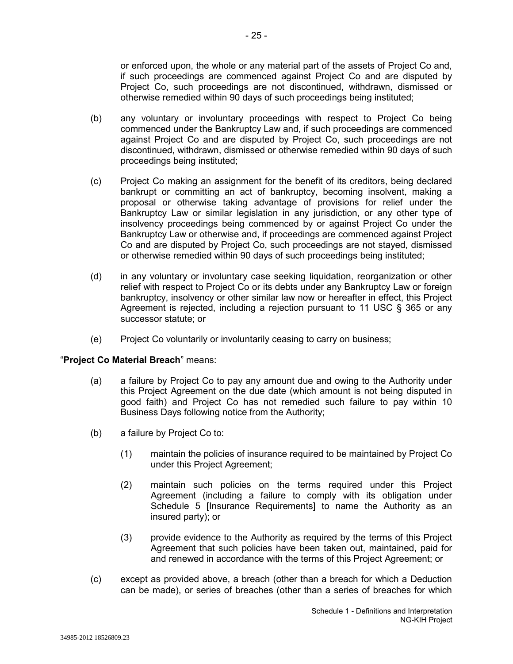or enforced upon, the whole or any material part of the assets of Project Co and, if such proceedings are commenced against Project Co and are disputed by Project Co, such proceedings are not discontinued, withdrawn, dismissed or otherwise remedied within 90 days of such proceedings being instituted;

- (b) any voluntary or involuntary proceedings with respect to Project Co being commenced under the Bankruptcy Law and, if such proceedings are commenced against Project Co and are disputed by Project Co, such proceedings are not discontinued, withdrawn, dismissed or otherwise remedied within 90 days of such proceedings being instituted;
- (c) Project Co making an assignment for the benefit of its creditors, being declared bankrupt or committing an act of bankruptcy, becoming insolvent, making a proposal or otherwise taking advantage of provisions for relief under the Bankruptcy Law or similar legislation in any jurisdiction, or any other type of insolvency proceedings being commenced by or against Project Co under the Bankruptcy Law or otherwise and, if proceedings are commenced against Project Co and are disputed by Project Co, such proceedings are not stayed, dismissed or otherwise remedied within 90 days of such proceedings being instituted;
- (d) in any voluntary or involuntary case seeking liquidation, reorganization or other relief with respect to Project Co or its debts under any Bankruptcy Law or foreign bankruptcy, insolvency or other similar law now or hereafter in effect, this Project Agreement is rejected, including a rejection pursuant to 11 USC § 365 or any successor statute; or
- (e) Project Co voluntarily or involuntarily ceasing to carry on business;

# "**Project Co Material Breach**" means:

- (a) a failure by Project Co to pay any amount due and owing to the Authority under this Project Agreement on the due date (which amount is not being disputed in good faith) and Project Co has not remedied such failure to pay within 10 Business Days following notice from the Authority;
- (b) a failure by Project Co to:
	- (1) maintain the policies of insurance required to be maintained by Project Co under this Project Agreement;
	- (2) maintain such policies on the terms required under this Project Agreement (including a failure to comply with its obligation under Schedule 5 [Insurance Requirements] to name the Authority as an insured party); or
	- (3) provide evidence to the Authority as required by the terms of this Project Agreement that such policies have been taken out, maintained, paid for and renewed in accordance with the terms of this Project Agreement; or
- (c) except as provided above, a breach (other than a breach for which a Deduction can be made), or series of breaches (other than a series of breaches for which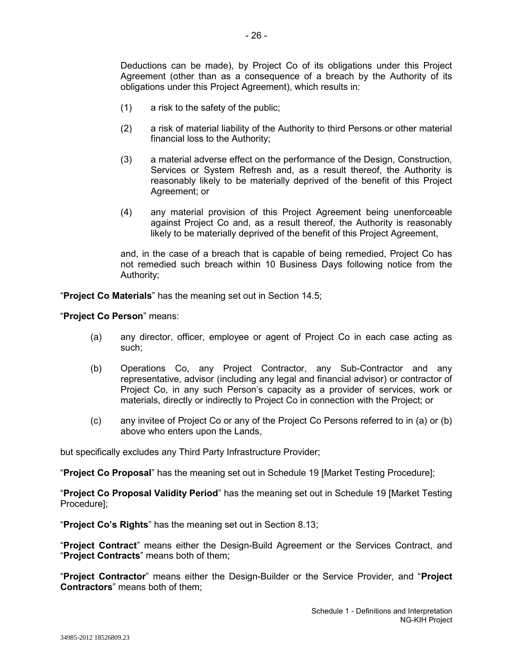Deductions can be made), by Project Co of its obligations under this Project Agreement (other than as a consequence of a breach by the Authority of its obligations under this Project Agreement), which results in:

- (1) a risk to the safety of the public;
- (2) a risk of material liability of the Authority to third Persons or other material financial loss to the Authority;
- (3) a material adverse effect on the performance of the Design, Construction, Services or System Refresh and, as a result thereof, the Authority is reasonably likely to be materially deprived of the benefit of this Project Agreement; or
- (4) any material provision of this Project Agreement being unenforceable against Project Co and, as a result thereof, the Authority is reasonably likely to be materially deprived of the benefit of this Project Agreement,

and, in the case of a breach that is capable of being remedied, Project Co has not remedied such breach within 10 Business Days following notice from the Authority;

"**Project Co Materials**" has the meaning set out in Section 14.5;

"**Project Co Person**" means:

- (a) any director, officer, employee or agent of Project Co in each case acting as such;
- (b) Operations Co, any Project Contractor, any Sub-Contractor and any representative, advisor (including any legal and financial advisor) or contractor of Project Co, in any such Person's capacity as a provider of services, work or materials, directly or indirectly to Project Co in connection with the Project; or
- (c) any invitee of Project Co or any of the Project Co Persons referred to in (a) or (b) above who enters upon the Lands,

but specifically excludes any Third Party Infrastructure Provider;

"**Project Co Proposal**" has the meaning set out in Schedule 19 [Market Testing Procedure];

"**Project Co Proposal Validity Period**" has the meaning set out in Schedule 19 [Market Testing Procedure];

"**Project Co's Rights**" has the meaning set out in Section 8.13;

"**Project Contract**" means either the Design-Build Agreement or the Services Contract, and "**Project Contracts**" means both of them;

"**Project Contractor**" means either the Design-Builder or the Service Provider, and "**Project Contractors**" means both of them;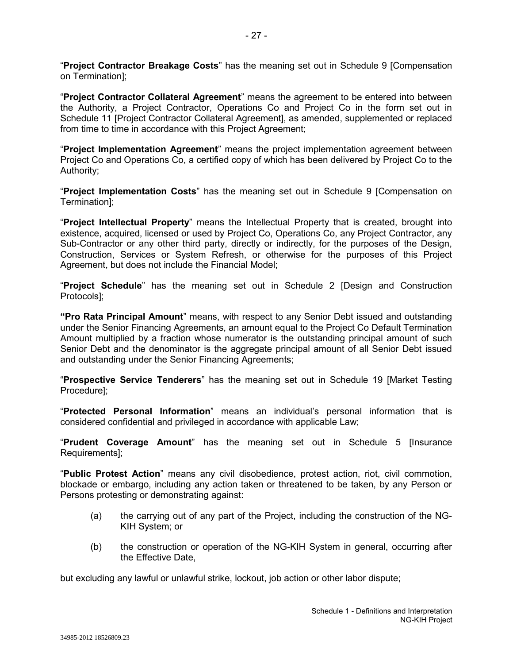"**Project Contractor Breakage Costs**" has the meaning set out in Schedule 9 [Compensation on Termination];

"**Project Contractor Collateral Agreement**" means the agreement to be entered into between the Authority, a Project Contractor, Operations Co and Project Co in the form set out in Schedule 11 [Project Contractor Collateral Agreement], as amended, supplemented or replaced from time to time in accordance with this Project Agreement;

"**Project Implementation Agreement**" means the project implementation agreement between Project Co and Operations Co, a certified copy of which has been delivered by Project Co to the Authority;

"**Project Implementation Costs**" has the meaning set out in Schedule 9 [Compensation on Termination];

"**Project Intellectual Property**" means the Intellectual Property that is created, brought into existence, acquired, licensed or used by Project Co, Operations Co, any Project Contractor, any Sub-Contractor or any other third party, directly or indirectly, for the purposes of the Design, Construction, Services or System Refresh, or otherwise for the purposes of this Project Agreement, but does not include the Financial Model;

"**Project Schedule**" has the meaning set out in Schedule 2 [Design and Construction Protocols];

**"Pro Rata Principal Amount**" means, with respect to any Senior Debt issued and outstanding under the Senior Financing Agreements, an amount equal to the Project Co Default Termination Amount multiplied by a fraction whose numerator is the outstanding principal amount of such Senior Debt and the denominator is the aggregate principal amount of all Senior Debt issued and outstanding under the Senior Financing Agreements;

"**Prospective Service Tenderers**" has the meaning set out in Schedule 19 [Market Testing Procedure];

"**Protected Personal Information**" means an individual's personal information that is considered confidential and privileged in accordance with applicable Law;

"**Prudent Coverage Amount**" has the meaning set out in Schedule 5 [Insurance Requirements];

"**Public Protest Action**" means any civil disobedience, protest action, riot, civil commotion, blockade or embargo, including any action taken or threatened to be taken, by any Person or Persons protesting or demonstrating against:

- (a) the carrying out of any part of the Project, including the construction of the NG-KIH System; or
- (b) the construction or operation of the NG-KIH System in general, occurring after the Effective Date,

but excluding any lawful or unlawful strike, lockout, job action or other labor dispute;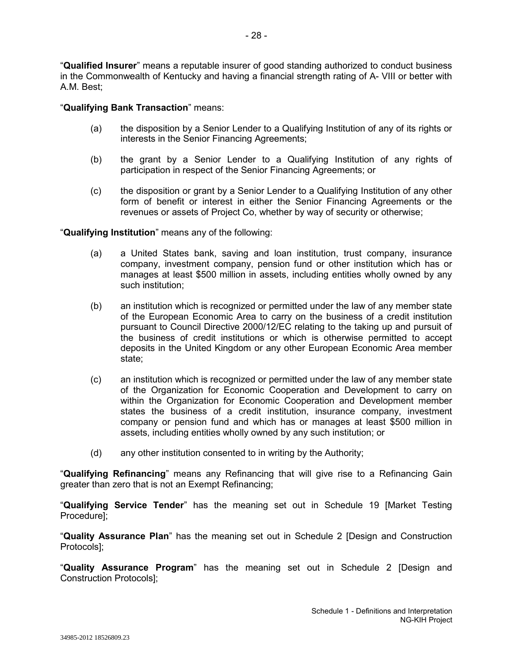"**Qualified Insurer**" means a reputable insurer of good standing authorized to conduct business in the Commonwealth of Kentucky and having a financial strength rating of A- VIII or better with A.M. Best;

## "**Qualifying Bank Transaction**" means:

- (a) the disposition by a Senior Lender to a Qualifying Institution of any of its rights or interests in the Senior Financing Agreements;
- (b) the grant by a Senior Lender to a Qualifying Institution of any rights of participation in respect of the Senior Financing Agreements; or
- (c) the disposition or grant by a Senior Lender to a Qualifying Institution of any other form of benefit or interest in either the Senior Financing Agreements or the revenues or assets of Project Co, whether by way of security or otherwise;

"**Qualifying Institution**" means any of the following:

- (a) a United States bank, saving and loan institution, trust company, insurance company, investment company, pension fund or other institution which has or manages at least \$500 million in assets, including entities wholly owned by any such institution;
- (b) an institution which is recognized or permitted under the law of any member state of the European Economic Area to carry on the business of a credit institution pursuant to Council Directive 2000/12/EC relating to the taking up and pursuit of the business of credit institutions or which is otherwise permitted to accept deposits in the United Kingdom or any other European Economic Area member state;
- (c) an institution which is recognized or permitted under the law of any member state of the Organization for Economic Cooperation and Development to carry on within the Organization for Economic Cooperation and Development member states the business of a credit institution, insurance company, investment company or pension fund and which has or manages at least \$500 million in assets, including entities wholly owned by any such institution; or
- (d) any other institution consented to in writing by the Authority;

"**Qualifying Refinancing**" means any Refinancing that will give rise to a Refinancing Gain greater than zero that is not an Exempt Refinancing;

"**Qualifying Service Tender**" has the meaning set out in Schedule 19 [Market Testing Procedure];

"**Quality Assurance Plan**" has the meaning set out in Schedule 2 [Design and Construction Protocols];

"**Quality Assurance Program**" has the meaning set out in Schedule 2 [Design and Construction Protocols];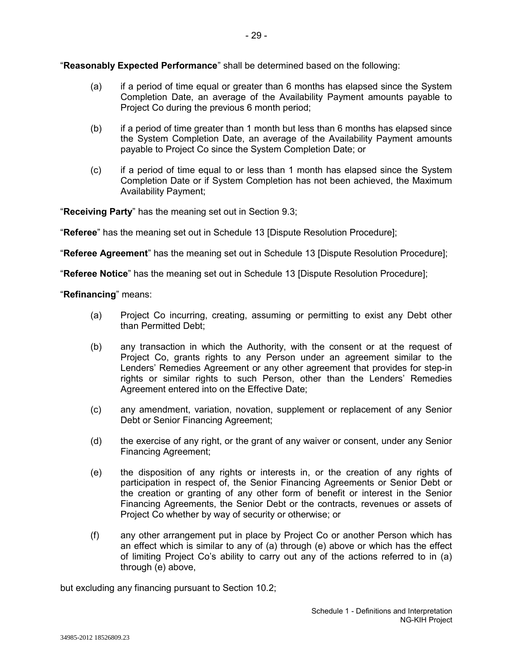"**Reasonably Expected Performance**" shall be determined based on the following:

- (a) if a period of time equal or greater than 6 months has elapsed since the System Completion Date, an average of the Availability Payment amounts payable to Project Co during the previous 6 month period;
- (b) if a period of time greater than 1 month but less than 6 months has elapsed since the System Completion Date, an average of the Availability Payment amounts payable to Project Co since the System Completion Date; or
- (c) if a period of time equal to or less than 1 month has elapsed since the System Completion Date or if System Completion has not been achieved, the Maximum Availability Payment;

"**Receiving Party**" has the meaning set out in Section 9.3;

"**Referee**" has the meaning set out in Schedule 13 [Dispute Resolution Procedure];

"**Referee Agreement**" has the meaning set out in Schedule 13 [Dispute Resolution Procedure];

"**Referee Notice**" has the meaning set out in Schedule 13 [Dispute Resolution Procedure];

"**Refinancing**" means:

- (a) Project Co incurring, creating, assuming or permitting to exist any Debt other than Permitted Debt;
- (b) any transaction in which the Authority, with the consent or at the request of Project Co, grants rights to any Person under an agreement similar to the Lenders' Remedies Agreement or any other agreement that provides for step-in rights or similar rights to such Person, other than the Lenders' Remedies Agreement entered into on the Effective Date;
- (c) any amendment, variation, novation, supplement or replacement of any Senior Debt or Senior Financing Agreement;
- (d) the exercise of any right, or the grant of any waiver or consent, under any Senior Financing Agreement;
- (e) the disposition of any rights or interests in, or the creation of any rights of participation in respect of, the Senior Financing Agreements or Senior Debt or the creation or granting of any other form of benefit or interest in the Senior Financing Agreements, the Senior Debt or the contracts, revenues or assets of Project Co whether by way of security or otherwise; or
- (f) any other arrangement put in place by Project Co or another Person which has an effect which is similar to any of (a) through (e) above or which has the effect of limiting Project Co's ability to carry out any of the actions referred to in (a) through (e) above,

but excluding any financing pursuant to Section 10.2;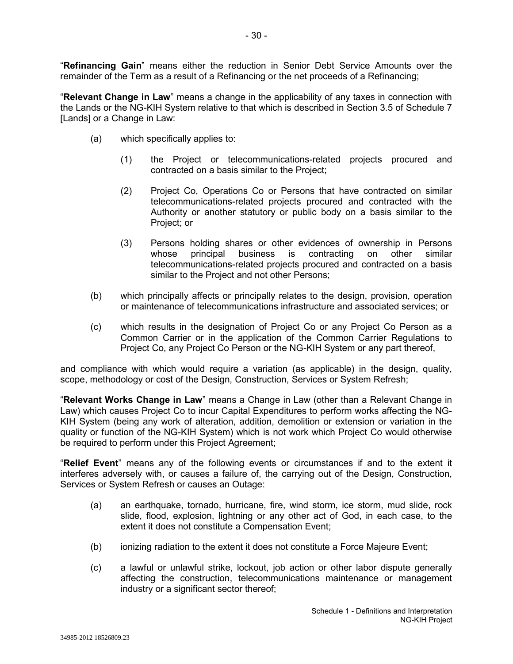"**Refinancing Gain**" means either the reduction in Senior Debt Service Amounts over the remainder of the Term as a result of a Refinancing or the net proceeds of a Refinancing;

"**Relevant Change in Law**" means a change in the applicability of any taxes in connection with the Lands or the NG-KIH System relative to that which is described in Section 3.5 of Schedule 7 [Lands] or a Change in Law:

- (a) which specifically applies to:
	- (1) the Project or telecommunications-related projects procured and contracted on a basis similar to the Project;
	- (2) Project Co, Operations Co or Persons that have contracted on similar telecommunications-related projects procured and contracted with the Authority or another statutory or public body on a basis similar to the Project; or
	- (3) Persons holding shares or other evidences of ownership in Persons whose principal business is contracting on other similar telecommunications-related projects procured and contracted on a basis similar to the Project and not other Persons;
- (b) which principally affects or principally relates to the design, provision, operation or maintenance of telecommunications infrastructure and associated services; or
- (c) which results in the designation of Project Co or any Project Co Person as a Common Carrier or in the application of the Common Carrier Regulations to Project Co, any Project Co Person or the NG-KIH System or any part thereof,

and compliance with which would require a variation (as applicable) in the design, quality, scope, methodology or cost of the Design, Construction, Services or System Refresh;

"**Relevant Works Change in Law**" means a Change in Law (other than a Relevant Change in Law) which causes Project Co to incur Capital Expenditures to perform works affecting the NG-KIH System (being any work of alteration, addition, demolition or extension or variation in the quality or function of the NG-KIH System) which is not work which Project Co would otherwise be required to perform under this Project Agreement;

"**Relief Event**" means any of the following events or circumstances if and to the extent it interferes adversely with, or causes a failure of, the carrying out of the Design, Construction, Services or System Refresh or causes an Outage:

- (a) an earthquake, tornado, hurricane, fire, wind storm, ice storm, mud slide, rock slide, flood, explosion, lightning or any other act of God, in each case, to the extent it does not constitute a Compensation Event;
- (b) ionizing radiation to the extent it does not constitute a Force Majeure Event;
- (c) a lawful or unlawful strike, lockout, job action or other labor dispute generally affecting the construction, telecommunications maintenance or management industry or a significant sector thereof;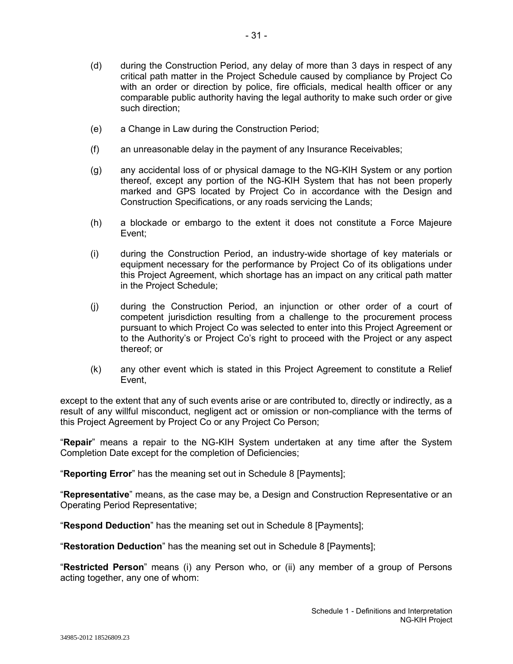- 31 -

- (d) during the Construction Period, any delay of more than 3 days in respect of any critical path matter in the Project Schedule caused by compliance by Project Co with an order or direction by police, fire officials, medical health officer or any comparable public authority having the legal authority to make such order or give such direction;
- (e) a Change in Law during the Construction Period;
- (f) an unreasonable delay in the payment of any Insurance Receivables;
- (g) any accidental loss of or physical damage to the NG-KIH System or any portion thereof, except any portion of the NG-KIH System that has not been properly marked and GPS located by Project Co in accordance with the Design and Construction Specifications, or any roads servicing the Lands;
- (h) a blockade or embargo to the extent it does not constitute a Force Majeure Event;
- (i) during the Construction Period, an industry-wide shortage of key materials or equipment necessary for the performance by Project Co of its obligations under this Project Agreement, which shortage has an impact on any critical path matter in the Project Schedule;
- (j) during the Construction Period, an injunction or other order of a court of competent jurisdiction resulting from a challenge to the procurement process pursuant to which Project Co was selected to enter into this Project Agreement or to the Authority's or Project Co's right to proceed with the Project or any aspect thereof; or
- (k) any other event which is stated in this Project Agreement to constitute a Relief Event,

except to the extent that any of such events arise or are contributed to, directly or indirectly, as a result of any willful misconduct, negligent act or omission or non-compliance with the terms of this Project Agreement by Project Co or any Project Co Person;

"**Repair**" means a repair to the NG-KIH System undertaken at any time after the System Completion Date except for the completion of Deficiencies;

"**Reporting Error**" has the meaning set out in Schedule 8 [Payments];

"**Representative**" means, as the case may be, a Design and Construction Representative or an Operating Period Representative;

"**Respond Deduction**" has the meaning set out in Schedule 8 [Payments];

"**Restoration Deduction**" has the meaning set out in Schedule 8 [Payments];

"**Restricted Person**" means (i) any Person who, or (ii) any member of a group of Persons acting together, any one of whom: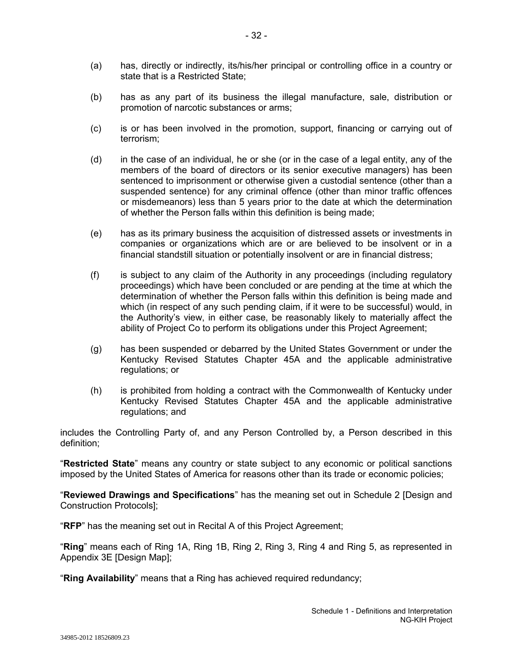- (a) has, directly or indirectly, its/his/her principal or controlling office in a country or state that is a Restricted State;
- (b) has as any part of its business the illegal manufacture, sale, distribution or promotion of narcotic substances or arms;
- (c) is or has been involved in the promotion, support, financing or carrying out of terrorism;
- (d) in the case of an individual, he or she (or in the case of a legal entity, any of the members of the board of directors or its senior executive managers) has been sentenced to imprisonment or otherwise given a custodial sentence (other than a suspended sentence) for any criminal offence (other than minor traffic offences or misdemeanors) less than 5 years prior to the date at which the determination of whether the Person falls within this definition is being made;
- (e) has as its primary business the acquisition of distressed assets or investments in companies or organizations which are or are believed to be insolvent or in a financial standstill situation or potentially insolvent or are in financial distress;
- (f) is subject to any claim of the Authority in any proceedings (including regulatory proceedings) which have been concluded or are pending at the time at which the determination of whether the Person falls within this definition is being made and which (in respect of any such pending claim, if it were to be successful) would, in the Authority's view, in either case, be reasonably likely to materially affect the ability of Project Co to perform its obligations under this Project Agreement;
- (g) has been suspended or debarred by the United States Government or under the Kentucky Revised Statutes Chapter 45A and the applicable administrative regulations; or
- (h) is prohibited from holding a contract with the Commonwealth of Kentucky under Kentucky Revised Statutes Chapter 45A and the applicable administrative regulations; and

includes the Controlling Party of, and any Person Controlled by, a Person described in this definition;

"**Restricted State**" means any country or state subject to any economic or political sanctions imposed by the United States of America for reasons other than its trade or economic policies;

"**Reviewed Drawings and Specifications**" has the meaning set out in Schedule 2 [Design and Construction Protocols];

"**RFP**" has the meaning set out in Recital A of this Project Agreement;

"**Ring**" means each of Ring 1A, Ring 1B, Ring 2, Ring 3, Ring 4 and Ring 5, as represented in Appendix 3E [Design Map];

"**Ring Availability**" means that a Ring has achieved required redundancy;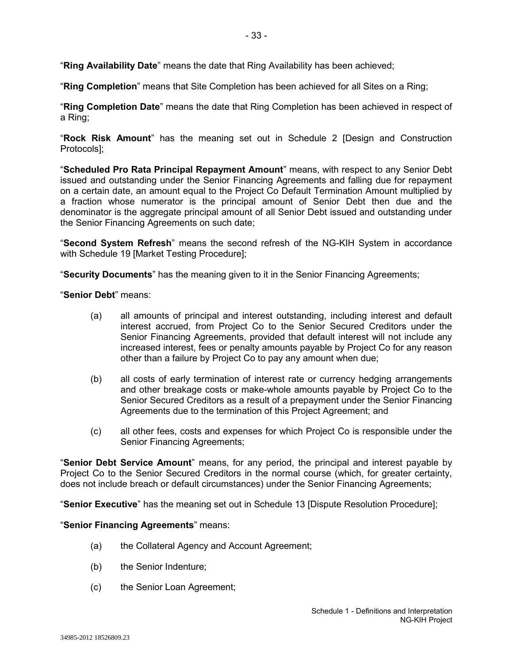"**Ring Completion**" means that Site Completion has been achieved for all Sites on a Ring;

"**Ring Completion Date**" means the date that Ring Completion has been achieved in respect of a Ring;

- 33 -

"**Rock Risk Amount**" has the meaning set out in Schedule 2 [Design and Construction Protocols];

"**Scheduled Pro Rata Principal Repayment Amount**" means, with respect to any Senior Debt issued and outstanding under the Senior Financing Agreements and falling due for repayment on a certain date, an amount equal to the Project Co Default Termination Amount multiplied by a fraction whose numerator is the principal amount of Senior Debt then due and the denominator is the aggregate principal amount of all Senior Debt issued and outstanding under the Senior Financing Agreements on such date;

"**Second System Refresh**" means the second refresh of the NG-KIH System in accordance with Schedule 19 [Market Testing Procedure];

"**Security Documents**" has the meaning given to it in the Senior Financing Agreements;

"**Senior Debt**" means:

- (a) all amounts of principal and interest outstanding, including interest and default interest accrued, from Project Co to the Senior Secured Creditors under the Senior Financing Agreements, provided that default interest will not include any increased interest, fees or penalty amounts payable by Project Co for any reason other than a failure by Project Co to pay any amount when due;
- (b) all costs of early termination of interest rate or currency hedging arrangements and other breakage costs or make-whole amounts payable by Project Co to the Senior Secured Creditors as a result of a prepayment under the Senior Financing Agreements due to the termination of this Project Agreement; and
- (c) all other fees, costs and expenses for which Project Co is responsible under the Senior Financing Agreements;

"**Senior Debt Service Amount**" means, for any period, the principal and interest payable by Project Co to the Senior Secured Creditors in the normal course (which, for greater certainty, does not include breach or default circumstances) under the Senior Financing Agreements;

"**Senior Executive**" has the meaning set out in Schedule 13 [Dispute Resolution Procedure];

### "**Senior Financing Agreements**" means:

- (a) the Collateral Agency and Account Agreement;
- (b) the Senior Indenture;
- (c) the Senior Loan Agreement;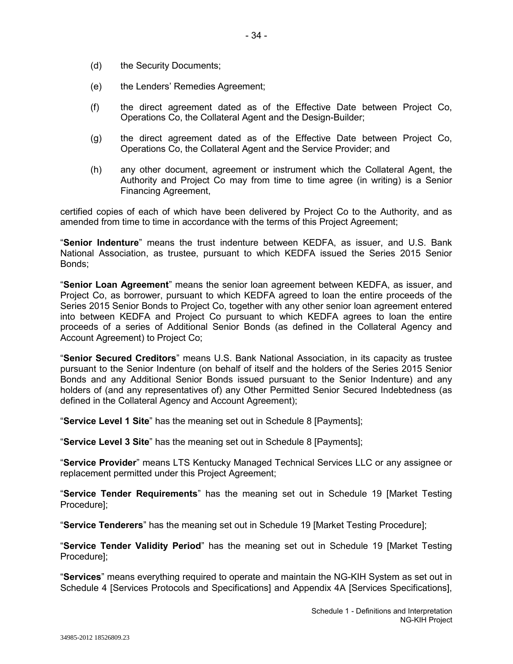- (d) the Security Documents;
- (e) the Lenders' Remedies Agreement;
- (f) the direct agreement dated as of the Effective Date between Project Co, Operations Co, the Collateral Agent and the Design-Builder;
- (g) the direct agreement dated as of the Effective Date between Project Co, Operations Co, the Collateral Agent and the Service Provider; and
- (h) any other document, agreement or instrument which the Collateral Agent, the Authority and Project Co may from time to time agree (in writing) is a Senior Financing Agreement,

certified copies of each of which have been delivered by Project Co to the Authority, and as amended from time to time in accordance with the terms of this Project Agreement;

"**Senior Indenture**" means the trust indenture between KEDFA, as issuer, and U.S. Bank National Association, as trustee, pursuant to which KEDFA issued the Series 2015 Senior Bonds;

"**Senior Loan Agreement**" means the senior loan agreement between KEDFA, as issuer, and Project Co, as borrower, pursuant to which KEDFA agreed to loan the entire proceeds of the Series 2015 Senior Bonds to Project Co, together with any other senior loan agreement entered into between KEDFA and Project Co pursuant to which KEDFA agrees to loan the entire proceeds of a series of Additional Senior Bonds (as defined in the Collateral Agency and Account Agreement) to Project Co;

"**Senior Secured Creditors**" means U.S. Bank National Association, in its capacity as trustee pursuant to the Senior Indenture (on behalf of itself and the holders of the Series 2015 Senior Bonds and any Additional Senior Bonds issued pursuant to the Senior Indenture) and any holders of (and any representatives of) any Other Permitted Senior Secured Indebtedness (as defined in the Collateral Agency and Account Agreement);

"**Service Level 1 Site**" has the meaning set out in Schedule 8 [Payments];

"**Service Level 3 Site**" has the meaning set out in Schedule 8 [Payments];

"**Service Provider**" means LTS Kentucky Managed Technical Services LLC or any assignee or replacement permitted under this Project Agreement;

"**Service Tender Requirements**" has the meaning set out in Schedule 19 [Market Testing Procedure];

"**Service Tenderers**" has the meaning set out in Schedule 19 [Market Testing Procedure];

"**Service Tender Validity Period**" has the meaning set out in Schedule 19 [Market Testing Procedure];

"**Services**" means everything required to operate and maintain the NG-KIH System as set out in Schedule 4 [Services Protocols and Specifications] and Appendix 4A [Services Specifications],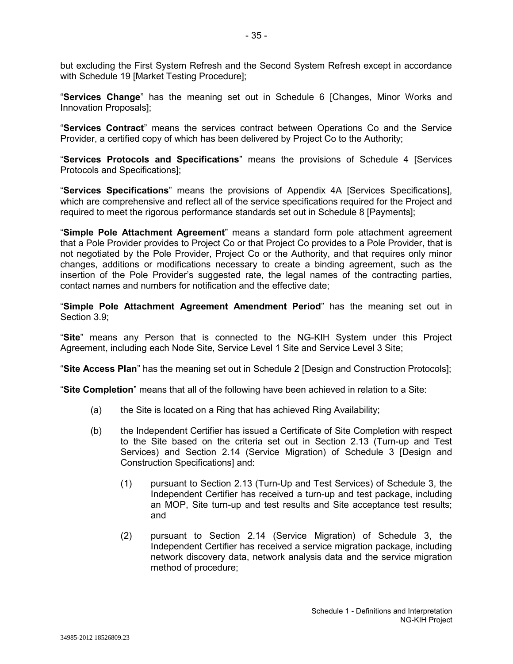but excluding the First System Refresh and the Second System Refresh except in accordance with Schedule 19 [Market Testing Procedure];

"**Services Change**" has the meaning set out in Schedule 6 [Changes, Minor Works and Innovation Proposals];

"**Services Contract**" means the services contract between Operations Co and the Service Provider, a certified copy of which has been delivered by Project Co to the Authority;

"**Services Protocols and Specifications**" means the provisions of Schedule 4 [Services Protocols and Specifications];

"**Services Specifications**" means the provisions of Appendix 4A [Services Specifications], which are comprehensive and reflect all of the service specifications required for the Project and required to meet the rigorous performance standards set out in Schedule 8 [Payments];

"**Simple Pole Attachment Agreement**" means a standard form pole attachment agreement that a Pole Provider provides to Project Co or that Project Co provides to a Pole Provider, that is not negotiated by the Pole Provider, Project Co or the Authority, and that requires only minor changes, additions or modifications necessary to create a binding agreement, such as the insertion of the Pole Provider's suggested rate, the legal names of the contracting parties, contact names and numbers for notification and the effective date;

"**Simple Pole Attachment Agreement Amendment Period**" has the meaning set out in Section 3.9;

"**Site**" means any Person that is connected to the NG-KIH System under this Project Agreement, including each Node Site, Service Level 1 Site and Service Level 3 Site;

"**Site Access Plan**" has the meaning set out in Schedule 2 [Design and Construction Protocols];

"**Site Completion**" means that all of the following have been achieved in relation to a Site:

- (a) the Site is located on a Ring that has achieved Ring Availability;
- (b) the Independent Certifier has issued a Certificate of Site Completion with respect to the Site based on the criteria set out in Section 2.13 (Turn-up and Test Services) and Section 2.14 (Service Migration) of Schedule 3 [Design and Construction Specifications] and:
	- (1) pursuant to Section 2.13 (Turn-Up and Test Services) of Schedule 3, the Independent Certifier has received a turn-up and test package, including an MOP, Site turn-up and test results and Site acceptance test results; and
	- (2) pursuant to Section 2.14 (Service Migration) of Schedule 3, the Independent Certifier has received a service migration package, including network discovery data, network analysis data and the service migration method of procedure;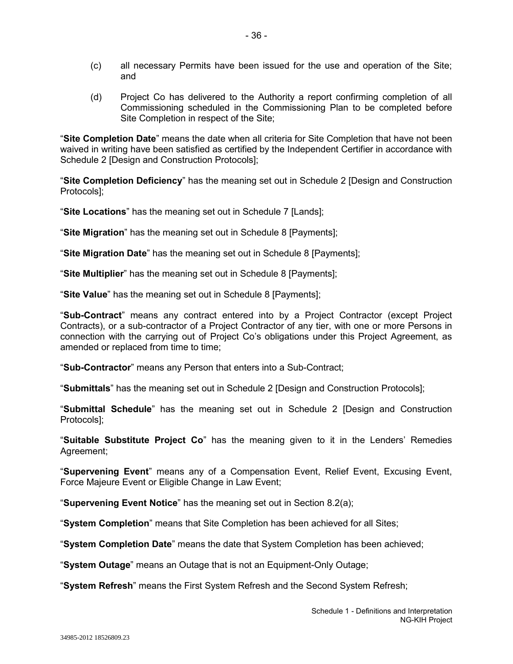- (c) all necessary Permits have been issued for the use and operation of the Site; and
- (d) Project Co has delivered to the Authority a report confirming completion of all Commissioning scheduled in the Commissioning Plan to be completed before Site Completion in respect of the Site;

"**Site Completion Date**" means the date when all criteria for Site Completion that have not been waived in writing have been satisfied as certified by the Independent Certifier in accordance with Schedule 2 [Design and Construction Protocols];

"**Site Completion Deficiency**" has the meaning set out in Schedule 2 [Design and Construction Protocols];

"**Site Locations**" has the meaning set out in Schedule 7 [Lands];

"**Site Migration**" has the meaning set out in Schedule 8 [Payments];

"**Site Migration Date**" has the meaning set out in Schedule 8 [Payments];

"**Site Multiplier**" has the meaning set out in Schedule 8 [Payments];

"**Site Value**" has the meaning set out in Schedule 8 [Payments];

"**Sub-Contract**" means any contract entered into by a Project Contractor (except Project Contracts), or a sub-contractor of a Project Contractor of any tier, with one or more Persons in connection with the carrying out of Project Co's obligations under this Project Agreement, as amended or replaced from time to time;

"**Sub-Contractor**" means any Person that enters into a Sub-Contract;

"**Submittals**" has the meaning set out in Schedule 2 [Design and Construction Protocols];

"**Submittal Schedule**" has the meaning set out in Schedule 2 [Design and Construction Protocols];

"**Suitable Substitute Project Co**" has the meaning given to it in the Lenders' Remedies Agreement;

"**Supervening Event**" means any of a Compensation Event, Relief Event, Excusing Event, Force Majeure Event or Eligible Change in Law Event;

"**Supervening Event Notice**" has the meaning set out in Section 8.2(a);

"**System Completion**" means that Site Completion has been achieved for all Sites;

"**System Completion Date**" means the date that System Completion has been achieved;

"**System Outage**" means an Outage that is not an Equipment-Only Outage;

"**System Refresh**" means the First System Refresh and the Second System Refresh;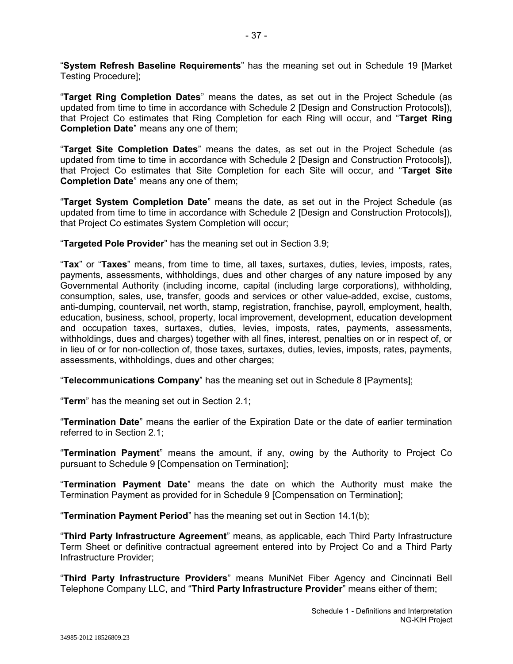"**System Refresh Baseline Requirements**" has the meaning set out in Schedule 19 [Market Testing Procedure];

"**Target Ring Completion Dates**" means the dates, as set out in the Project Schedule (as updated from time to time in accordance with Schedule 2 [Design and Construction Protocols]), that Project Co estimates that Ring Completion for each Ring will occur, and "**Target Ring Completion Date**" means any one of them;

"**Target Site Completion Dates**" means the dates, as set out in the Project Schedule (as updated from time to time in accordance with Schedule 2 [Design and Construction Protocols]), that Project Co estimates that Site Completion for each Site will occur, and "**Target Site Completion Date**" means any one of them;

"**Target System Completion Date**" means the date, as set out in the Project Schedule (as updated from time to time in accordance with Schedule 2 [Design and Construction Protocols]), that Project Co estimates System Completion will occur;

"**Targeted Pole Provider**" has the meaning set out in Section 3.9;

"**Tax**" or "**Taxes**" means, from time to time, all taxes, surtaxes, duties, levies, imposts, rates, payments, assessments, withholdings, dues and other charges of any nature imposed by any Governmental Authority (including income, capital (including large corporations), withholding, consumption, sales, use, transfer, goods and services or other value-added, excise, customs, anti-dumping, countervail, net worth, stamp, registration, franchise, payroll, employment, health, education, business, school, property, local improvement, development, education development and occupation taxes, surtaxes, duties, levies, imposts, rates, payments, assessments, withholdings, dues and charges) together with all fines, interest, penalties on or in respect of, or in lieu of or for non-collection of, those taxes, surtaxes, duties, levies, imposts, rates, payments, assessments, withholdings, dues and other charges;

"**Telecommunications Company**" has the meaning set out in Schedule 8 [Payments];

"**Term**" has the meaning set out in Section 2.1;

"**Termination Date**" means the earlier of the Expiration Date or the date of earlier termination referred to in Section 2.1;

"**Termination Payment**" means the amount, if any, owing by the Authority to Project Co pursuant to Schedule 9 [Compensation on Termination];

"**Termination Payment Date**" means the date on which the Authority must make the Termination Payment as provided for in Schedule 9 [Compensation on Termination];

"**Termination Payment Period**" has the meaning set out in Section 14.1(b);

"**Third Party Infrastructure Agreement**" means, as applicable, each Third Party Infrastructure Term Sheet or definitive contractual agreement entered into by Project Co and a Third Party Infrastructure Provider;

"**Third Party Infrastructure Providers**" means MuniNet Fiber Agency and Cincinnati Bell Telephone Company LLC, and "**Third Party Infrastructure Provider**" means either of them;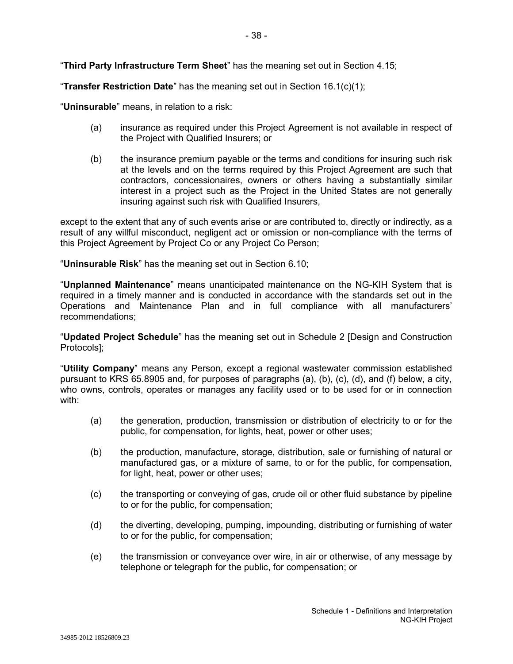"**Third Party Infrastructure Term Sheet**" has the meaning set out in Section 4.15;

"**Transfer Restriction Date**" has the meaning set out in Section 16.1(c)(1);

"**Uninsurable**" means, in relation to a risk:

- (a) insurance as required under this Project Agreement is not available in respect of the Project with Qualified Insurers; or
- (b) the insurance premium payable or the terms and conditions for insuring such risk at the levels and on the terms required by this Project Agreement are such that contractors, concessionaires, owners or others having a substantially similar interest in a project such as the Project in the United States are not generally insuring against such risk with Qualified Insurers,

except to the extent that any of such events arise or are contributed to, directly or indirectly, as a result of any willful misconduct, negligent act or omission or non-compliance with the terms of this Project Agreement by Project Co or any Project Co Person;

"**Uninsurable Risk**" has the meaning set out in Section 6.10;

"**Unplanned Maintenance**" means unanticipated maintenance on the NG-KIH System that is required in a timely manner and is conducted in accordance with the standards set out in the Operations and Maintenance Plan and in full compliance with all manufacturers' recommendations;

"**Updated Project Schedule**" has the meaning set out in Schedule 2 [Design and Construction Protocols];

"**Utility Company**" means any Person, except a regional wastewater commission established pursuant to KRS 65.8905 and, for purposes of paragraphs (a), (b), (c), (d), and (f) below, a city, who owns, controls, operates or manages any facility used or to be used for or in connection with:

- (a) the generation, production, transmission or distribution of electricity to or for the public, for compensation, for lights, heat, power or other uses;
- (b) the production, manufacture, storage, distribution, sale or furnishing of natural or manufactured gas, or a mixture of same, to or for the public, for compensation, for light, heat, power or other uses;
- (c) the transporting or conveying of gas, crude oil or other fluid substance by pipeline to or for the public, for compensation;
- (d) the diverting, developing, pumping, impounding, distributing or furnishing of water to or for the public, for compensation;
- (e) the transmission or conveyance over wire, in air or otherwise, of any message by telephone or telegraph for the public, for compensation; or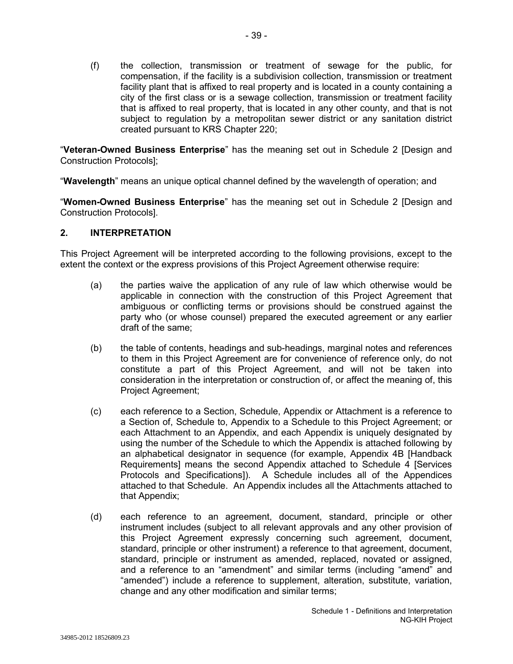(f) the collection, transmission or treatment of sewage for the public, for compensation, if the facility is a subdivision collection, transmission or treatment facility plant that is affixed to real property and is located in a county containing a city of the first class or is a sewage collection, transmission or treatment facility that is affixed to real property, that is located in any other county, and that is not subject to regulation by a metropolitan sewer district or any sanitation district created pursuant to KRS Chapter 220;

"**Veteran-Owned Business Enterprise**" has the meaning set out in Schedule 2 [Design and Construction Protocols];

"**Wavelength**" means an unique optical channel defined by the wavelength of operation; and

"**Women-Owned Business Enterprise**" has the meaning set out in Schedule 2 [Design and Construction Protocols].

### **2. INTERPRETATION**

This Project Agreement will be interpreted according to the following provisions, except to the extent the context or the express provisions of this Project Agreement otherwise require:

- (a) the parties waive the application of any rule of law which otherwise would be applicable in connection with the construction of this Project Agreement that ambiguous or conflicting terms or provisions should be construed against the party who (or whose counsel) prepared the executed agreement or any earlier draft of the same;
- (b) the table of contents, headings and sub-headings, marginal notes and references to them in this Project Agreement are for convenience of reference only, do not constitute a part of this Project Agreement, and will not be taken into consideration in the interpretation or construction of, or affect the meaning of, this Project Agreement;
- (c) each reference to a Section, Schedule, Appendix or Attachment is a reference to a Section of, Schedule to, Appendix to a Schedule to this Project Agreement; or each Attachment to an Appendix, and each Appendix is uniquely designated by using the number of the Schedule to which the Appendix is attached following by an alphabetical designator in sequence (for example, Appendix 4B [Handback Requirements] means the second Appendix attached to Schedule 4 [Services Protocols and Specifications]). A Schedule includes all of the Appendices attached to that Schedule. An Appendix includes all the Attachments attached to that Appendix;
- (d) each reference to an agreement, document, standard, principle or other instrument includes (subject to all relevant approvals and any other provision of this Project Agreement expressly concerning such agreement, document, standard, principle or other instrument) a reference to that agreement, document, standard, principle or instrument as amended, replaced, novated or assigned, and a reference to an "amendment" and similar terms (including "amend" and "amended") include a reference to supplement, alteration, substitute, variation, change and any other modification and similar terms;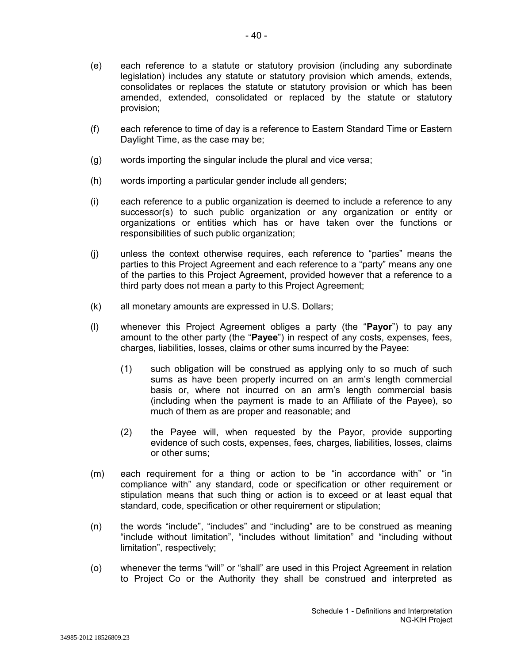(e) each reference to a statute or statutory provision (including any subordinate legislation) includes any statute or statutory provision which amends, extends, consolidates or replaces the statute or statutory provision or which has been amended, extended, consolidated or replaced by the statute or statutory provision;

- 40 -

- (f) each reference to time of day is a reference to Eastern Standard Time or Eastern Daylight Time, as the case may be;
- (g) words importing the singular include the plural and vice versa;
- (h) words importing a particular gender include all genders;
- (i) each reference to a public organization is deemed to include a reference to any successor(s) to such public organization or any organization or entity or organizations or entities which has or have taken over the functions or responsibilities of such public organization;
- (j) unless the context otherwise requires, each reference to "parties" means the parties to this Project Agreement and each reference to a "party" means any one of the parties to this Project Agreement, provided however that a reference to a third party does not mean a party to this Project Agreement;
- (k) all monetary amounts are expressed in U.S. Dollars;
- (l) whenever this Project Agreement obliges a party (the "**Payor**") to pay any amount to the other party (the "**Payee**") in respect of any costs, expenses, fees, charges, liabilities, losses, claims or other sums incurred by the Payee:
	- (1) such obligation will be construed as applying only to so much of such sums as have been properly incurred on an arm's length commercial basis or, where not incurred on an arm's length commercial basis (including when the payment is made to an Affiliate of the Payee), so much of them as are proper and reasonable; and
	- (2) the Payee will, when requested by the Payor, provide supporting evidence of such costs, expenses, fees, charges, liabilities, losses, claims or other sums;
- (m) each requirement for a thing or action to be "in accordance with" or "in compliance with" any standard, code or specification or other requirement or stipulation means that such thing or action is to exceed or at least equal that standard, code, specification or other requirement or stipulation;
- (n) the words "include", "includes" and "including" are to be construed as meaning "include without limitation", "includes without limitation" and "including without limitation", respectively;
- (o) whenever the terms "will" or "shall" are used in this Project Agreement in relation to Project Co or the Authority they shall be construed and interpreted as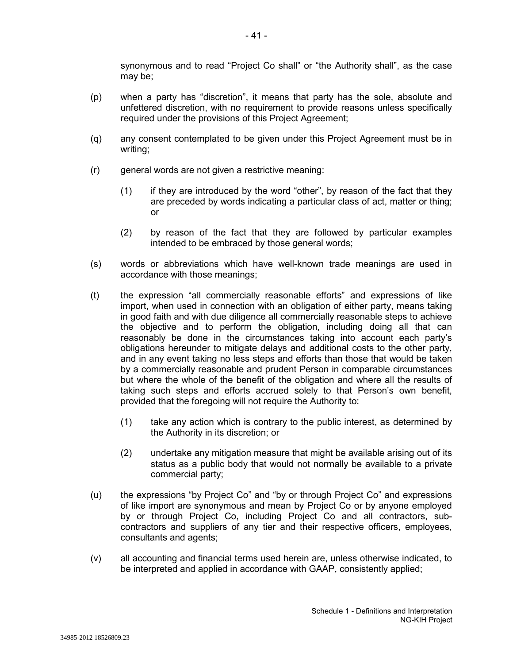synonymous and to read "Project Co shall" or "the Authority shall", as the case may be;

- (p) when a party has "discretion", it means that party has the sole, absolute and unfettered discretion, with no requirement to provide reasons unless specifically required under the provisions of this Project Agreement;
- (q) any consent contemplated to be given under this Project Agreement must be in writing;
- (r) general words are not given a restrictive meaning:
	- (1) if they are introduced by the word "other", by reason of the fact that they are preceded by words indicating a particular class of act, matter or thing; or
	- (2) by reason of the fact that they are followed by particular examples intended to be embraced by those general words;
- (s) words or abbreviations which have well-known trade meanings are used in accordance with those meanings;
- (t) the expression "all commercially reasonable efforts" and expressions of like import, when used in connection with an obligation of either party, means taking in good faith and with due diligence all commercially reasonable steps to achieve the objective and to perform the obligation, including doing all that can reasonably be done in the circumstances taking into account each party's obligations hereunder to mitigate delays and additional costs to the other party, and in any event taking no less steps and efforts than those that would be taken by a commercially reasonable and prudent Person in comparable circumstances but where the whole of the benefit of the obligation and where all the results of taking such steps and efforts accrued solely to that Person's own benefit, provided that the foregoing will not require the Authority to:
	- (1) take any action which is contrary to the public interest, as determined by the Authority in its discretion; or
	- (2) undertake any mitigation measure that might be available arising out of its status as a public body that would not normally be available to a private commercial party;
- (u) the expressions "by Project Co" and "by or through Project Co" and expressions of like import are synonymous and mean by Project Co or by anyone employed by or through Project Co, including Project Co and all contractors, subcontractors and suppliers of any tier and their respective officers, employees, consultants and agents;
- (v) all accounting and financial terms used herein are, unless otherwise indicated, to be interpreted and applied in accordance with GAAP, consistently applied;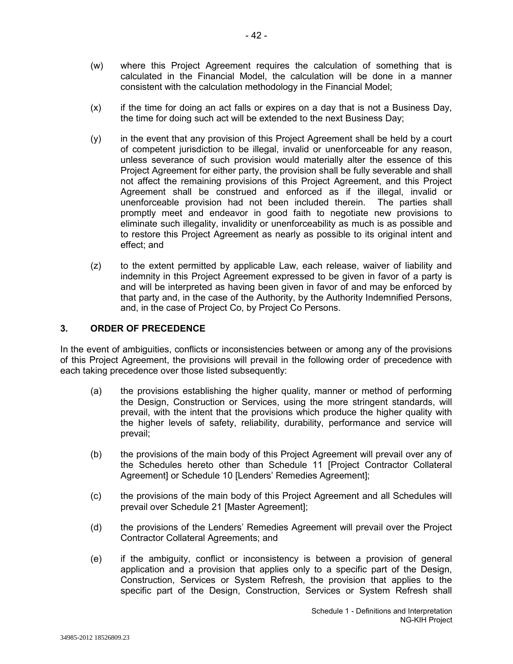- (w) where this Project Agreement requires the calculation of something that is calculated in the Financial Model, the calculation will be done in a manner consistent with the calculation methodology in the Financial Model;
- (x) if the time for doing an act falls or expires on a day that is not a Business Day, the time for doing such act will be extended to the next Business Day;
- (y) in the event that any provision of this Project Agreement shall be held by a court of competent jurisdiction to be illegal, invalid or unenforceable for any reason, unless severance of such provision would materially alter the essence of this Project Agreement for either party, the provision shall be fully severable and shall not affect the remaining provisions of this Project Agreement, and this Project Agreement shall be construed and enforced as if the illegal, invalid or unenforceable provision had not been included therein. The parties shall promptly meet and endeavor in good faith to negotiate new provisions to eliminate such illegality, invalidity or unenforceability as much is as possible and to restore this Project Agreement as nearly as possible to its original intent and effect; and
- (z) to the extent permitted by applicable Law, each release, waiver of liability and indemnity in this Project Agreement expressed to be given in favor of a party is and will be interpreted as having been given in favor of and may be enforced by that party and, in the case of the Authority, by the Authority Indemnified Persons, and, in the case of Project Co, by Project Co Persons.

## **3. ORDER OF PRECEDENCE**

In the event of ambiguities, conflicts or inconsistencies between or among any of the provisions of this Project Agreement, the provisions will prevail in the following order of precedence with each taking precedence over those listed subsequently:

- (a) the provisions establishing the higher quality, manner or method of performing the Design, Construction or Services, using the more stringent standards, will prevail, with the intent that the provisions which produce the higher quality with the higher levels of safety, reliability, durability, performance and service will prevail;
- (b) the provisions of the main body of this Project Agreement will prevail over any of the Schedules hereto other than Schedule 11 [Project Contractor Collateral Agreement] or Schedule 10 [Lenders' Remedies Agreement];
- (c) the provisions of the main body of this Project Agreement and all Schedules will prevail over Schedule 21 [Master Agreement];
- (d) the provisions of the Lenders' Remedies Agreement will prevail over the Project Contractor Collateral Agreements; and
- (e) if the ambiguity, conflict or inconsistency is between a provision of general application and a provision that applies only to a specific part of the Design, Construction, Services or System Refresh, the provision that applies to the specific part of the Design, Construction, Services or System Refresh shall